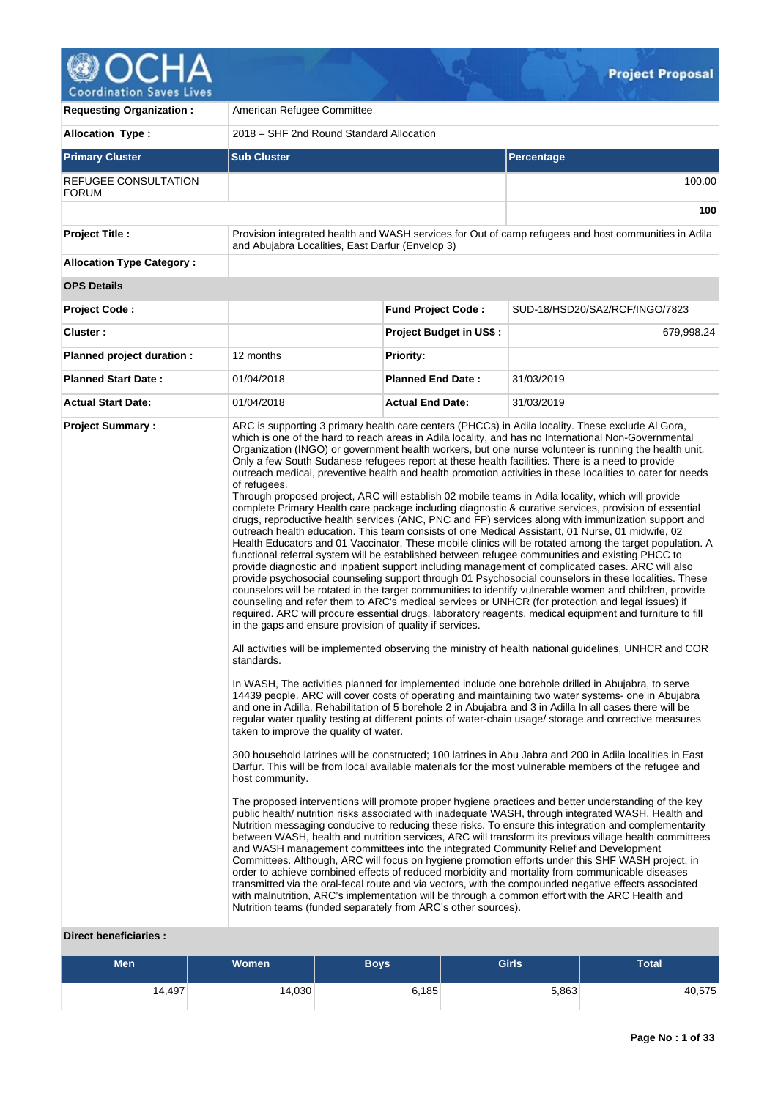

| <b>Requesting Organization:</b>                   | American Refugee Committee                                                                                                                                                                                           |                                |                                                                                                                                                                                                                                                                                                                                                                                                                                                                                                                                                                                                                                                                                                                                                                                                                                                                                                                                                                                                                                                                                                                                                                                                                                                                                                                                                                                                                                                                                                                                                                                                                                                                                                                                                                                                                                                                                                                                                                                                                                                                                                                                                                                                                                                                                                                                                                                                                                                                                                                                                                                                                                                                                                                                                                                                                                                                                                                                                                                                                                                                                                                                                                                                                                                                                                                                                                                                                                        |  |  |  |
|---------------------------------------------------|----------------------------------------------------------------------------------------------------------------------------------------------------------------------------------------------------------------------|--------------------------------|----------------------------------------------------------------------------------------------------------------------------------------------------------------------------------------------------------------------------------------------------------------------------------------------------------------------------------------------------------------------------------------------------------------------------------------------------------------------------------------------------------------------------------------------------------------------------------------------------------------------------------------------------------------------------------------------------------------------------------------------------------------------------------------------------------------------------------------------------------------------------------------------------------------------------------------------------------------------------------------------------------------------------------------------------------------------------------------------------------------------------------------------------------------------------------------------------------------------------------------------------------------------------------------------------------------------------------------------------------------------------------------------------------------------------------------------------------------------------------------------------------------------------------------------------------------------------------------------------------------------------------------------------------------------------------------------------------------------------------------------------------------------------------------------------------------------------------------------------------------------------------------------------------------------------------------------------------------------------------------------------------------------------------------------------------------------------------------------------------------------------------------------------------------------------------------------------------------------------------------------------------------------------------------------------------------------------------------------------------------------------------------------------------------------------------------------------------------------------------------------------------------------------------------------------------------------------------------------------------------------------------------------------------------------------------------------------------------------------------------------------------------------------------------------------------------------------------------------------------------------------------------------------------------------------------------------------------------------------------------------------------------------------------------------------------------------------------------------------------------------------------------------------------------------------------------------------------------------------------------------------------------------------------------------------------------------------------------------------------------------------------------------------------------------------------------|--|--|--|
| <b>Allocation Type:</b>                           | 2018 – SHF 2nd Round Standard Allocation                                                                                                                                                                             |                                |                                                                                                                                                                                                                                                                                                                                                                                                                                                                                                                                                                                                                                                                                                                                                                                                                                                                                                                                                                                                                                                                                                                                                                                                                                                                                                                                                                                                                                                                                                                                                                                                                                                                                                                                                                                                                                                                                                                                                                                                                                                                                                                                                                                                                                                                                                                                                                                                                                                                                                                                                                                                                                                                                                                                                                                                                                                                                                                                                                                                                                                                                                                                                                                                                                                                                                                                                                                                                                        |  |  |  |
| <b>Primary Cluster</b>                            | <b>Sub Cluster</b>                                                                                                                                                                                                   |                                | Percentage                                                                                                                                                                                                                                                                                                                                                                                                                                                                                                                                                                                                                                                                                                                                                                                                                                                                                                                                                                                                                                                                                                                                                                                                                                                                                                                                                                                                                                                                                                                                                                                                                                                                                                                                                                                                                                                                                                                                                                                                                                                                                                                                                                                                                                                                                                                                                                                                                                                                                                                                                                                                                                                                                                                                                                                                                                                                                                                                                                                                                                                                                                                                                                                                                                                                                                                                                                                                                             |  |  |  |
| REFUGEE CONSULTATION<br><b>FORUM</b>              |                                                                                                                                                                                                                      |                                | 100.00                                                                                                                                                                                                                                                                                                                                                                                                                                                                                                                                                                                                                                                                                                                                                                                                                                                                                                                                                                                                                                                                                                                                                                                                                                                                                                                                                                                                                                                                                                                                                                                                                                                                                                                                                                                                                                                                                                                                                                                                                                                                                                                                                                                                                                                                                                                                                                                                                                                                                                                                                                                                                                                                                                                                                                                                                                                                                                                                                                                                                                                                                                                                                                                                                                                                                                                                                                                                                                 |  |  |  |
|                                                   |                                                                                                                                                                                                                      |                                | 100                                                                                                                                                                                                                                                                                                                                                                                                                                                                                                                                                                                                                                                                                                                                                                                                                                                                                                                                                                                                                                                                                                                                                                                                                                                                                                                                                                                                                                                                                                                                                                                                                                                                                                                                                                                                                                                                                                                                                                                                                                                                                                                                                                                                                                                                                                                                                                                                                                                                                                                                                                                                                                                                                                                                                                                                                                                                                                                                                                                                                                                                                                                                                                                                                                                                                                                                                                                                                                    |  |  |  |
| <b>Project Title:</b>                             | and Abujabra Localities, East Darfur (Envelop 3)                                                                                                                                                                     |                                | Provision integrated health and WASH services for Out of camp refugees and host communities in Adila                                                                                                                                                                                                                                                                                                                                                                                                                                                                                                                                                                                                                                                                                                                                                                                                                                                                                                                                                                                                                                                                                                                                                                                                                                                                                                                                                                                                                                                                                                                                                                                                                                                                                                                                                                                                                                                                                                                                                                                                                                                                                                                                                                                                                                                                                                                                                                                                                                                                                                                                                                                                                                                                                                                                                                                                                                                                                                                                                                                                                                                                                                                                                                                                                                                                                                                                   |  |  |  |
| <b>Allocation Type Category:</b>                  |                                                                                                                                                                                                                      |                                |                                                                                                                                                                                                                                                                                                                                                                                                                                                                                                                                                                                                                                                                                                                                                                                                                                                                                                                                                                                                                                                                                                                                                                                                                                                                                                                                                                                                                                                                                                                                                                                                                                                                                                                                                                                                                                                                                                                                                                                                                                                                                                                                                                                                                                                                                                                                                                                                                                                                                                                                                                                                                                                                                                                                                                                                                                                                                                                                                                                                                                                                                                                                                                                                                                                                                                                                                                                                                                        |  |  |  |
| <b>OPS Details</b>                                |                                                                                                                                                                                                                      |                                |                                                                                                                                                                                                                                                                                                                                                                                                                                                                                                                                                                                                                                                                                                                                                                                                                                                                                                                                                                                                                                                                                                                                                                                                                                                                                                                                                                                                                                                                                                                                                                                                                                                                                                                                                                                                                                                                                                                                                                                                                                                                                                                                                                                                                                                                                                                                                                                                                                                                                                                                                                                                                                                                                                                                                                                                                                                                                                                                                                                                                                                                                                                                                                                                                                                                                                                                                                                                                                        |  |  |  |
| <b>Project Code:</b>                              |                                                                                                                                                                                                                      | <b>Fund Project Code:</b>      | SUD-18/HSD20/SA2/RCF/INGO/7823                                                                                                                                                                                                                                                                                                                                                                                                                                                                                                                                                                                                                                                                                                                                                                                                                                                                                                                                                                                                                                                                                                                                                                                                                                                                                                                                                                                                                                                                                                                                                                                                                                                                                                                                                                                                                                                                                                                                                                                                                                                                                                                                                                                                                                                                                                                                                                                                                                                                                                                                                                                                                                                                                                                                                                                                                                                                                                                                                                                                                                                                                                                                                                                                                                                                                                                                                                                                         |  |  |  |
| Cluster:                                          |                                                                                                                                                                                                                      | <b>Project Budget in US\$:</b> | 679,998.24                                                                                                                                                                                                                                                                                                                                                                                                                                                                                                                                                                                                                                                                                                                                                                                                                                                                                                                                                                                                                                                                                                                                                                                                                                                                                                                                                                                                                                                                                                                                                                                                                                                                                                                                                                                                                                                                                                                                                                                                                                                                                                                                                                                                                                                                                                                                                                                                                                                                                                                                                                                                                                                                                                                                                                                                                                                                                                                                                                                                                                                                                                                                                                                                                                                                                                                                                                                                                             |  |  |  |
| Planned project duration :                        | 12 months                                                                                                                                                                                                            | <b>Priority:</b>               |                                                                                                                                                                                                                                                                                                                                                                                                                                                                                                                                                                                                                                                                                                                                                                                                                                                                                                                                                                                                                                                                                                                                                                                                                                                                                                                                                                                                                                                                                                                                                                                                                                                                                                                                                                                                                                                                                                                                                                                                                                                                                                                                                                                                                                                                                                                                                                                                                                                                                                                                                                                                                                                                                                                                                                                                                                                                                                                                                                                                                                                                                                                                                                                                                                                                                                                                                                                                                                        |  |  |  |
| <b>Planned Start Date:</b>                        | 01/04/2018                                                                                                                                                                                                           | <b>Planned End Date:</b>       | 31/03/2019                                                                                                                                                                                                                                                                                                                                                                                                                                                                                                                                                                                                                                                                                                                                                                                                                                                                                                                                                                                                                                                                                                                                                                                                                                                                                                                                                                                                                                                                                                                                                                                                                                                                                                                                                                                                                                                                                                                                                                                                                                                                                                                                                                                                                                                                                                                                                                                                                                                                                                                                                                                                                                                                                                                                                                                                                                                                                                                                                                                                                                                                                                                                                                                                                                                                                                                                                                                                                             |  |  |  |
| <b>Actual Start Date:</b>                         | 01/04/2018                                                                                                                                                                                                           | <b>Actual End Date:</b>        | 31/03/2019                                                                                                                                                                                                                                                                                                                                                                                                                                                                                                                                                                                                                                                                                                                                                                                                                                                                                                                                                                                                                                                                                                                                                                                                                                                                                                                                                                                                                                                                                                                                                                                                                                                                                                                                                                                                                                                                                                                                                                                                                                                                                                                                                                                                                                                                                                                                                                                                                                                                                                                                                                                                                                                                                                                                                                                                                                                                                                                                                                                                                                                                                                                                                                                                                                                                                                                                                                                                                             |  |  |  |
| <b>Project Summary:</b><br>Direct beneficiaries : | of refugees.<br>in the gaps and ensure provision of quality if services.<br>standards.<br>taken to improve the quality of water.<br>host community.<br>Nutrition teams (funded separately from ARC's other sources). |                                | ARC is supporting 3 primary health care centers (PHCCs) in Adila locality. These exclude Al Gora,<br>which is one of the hard to reach areas in Adila locality, and has no International Non-Governmental<br>Organization (INGO) or government health workers, but one nurse volunteer is running the health unit.<br>Only a few South Sudanese refugees report at these health facilities. There is a need to provide<br>outreach medical, preventive health and health promotion activities in these localities to cater for needs<br>Through proposed project, ARC will establish 02 mobile teams in Adila locality, which will provide<br>complete Primary Health care package including diagnostic & curative services, provision of essential<br>drugs, reproductive health services (ANC, PNC and FP) services along with immunization support and<br>outreach health education. This team consists of one Medical Assistant, 01 Nurse, 01 midwife, 02<br>Health Educators and 01 Vaccinator. These mobile clinics will be rotated among the target population. A<br>functional referral system will be established between refugee communities and existing PHCC to<br>provide diagnostic and inpatient support including management of complicated cases. ARC will also<br>provide psychosocial counseling support through 01 Psychosocial counselors in these localities. These<br>counselors will be rotated in the target communities to identify vulnerable women and children, provide<br>counseling and refer them to ARC's medical services or UNHCR (for protection and legal issues) if<br>required. ARC will procure essential drugs, laboratory reagents, medical equipment and furniture to fill<br>All activities will be implemented observing the ministry of health national guidelines, UNHCR and COR<br>In WASH, The activities planned for implemented include one borehole drilled in Abujabra, to serve<br>14439 people. ARC will cover costs of operating and maintaining two water systems- one in Abujabra<br>and one in Adilla, Rehabilitation of 5 borehole 2 in Abujabra and 3 in Adilla In all cases there will be<br>regular water quality testing at different points of water-chain usage/ storage and corrective measures<br>300 household latrines will be constructed; 100 latrines in Abu Jabra and 200 in Adila localities in East<br>Darfur. This will be from local available materials for the most vulnerable members of the refugee and<br>The proposed interventions will promote proper hygiene practices and better understanding of the key<br>public health/ nutrition risks associated with inadequate WASH, through integrated WASH, Health and<br>Nutrition messaging conducive to reducing these risks. To ensure this integration and complementarity<br>between WASH, health and nutrition services, ARC will transform its previous village health committees<br>and WASH management committees into the integrated Community Relief and Development<br>Committees. Although, ARC will focus on hygiene promotion efforts under this SHF WASH project, in<br>order to achieve combined effects of reduced morbidity and mortality from communicable diseases<br>transmitted via the oral-fecal route and via vectors, with the compounded negative effects associated<br>with malnutrition, ARC's implementation will be through a common effort with the ARC Health and |  |  |  |

| <b>Men</b> | <b>Women</b> |       | <b>Girls</b> | Total  |  |
|------------|--------------|-------|--------------|--------|--|
| 14,497     | 14,030       | 6,185 | 5,863        | 40,575 |  |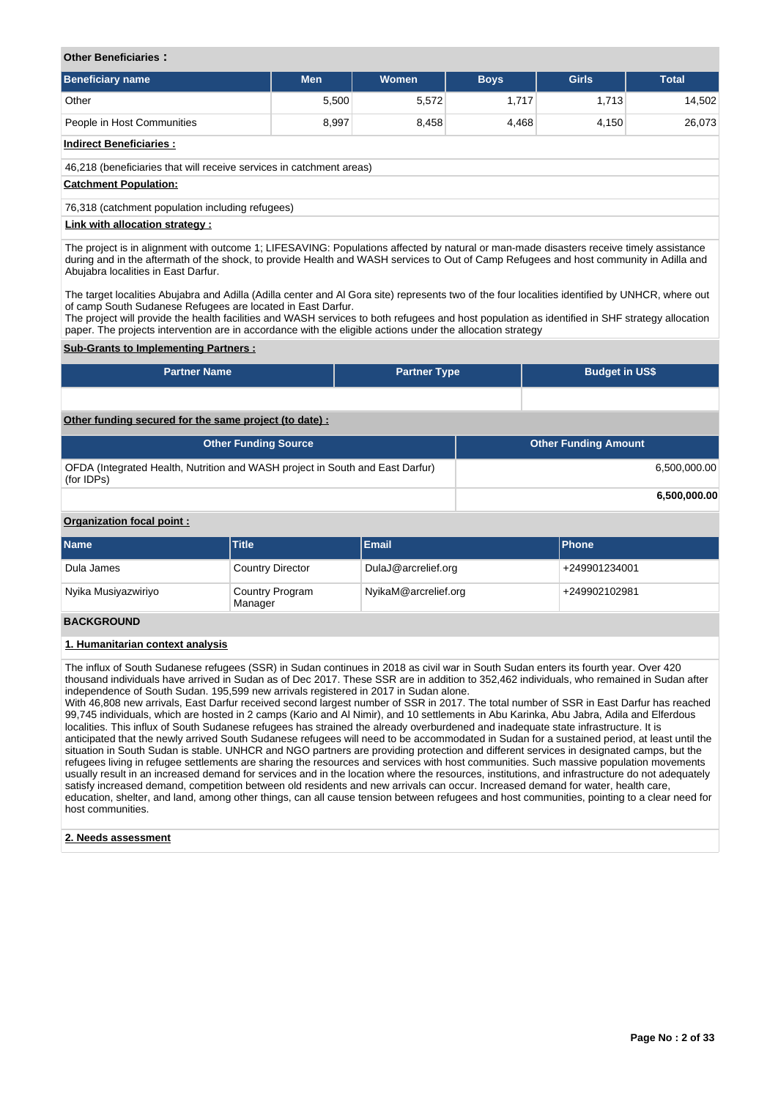## **Other Beneficiaries :**

| <b>Beneficiary name</b>                                              | <b>Men</b> | <b>Women</b> | <b>Boys</b> | <b>Girls</b> | <b>Total</b> |  |  |
|----------------------------------------------------------------------|------------|--------------|-------------|--------------|--------------|--|--|
| Other                                                                | 5,500      | 5,572        | 1,717       | 1,713        | 14,502       |  |  |
| People in Host Communities                                           | 8,997      | 8,458        | 4,468       | 4,150        | 26,073       |  |  |
| <b>Indirect Beneficiaries:</b>                                       |            |              |             |              |              |  |  |
| 46,218 (beneficiaries that will receive services in catchment areas) |            |              |             |              |              |  |  |
| <b>Catchment Population:</b>                                         |            |              |             |              |              |  |  |
| 76,318 (catchment population including refugees)                     |            |              |             |              |              |  |  |
| Link with allocation strategy :                                      |            |              |             |              |              |  |  |

The project is in alignment with outcome 1; LIFESAVING: Populations affected by natural or man-made disasters receive timely assistance during and in the aftermath of the shock, to provide Health and WASH services to Out of Camp Refugees and host community in Adilla and Abujabra localities in East Darfur.

The target localities Abujabra and Adilla (Adilla center and Al Gora site) represents two of the four localities identified by UNHCR, where out of camp South Sudanese Refugees are located in East Darfur.

The project will provide the health facilities and WASH services to both refugees and host population as identified in SHF strategy allocation paper. The projects intervention are in accordance with the eligible actions under the allocation strategy

## **Sub-Grants to Implementing Partners :**

| <b>Partner Name</b> | <b>Partner Type</b> | <b>Budget in US\$</b> |
|---------------------|---------------------|-----------------------|
|                     |                     |                       |

# **Other funding secured for the same project (to date) :**

| <b>Other Funding Source</b>                                                                 | <b>Other Funding Amount</b> |
|---------------------------------------------------------------------------------------------|-----------------------------|
| OFDA (Integrated Health, Nutrition and WASH project in South and East Darfur)<br>(for IDPs) | 6.500.000.00                |
|                                                                                             | 6.500.000.00                |

# **Organization focal point :**

| <b>Name</b>         | <b>Title</b>                      | <b>Email</b>         | <b>IPhone</b> |
|---------------------|-----------------------------------|----------------------|---------------|
| Dula James          | <b>Country Director</b>           | DulaJ@arcrelief.org  | +249901234001 |
| Nyika Musiyazwiriyo | <b>Country Program</b><br>Manager | NyikaM@arcrelief.org | +249902102981 |

# **BACKGROUND**

## **1. Humanitarian context analysis**

The influx of South Sudanese refugees (SSR) in Sudan continues in 2018 as civil war in South Sudan enters its fourth year. Over 420 thousand individuals have arrived in Sudan as of Dec 2017. These SSR are in addition to 352,462 individuals, who remained in Sudan after independence of South Sudan. 195,599 new arrivals registered in 2017 in Sudan alone.

With 46,808 new arrivals, East Darfur received second largest number of SSR in 2017. The total number of SSR in East Darfur has reached 99,745 individuals, which are hosted in 2 camps (Kario and Al Nimir), and 10 settlements in Abu Karinka, Abu Jabra, Adila and Elferdous localities. This influx of South Sudanese refugees has strained the already overburdened and inadequate state infrastructure. It is anticipated that the newly arrived South Sudanese refugees will need to be accommodated in Sudan for a sustained period, at least until the situation in South Sudan is stable. UNHCR and NGO partners are providing protection and different services in designated camps, but the refugees living in refugee settlements are sharing the resources and services with host communities. Such massive population movements usually result in an increased demand for services and in the location where the resources, institutions, and infrastructure do not adequately satisfy increased demand, competition between old residents and new arrivals can occur. Increased demand for water, health care, education, shelter, and land, among other things, can all cause tension between refugees and host communities, pointing to a clear need for host communities.

## **2. Needs assessment**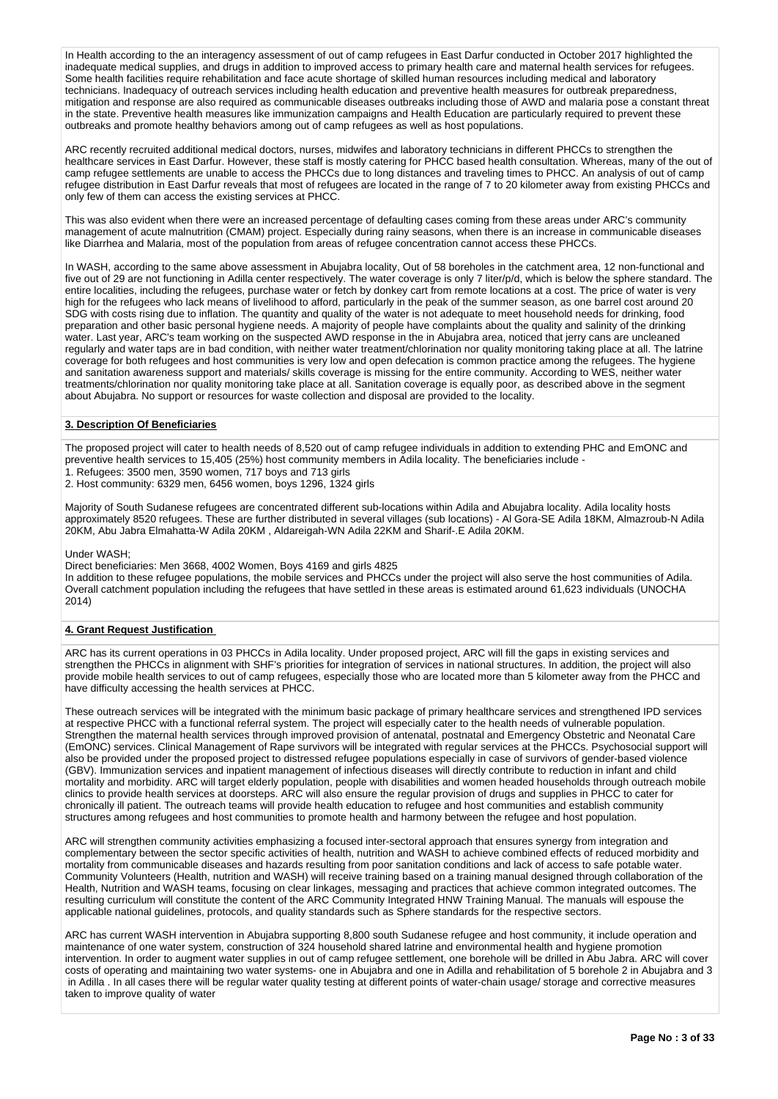In Health according to the an interagency assessment of out of camp refugees in East Darfur conducted in October 2017 highlighted the inadequate medical supplies, and drugs in addition to improved access to primary health care and maternal health services for refugees. Some health facilities require rehabilitation and face acute shortage of skilled human resources including medical and laboratory technicians. Inadequacy of outreach services including health education and preventive health measures for outbreak preparedness, mitigation and response are also required as communicable diseases outbreaks including those of AWD and malaria pose a constant threat in the state. Preventive health measures like immunization campaigns and Health Education are particularly required to prevent these outbreaks and promote healthy behaviors among out of camp refugees as well as host populations.

ARC recently recruited additional medical doctors, nurses, midwifes and laboratory technicians in different PHCCs to strengthen the healthcare services in East Darfur. However, these staff is mostly catering for PHCC based health consultation. Whereas, many of the out of camp refugee settlements are unable to access the PHCCs due to long distances and traveling times to PHCC. An analysis of out of camp refugee distribution in East Darfur reveals that most of refugees are located in the range of 7 to 20 kilometer away from existing PHCCs and only few of them can access the existing services at PHCC.

This was also evident when there were an increased percentage of defaulting cases coming from these areas under ARC's community management of acute malnutrition (CMAM) project. Especially during rainy seasons, when there is an increase in communicable diseases like Diarrhea and Malaria, most of the population from areas of refugee concentration cannot access these PHCCs.

In WASH, according to the same above assessment in Abujabra locality, Out of 58 boreholes in the catchment area, 12 non-functional and five out of 29 are not functioning in Adilla center respectively. The water coverage is only 7 liter/p/d, which is below the sphere standard. The entire localities, including the refugees, purchase water or fetch by donkey cart from remote locations at a cost. The price of water is very high for the refugees who lack means of livelihood to afford, particularly in the peak of the summer season, as one barrel cost around 20 SDG with costs rising due to inflation. The quantity and quality of the water is not adequate to meet household needs for drinking, food preparation and other basic personal hygiene needs. A majority of people have complaints about the quality and salinity of the drinking water. Last year, ARC's team working on the suspected AWD response in the in Abujabra area, noticed that jerry cans are uncleaned regularly and water taps are in bad condition, with neither water treatment/chlorination nor quality monitoring taking place at all. The latrine coverage for both refugees and host communities is very low and open defecation is common practice among the refugees. The hygiene and sanitation awareness support and materials/ skills coverage is missing for the entire community. According to WES, neither water treatments/chlorination nor quality monitoring take place at all. Sanitation coverage is equally poor, as described above in the segment about Abujabra. No support or resources for waste collection and disposal are provided to the locality.

# **3. Description Of Beneficiaries**

The proposed project will cater to health needs of 8,520 out of camp refugee individuals in addition to extending PHC and EmONC and preventive health services to 15,405 (25%) host community members in Adila locality. The beneficiaries include -

1. Refugees: 3500 men, 3590 women, 717 boys and 713 girls

2. Host community: 6329 men, 6456 women, boys 1296, 1324 girls

Majority of South Sudanese refugees are concentrated different sub-locations within Adila and Abujabra locality. Adila locality hosts approximately 8520 refugees. These are further distributed in several villages (sub locations) - Al Gora-SE Adila 18KM, Almazroub-N Adila 20KM, Abu Jabra Elmahatta-W Adila 20KM , Aldareigah-WN Adila 22KM and Sharif-.E Adila 20KM.

### Under WASH;

Direct beneficiaries: Men 3668, 4002 Women, Boys 4169 and girls 4825

In addition to these refugee populations, the mobile services and PHCCs under the project will also serve the host communities of Adila. Overall catchment population including the refugees that have settled in these areas is estimated around 61,623 individuals (UNOCHA 2014)

# **4. Grant Request Justification**

ARC has its current operations in 03 PHCCs in Adila locality. Under proposed project, ARC will fill the gaps in existing services and strengthen the PHCCs in alignment with SHF's priorities for integration of services in national structures. In addition, the project will also provide mobile health services to out of camp refugees, especially those who are located more than 5 kilometer away from the PHCC and have difficulty accessing the health services at PHCC.

These outreach services will be integrated with the minimum basic package of primary healthcare services and strengthened IPD services at respective PHCC with a functional referral system. The project will especially cater to the health needs of vulnerable population. Strengthen the maternal health services through improved provision of antenatal, postnatal and Emergency Obstetric and Neonatal Care (EmONC) services. Clinical Management of Rape survivors will be integrated with regular services at the PHCCs. Psychosocial support will also be provided under the proposed project to distressed refugee populations especially in case of survivors of gender-based violence (GBV). Immunization services and inpatient management of infectious diseases will directly contribute to reduction in infant and child mortality and morbidity. ARC will target elderly population, people with disabilities and women headed households through outreach mobile clinics to provide health services at doorsteps. ARC will also ensure the regular provision of drugs and supplies in PHCC to cater for chronically ill patient. The outreach teams will provide health education to refugee and host communities and establish community structures among refugees and host communities to promote health and harmony between the refugee and host population.

ARC will strengthen community activities emphasizing a focused inter-sectoral approach that ensures synergy from integration and complementary between the sector specific activities of health, nutrition and WASH to achieve combined effects of reduced morbidity and mortality from communicable diseases and hazards resulting from poor sanitation conditions and lack of access to safe potable water. Community Volunteers (Health, nutrition and WASH) will receive training based on a training manual designed through collaboration of the Health, Nutrition and WASH teams, focusing on clear linkages, messaging and practices that achieve common integrated outcomes. The resulting curriculum will constitute the content of the ARC Community Integrated HNW Training Manual. The manuals will espouse the applicable national guidelines, protocols, and quality standards such as Sphere standards for the respective sectors.

ARC has current WASH intervention in Abujabra supporting 8,800 south Sudanese refugee and host community, it include operation and maintenance of one water system, construction of 324 household shared latrine and environmental health and hygiene promotion intervention. In order to augment water supplies in out of camp refugee settlement, one borehole will be drilled in Abu Jabra. ARC will cover costs of operating and maintaining two water systems- one in Abujabra and one in Adilla and rehabilitation of 5 borehole 2 in Abujabra and 3 in Adilla . In all cases there will be regular water quality testing at different points of water-chain usage/ storage and corrective measures taken to improve quality of water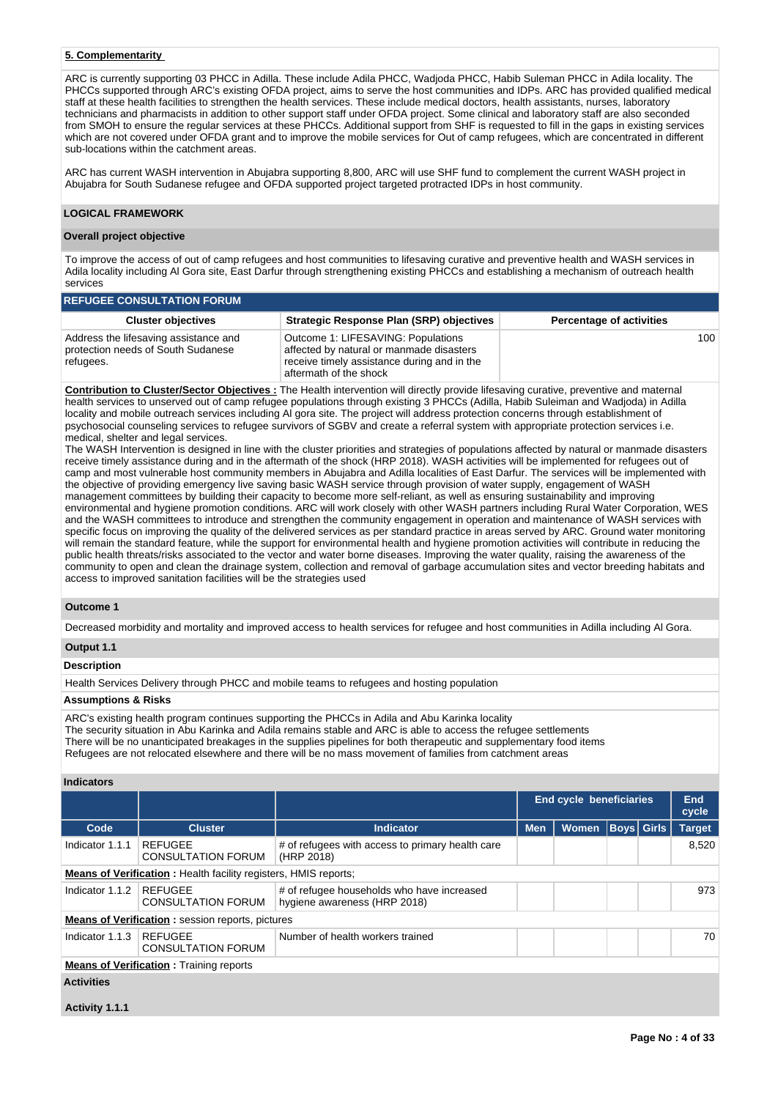# **5. Complementarity**

ARC is currently supporting 03 PHCC in Adilla. These include Adila PHCC, Wadjoda PHCC, Habib Suleman PHCC in Adila locality. The PHCCs supported through ARC's existing OFDA project, aims to serve the host communities and IDPs. ARC has provided qualified medical staff at these health facilities to strengthen the health services. These include medical doctors, health assistants, nurses, laboratory technicians and pharmacists in addition to other support staff under OFDA project. Some clinical and laboratory staff are also seconded from SMOH to ensure the regular services at these PHCCs. Additional support from SHF is requested to fill in the gaps in existing services which are not covered under OFDA grant and to improve the mobile services for Out of camp refugees, which are concentrated in different sub-locations within the catchment areas.

ARC has current WASH intervention in Abujabra supporting 8,800, ARC will use SHF fund to complement the current WASH project in Abujabra for South Sudanese refugee and OFDA supported project targeted protracted IDPs in host community.

# **LOGICAL FRAMEWORK**

## **Overall project objective**

To improve the access of out of camp refugees and host communities to lifesaving curative and preventive health and WASH services in Adila locality including Al Gora site, East Darfur through strengthening existing PHCCs and establishing a mechanism of outreach health services

| <b>REFUGEE CONSULTATION FORUM</b>                                                        |                                                                                                                                                         |                                 |  |  |  |  |  |  |  |
|------------------------------------------------------------------------------------------|---------------------------------------------------------------------------------------------------------------------------------------------------------|---------------------------------|--|--|--|--|--|--|--|
| <b>Cluster objectives</b>                                                                | <b>Strategic Response Plan (SRP) objectives</b>                                                                                                         | <b>Percentage of activities</b> |  |  |  |  |  |  |  |
| Address the lifesaving assistance and<br>protection needs of South Sudanese<br>refugees. | Outcome 1: LIFESAVING: Populations<br>affected by natural or manmade disasters<br>receive timely assistance during and in the<br>aftermath of the shock | 100                             |  |  |  |  |  |  |  |

**Contribution to Cluster/Sector Objectives :** The Health intervention will directly provide lifesaving curative, preventive and maternal health services to unserved out of camp refugee populations through existing 3 PHCCs (Adilla, Habib Suleiman and Wadjoda) in Adilla locality and mobile outreach services including Al gora site. The project will address protection concerns through establishment of psychosocial counseling services to refugee survivors of SGBV and create a referral system with appropriate protection services i.e. medical, shelter and legal services.

The WASH Intervention is designed in line with the cluster priorities and strategies of populations affected by natural or manmade disasters receive timely assistance during and in the aftermath of the shock (HRP 2018). WASH activities will be implemented for refugees out of camp and most vulnerable host community members in Abujabra and Adilla localities of East Darfur. The services will be implemented with the objective of providing emergency live saving basic WASH service through provision of water supply, engagement of WASH management committees by building their capacity to become more self-reliant, as well as ensuring sustainability and improving environmental and hygiene promotion conditions. ARC will work closely with other WASH partners including Rural Water Corporation, WES and the WASH committees to introduce and strengthen the community engagement in operation and maintenance of WASH services with specific focus on improving the quality of the delivered services as per standard practice in areas served by ARC. Ground water monitoring will remain the standard feature, while the support for environmental health and hygiene promotion activities will contribute in reducing the public health threats/risks associated to the vector and water borne diseases. Improving the water quality, raising the awareness of the community to open and clean the drainage system, collection and removal of garbage accumulation sites and vector breeding habitats and access to improved sanitation facilities will be the strategies used

# **Outcome 1**

Decreased morbidity and mortality and improved access to health services for refugee and host communities in Adilla including Al Gora.

# **Output 1.1**

# **Description**

Health Services Delivery through PHCC and mobile teams to refugees and hosting population

# **Assumptions & Risks**

ARC's existing health program continues supporting the PHCCs in Adila and Abu Karinka locality The security situation in Abu Karinka and Adila remains stable and ARC is able to access the refugee settlements There will be no unanticipated breakages in the supplies pipelines for both therapeutic and supplementary food items Refugees are not relocated elsewhere and there will be no mass movement of families from catchment areas

### **Indicators**

|                                                                        |                                                         |                                                                            | <b>End cycle beneficiaries</b> |       |  | End<br>cycle      |               |
|------------------------------------------------------------------------|---------------------------------------------------------|----------------------------------------------------------------------------|--------------------------------|-------|--|-------------------|---------------|
| Code                                                                   | <b>Cluster</b>                                          | <b>Indicator</b>                                                           | <b>Men</b>                     | Women |  | <b>Boys</b> Girls | <b>Target</b> |
| Indicator 1.1.1                                                        | REFUGEE<br><b>CONSULTATION FORUM</b>                    | # of refugees with access to primary health care<br>(HRP 2018)             |                                |       |  |                   | 8,520         |
| <b>Means of Verification:</b> Health facility registers, HMIS reports; |                                                         |                                                                            |                                |       |  |                   |               |
| Indicator 1.1.2                                                        | <b>REFUGEE</b><br><b>CONSULTATION FORUM</b>             | # of refugee households who have increased<br>hygiene awareness (HRP 2018) |                                |       |  |                   | 973           |
|                                                                        | <b>Means of Verification:</b> session reports, pictures |                                                                            |                                |       |  |                   |               |
| Indicator 1.1.3                                                        | <b>REFUGEE</b><br><b>CONSULTATION FORUM</b>             | Number of health workers trained                                           |                                |       |  |                   | 70            |
| <b>Means of Verification:</b> Training reports                         |                                                         |                                                                            |                                |       |  |                   |               |
| <b>Activities</b>                                                      |                                                         |                                                                            |                                |       |  |                   |               |

# **Activity 1.1.1**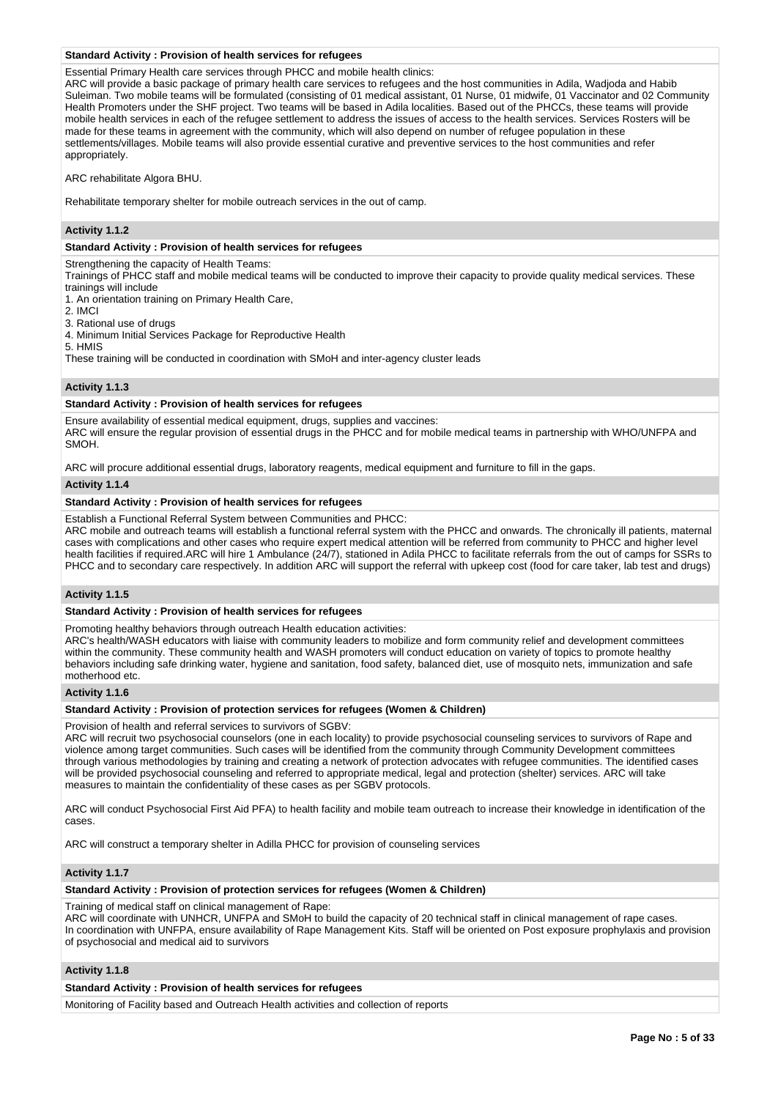## **Standard Activity : Provision of health services for refugees**

Essential Primary Health care services through PHCC and mobile health clinics:

ARC will provide a basic package of primary health care services to refugees and the host communities in Adila, Wadjoda and Habib Suleiman. Two mobile teams will be formulated (consisting of 01 medical assistant, 01 Nurse, 01 midwife, 01 Vaccinator and 02 Community Health Promoters under the SHF project. Two teams will be based in Adila localities. Based out of the PHCCs, these teams will provide mobile health services in each of the refugee settlement to address the issues of access to the health services. Services Rosters will be made for these teams in agreement with the community, which will also depend on number of refugee population in these settlements/villages. Mobile teams will also provide essential curative and preventive services to the host communities and refer appropriately.

ARC rehabilitate Algora BHU.

Rehabilitate temporary shelter for mobile outreach services in the out of camp.

# **Activity 1.1.2**

# **Standard Activity : Provision of health services for refugees**

Strengthening the capacity of Health Teams:

Trainings of PHCC staff and mobile medical teams will be conducted to improve their capacity to provide quality medical services. These trainings will include

1. An orientation training on Primary Health Care,

2. IMCI

3. Rational use of drugs

4. Minimum Initial Services Package for Reproductive Health

5. HMIS

These training will be conducted in coordination with SMoH and inter-agency cluster leads

# **Activity 1.1.3**

# **Standard Activity : Provision of health services for refugees**

Ensure availability of essential medical equipment, drugs, supplies and vaccines: ARC will ensure the regular provision of essential drugs in the PHCC and for mobile medical teams in partnership with WHO/UNFPA and SMOH.

ARC will procure additional essential drugs, laboratory reagents, medical equipment and furniture to fill in the gaps.

## **Activity 1.1.4**

# **Standard Activity : Provision of health services for refugees**

Establish a Functional Referral System between Communities and PHCC:

ARC mobile and outreach teams will establish a functional referral system with the PHCC and onwards. The chronically ill patients, maternal cases with complications and other cases who require expert medical attention will be referred from community to PHCC and higher level health facilities if required.ARC will hire 1 Ambulance (24/7), stationed in Adila PHCC to facilitate referrals from the out of camps for SSRs to PHCC and to secondary care respectively. In addition ARC will support the referral with upkeep cost (food for care taker, lab test and drugs)

# **Activity 1.1.5**

# **Standard Activity : Provision of health services for refugees**

Promoting healthy behaviors through outreach Health education activities:

ARC's health/WASH educators with liaise with community leaders to mobilize and form community relief and development committees within the community. These community health and WASH promoters will conduct education on variety of topics to promote healthy behaviors including safe drinking water, hygiene and sanitation, food safety, balanced diet, use of mosquito nets, immunization and safe motherhood etc.

# **Activity 1.1.6**

# **Standard Activity : Provision of protection services for refugees (Women & Children)**

Provision of health and referral services to survivors of SGBV:

ARC will recruit two psychosocial counselors (one in each locality) to provide psychosocial counseling services to survivors of Rape and violence among target communities. Such cases will be identified from the community through Community Development committees through various methodologies by training and creating a network of protection advocates with refugee communities. The identified cases will be provided psychosocial counseling and referred to appropriate medical, legal and protection (shelter) services. ARC will take measures to maintain the confidentiality of these cases as per SGBV protocols.

ARC will conduct Psychosocial First Aid PFA) to health facility and mobile team outreach to increase their knowledge in identification of the cases.

ARC will construct a temporary shelter in Adilla PHCC for provision of counseling services

# **Activity 1.1.7**

**Standard Activity : Provision of protection services for refugees (Women & Children)**

Training of medical staff on clinical management of Rape:

ARC will coordinate with UNHCR, UNFPA and SMoH to build the capacity of 20 technical staff in clinical management of rape cases. In coordination with UNFPA, ensure availability of Rape Management Kits. Staff will be oriented on Post exposure prophylaxis and provision of psychosocial and medical aid to survivors

# **Activity 1.1.8**

# **Standard Activity : Provision of health services for refugees**

Monitoring of Facility based and Outreach Health activities and collection of reports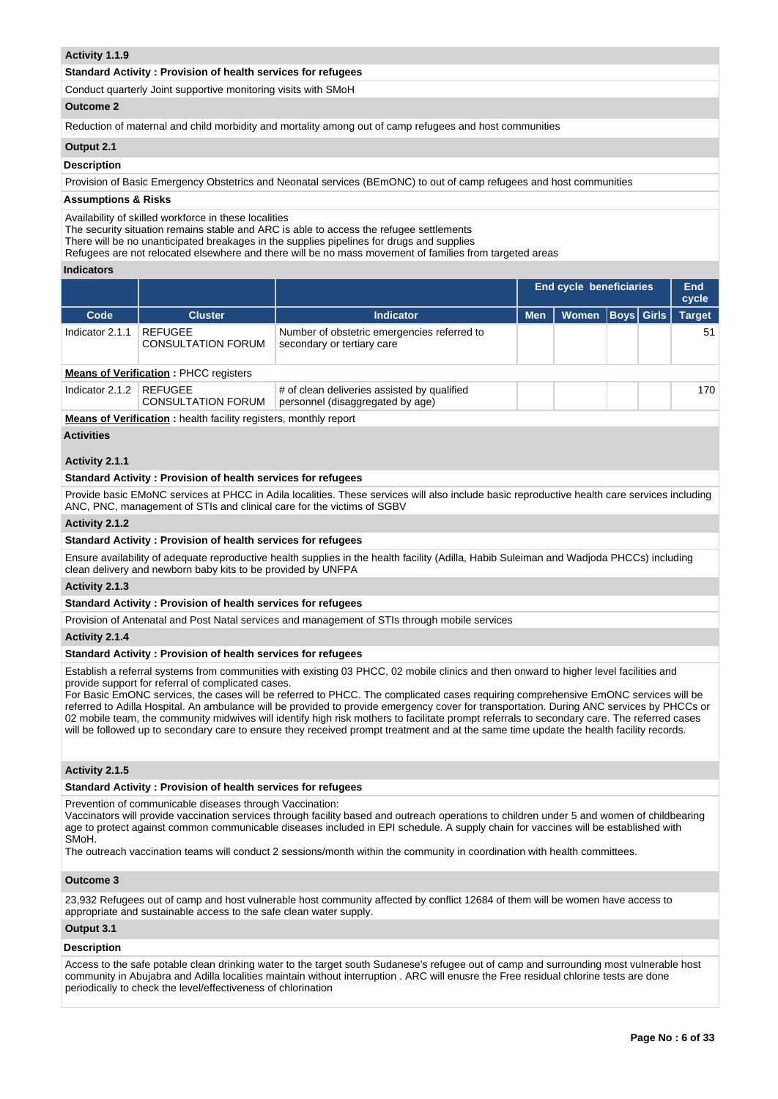# **Activity 1.1.9**

# **Standard Activity : Provision of health services for refugees**

Conduct quarterly Joint supportive monitoring visits with SMoH

# **Outcome 2**

Reduction of maternal and child morbidity and mortality among out of camp refugees and host communities

## **Output 2.1**

**Description**

Provision of Basic Emergency Obstetrics and Neonatal services (BEmONC) to out of camp refugees and host communities

## **Assumptions & Risks**

Availability of skilled workforce in these localities

The security situation remains stable and ARC is able to access the refugee settlements

There will be no unanticipated breakages in the supplies pipelines for drugs and supplies

Refugees are not relocated elsewhere and there will be no mass movement of families from targeted areas

## **Indicators**

|                                              |                                      |                                                                                 | End cycle beneficiaries |              |                   |  | End<br>cycle  |
|----------------------------------------------|--------------------------------------|---------------------------------------------------------------------------------|-------------------------|--------------|-------------------|--|---------------|
| Code                                         | <b>Cluster</b>                       | <b>Indicator</b>                                                                | <b>Men</b>              | <b>Women</b> | <b>Boys Girls</b> |  | <b>Target</b> |
| Indicator 2.1.1                              | REFUGEE<br><b>CONSULTATION FORUM</b> | Number of obstetric emergencies referred to<br>secondary or tertiary care       |                         |              |                   |  | 51            |
| <b>Means of Verification: PHCC registers</b> |                                      |                                                                                 |                         |              |                   |  |               |
| Indicator 2.1.2                              | REFUGEE<br><b>CONSULTATION FORUM</b> | # of clean deliveries assisted by qualified<br>personnel (disaggregated by age) |                         |              |                   |  | 170           |

**Means of Verification :** health facility registers, monthly report

## **Activities**

# **Activity 2.1.1**

# **Standard Activity : Provision of health services for refugees**

Provide basic EMoNC services at PHCC in Adila localities. These services will also include basic reproductive health care services including ANC, PNC, management of STIs and clinical care for the victims of SGBV

# **Activity 2.1.2**

## **Standard Activity : Provision of health services for refugees**

Ensure availability of adequate reproductive health supplies in the health facility (Adilla, Habib Suleiman and Wadjoda PHCCs) including clean delivery and newborn baby kits to be provided by UNFPA

# **Activity 2.1.3**

## **Standard Activity : Provision of health services for refugees**

Provision of Antenatal and Post Natal services and management of STIs through mobile services

**Activity 2.1.4** 

## **Standard Activity : Provision of health services for refugees**

Establish a referral systems from communities with existing 03 PHCC, 02 mobile clinics and then onward to higher level facilities and provide support for referral of complicated cases.

For Basic EmONC services, the cases will be referred to PHCC. The complicated cases requiring comprehensive EmONC services will be referred to Adilla Hospital. An ambulance will be provided to provide emergency cover for transportation. During ANC services by PHCCs or 02 mobile team, the community midwives will identify high risk mothers to facilitate prompt referrals to secondary care. The referred cases will be followed up to secondary care to ensure they received prompt treatment and at the same time update the health facility records.

# **Activity 2.1.5**

## **Standard Activity : Provision of health services for refugees**

Prevention of communicable diseases through Vaccination:

Vaccinators will provide vaccination services through facility based and outreach operations to children under 5 and women of childbearing age to protect against common communicable diseases included in EPI schedule. A supply chain for vaccines will be established with SMoH.

The outreach vaccination teams will conduct 2 sessions/month within the community in coordination with health committees.

# **Outcome 3**

23,932 Refugees out of camp and host vulnerable host community affected by conflict 12684 of them will be women have access to appropriate and sustainable access to the safe clean water supply.

## **Output 3.1**

# **Description**

Access to the safe potable clean drinking water to the target south Sudanese's refugee out of camp and surrounding most vulnerable host community in Abujabra and Adilla localities maintain without interruption . ARC will enusre the Free residual chlorine tests are done periodically to check the level/effectiveness of chlorination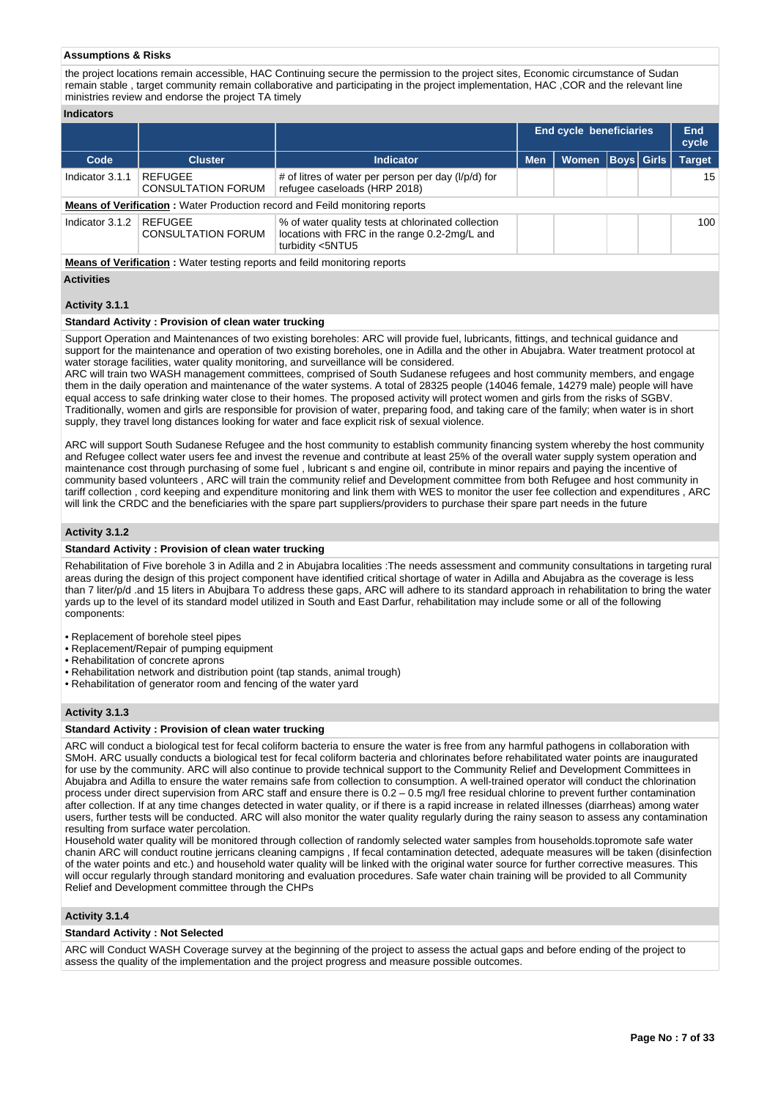## **Assumptions & Risks**

the project locations remain accessible, HAC Continuing secure the permission to the project sites, Economic circumstance of Sudan remain stable , target community remain collaborative and participating in the project implementation, HAC ,COR and the relevant line ministries review and endorse the project TA timely

|                 |                                                                                  |                                                                                                                         | <b>End cycle beneficiaries</b> |              |                   | End<br>cycle |               |  |  |
|-----------------|----------------------------------------------------------------------------------|-------------------------------------------------------------------------------------------------------------------------|--------------------------------|--------------|-------------------|--------------|---------------|--|--|
| Code            | <b>Cluster</b>                                                                   | <b>Indicator</b>                                                                                                        | <b>Men</b>                     | <b>Women</b> | <b>Boys</b> Girls |              | <b>Target</b> |  |  |
| Indicator 3.1.1 | <b>REFUGEE</b><br><b>CONSULTATION FORUM</b>                                      | # of litres of water per person per day (l/p/d) for<br>refugee caseloads (HRP 2018)                                     |                                |              |                   |              | 15            |  |  |
|                 |                                                                                  | <b>Means of Verification:</b> Water Production record and Feild monitoring reports                                      |                                |              |                   |              |               |  |  |
| Indicator 3.1.2 | REFUGEE<br><b>CONSULTATION FORUM</b>                                             | % of water quality tests at chlorinated collection<br>locations with FRC in the range 0.2-2mg/L and<br>turbidity <5NTU5 |                                |              |                   |              | 100           |  |  |
|                 | <b>Means of Verification:</b> Water testing reports and feild monitoring reports |                                                                                                                         |                                |              |                   |              |               |  |  |

**Activities**

# **Activity 3.1.1**

# **Standard Activity : Provision of clean water trucking**

Support Operation and Maintenances of two existing boreholes: ARC will provide fuel, lubricants, fittings, and technical guidance and support for the maintenance and operation of two existing boreholes, one in Adilla and the other in Abujabra. Water treatment protocol at water storage facilities, water quality monitoring, and surveillance will be considered.

ARC will train two WASH management committees, comprised of South Sudanese refugees and host community members, and engage them in the daily operation and maintenance of the water systems. A total of 28325 people (14046 female, 14279 male) people will have equal access to safe drinking water close to their homes. The proposed activity will protect women and girls from the risks of SGBV. Traditionally, women and girls are responsible for provision of water, preparing food, and taking care of the family; when water is in short supply, they travel long distances looking for water and face explicit risk of sexual violence.

ARC will support South Sudanese Refugee and the host community to establish community financing system whereby the host community and Refugee collect water users fee and invest the revenue and contribute at least 25% of the overall water supply system operation and maintenance cost through purchasing of some fuel , lubricant s and engine oil, contribute in minor repairs and paying the incentive of community based volunteers , ARC will train the community relief and Development committee from both Refugee and host community in tariff collection , cord keeping and expenditure monitoring and link them with WES to monitor the user fee collection and expenditures , ARC will link the CRDC and the beneficiaries with the spare part suppliers/providers to purchase their spare part needs in the future

## **Activity 3.1.2**

# **Standard Activity : Provision of clean water trucking**

Rehabilitation of Five borehole 3 in Adilla and 2 in Abujabra localities :The needs assessment and community consultations in targeting rural areas during the design of this project component have identified critical shortage of water in Adilla and Abujabra as the coverage is less than 7 liter/p/d .and 15 liters in Abujbara To address these gaps, ARC will adhere to its standard approach in rehabilitation to bring the water yards up to the level of its standard model utilized in South and East Darfur, rehabilitation may include some or all of the following components:

- Replacement of borehole steel pipes
- Replacement/Repair of pumping equipment
- Rehabilitation of concrete aprons
- Rehabilitation network and distribution point (tap stands, animal trough)
- Rehabilitation of generator room and fencing of the water yard

# **Activity 3.1.3**

## **Standard Activity : Provision of clean water trucking**

ARC will conduct a biological test for fecal coliform bacteria to ensure the water is free from any harmful pathogens in collaboration with SMoH. ARC usually conducts a biological test for fecal coliform bacteria and chlorinates before rehabilitated water points are inaugurated for use by the community. ARC will also continue to provide technical support to the Community Relief and Development Committees in Abujabra and Adilla to ensure the water remains safe from collection to consumption. A well-trained operator will conduct the chlorination process under direct supervision from ARC staff and ensure there is 0.2 – 0.5 mg/l free residual chlorine to prevent further contamination after collection. If at any time changes detected in water quality, or if there is a rapid increase in related illnesses (diarrheas) among water users, further tests will be conducted. ARC will also monitor the water quality regularly during the rainy season to assess any contamination resulting from surface water percolation.

Household water quality will be monitored through collection of randomly selected water samples from households.topromote safe water chanin ARC will conduct routine jerricans cleaning campigns , If fecal contamination detected, adequate measures will be taken (disinfection of the water points and etc.) and household water quality will be linked with the original water source for further corrective measures. This will occur regularly through standard monitoring and evaluation procedures. Safe water chain training will be provided to all Community Relief and Development committee through the CHPs

# **Activity 3.1.4**

### **Standard Activity : Not Selected**

ARC will Conduct WASH Coverage survey at the beginning of the project to assess the actual gaps and before ending of the project to assess the quality of the implementation and the project progress and measure possible outcomes.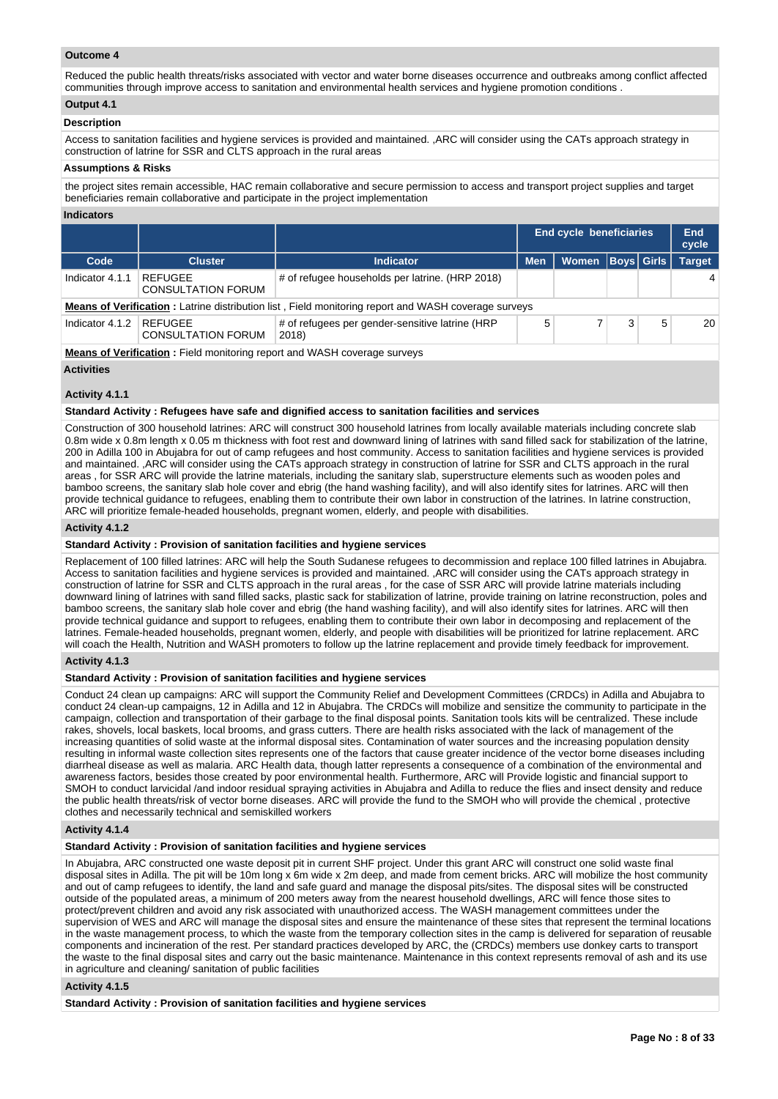# **Outcome 4**

Reduced the public health threats/risks associated with vector and water borne diseases occurrence and outbreaks among conflict affected communities through improve access to sanitation and environmental health services and hygiene promotion conditions .

# **Output 4.1**

# **Description**

Access to sanitation facilities and hygiene services is provided and maintained. ,ARC will consider using the CATs approach strategy in construction of latrine for SSR and CLTS approach in the rural areas

## **Assumptions & Risks**

the project sites remain accessible, HAC remain collaborative and secure permission to access and transport project supplies and target beneficiaries remain collaborative and participate in the project implementation

### **Indicators**

|                                                                                                            |                                      |                                                                           |            | <b>End cycle beneficiaries</b> |  |             | End<br>cycle  |  |
|------------------------------------------------------------------------------------------------------------|--------------------------------------|---------------------------------------------------------------------------|------------|--------------------------------|--|-------------|---------------|--|
| Code                                                                                                       | <b>Cluster</b>                       | <b>Indicator</b>                                                          | <b>Men</b> | Women                          |  | Boys  Girls | <b>Target</b> |  |
| Indicator 4.1.1                                                                                            | REFUGEE<br><b>CONSULTATION FORUM</b> | # of refugee households per latrine. (HRP 2018)                           |            |                                |  |             | 4             |  |
| <b>Means of Verification:</b> Latrine distribution list, Field monitoring report and WASH coverage surveys |                                      |                                                                           |            |                                |  |             |               |  |
| Indicator 4.1.2                                                                                            | REFUGEE<br><b>CONSULTATION FORUM</b> | # of refugees per gender-sensitive latrine (HRP<br>2018)                  | 5          |                                |  | 5           | 20            |  |
|                                                                                                            |                                      | Moone of Varification : Field menitoring report and WASH coverage ourvoys |            |                                |  |             |               |  |

**Means of Verification :** Field monitoring report and WASH coverage surveys

**Activities**

# **Activity 4.1.1**

**Standard Activity : Refugees have safe and dignified access to sanitation facilities and services**

Construction of 300 household latrines: ARC will construct 300 household latrines from locally available materials including concrete slab 0.8m wide x 0.8m length x 0.05 m thickness with foot rest and downward lining of latrines with sand filled sack for stabilization of the latrine, 200 in Adilla 100 in Abujabra for out of camp refugees and host community. Access to sanitation facilities and hygiene services is provided and maintained. ,ARC will consider using the CATs approach strategy in construction of latrine for SSR and CLTS approach in the rural areas , for SSR ARC will provide the latrine materials, including the sanitary slab, superstructure elements such as wooden poles and bamboo screens, the sanitary slab hole cover and ebrig (the hand washing facility), and will also identify sites for latrines. ARC will then provide technical guidance to refugees, enabling them to contribute their own labor in construction of the latrines. In latrine construction, ARC will prioritize female-headed households, pregnant women, elderly, and people with disabilities.

## **Activity 4.1.2**

## **Standard Activity : Provision of sanitation facilities and hygiene services**

Replacement of 100 filled latrines: ARC will help the South Sudanese refugees to decommission and replace 100 filled latrines in Abujabra. Access to sanitation facilities and hygiene services is provided and maintained. ,ARC will consider using the CATs approach strategy in construction of latrine for SSR and CLTS approach in the rural areas , for the case of SSR ARC will provide latrine materials including downward lining of latrines with sand filled sacks, plastic sack for stabilization of latrine, provide training on latrine reconstruction, poles and bamboo screens, the sanitary slab hole cover and ebrig (the hand washing facility), and will also identify sites for latrines. ARC will then provide technical guidance and support to refugees, enabling them to contribute their own labor in decomposing and replacement of the latrines. Female-headed households, pregnant women, elderly, and people with disabilities will be prioritized for latrine replacement. ARC will coach the Health, Nutrition and WASH promoters to follow up the latrine replacement and provide timely feedback for improvement.

# **Activity 4.1.3**

# **Standard Activity : Provision of sanitation facilities and hygiene services**

Conduct 24 clean up campaigns: ARC will support the Community Relief and Development Committees (CRDCs) in Adilla and Abujabra to conduct 24 clean-up campaigns, 12 in Adilla and 12 in Abujabra. The CRDCs will mobilize and sensitize the community to participate in the campaign, collection and transportation of their garbage to the final disposal points. Sanitation tools kits will be centralized. These include rakes, shovels, local baskets, local brooms, and grass cutters. There are health risks associated with the lack of management of the increasing quantities of solid waste at the informal disposal sites. Contamination of water sources and the increasing population density resulting in informal waste collection sites represents one of the factors that cause greater incidence of the vector borne diseases including diarrheal disease as well as malaria. ARC Health data, though latter represents a consequence of a combination of the environmental and awareness factors, besides those created by poor environmental health. Furthermore, ARC will Provide logistic and financial support to SMOH to conduct larvicidal /and indoor residual spraying activities in Abujabra and Adilla to reduce the flies and insect density and reduce the public health threats/risk of vector borne diseases. ARC will provide the fund to the SMOH who will provide the chemical , protective clothes and necessarily technical and semiskilled workers

### **Activity 4.1.4**

## **Standard Activity : Provision of sanitation facilities and hygiene services**

In Abujabra, ARC constructed one waste deposit pit in current SHF project. Under this grant ARC will construct one solid waste final disposal sites in Adilla. The pit will be 10m long x 6m wide x 2m deep, and made from cement bricks. ARC will mobilize the host community and out of camp refugees to identify, the land and safe guard and manage the disposal pits/sites. The disposal sites will be constructed outside of the populated areas, a minimum of 200 meters away from the nearest household dwellings, ARC will fence those sites to protect/prevent children and avoid any risk associated with unauthorized access. The WASH management committees under the supervision of WES and ARC will manage the disposal sites and ensure the maintenance of these sites that represent the terminal locations in the waste management process, to which the waste from the temporary collection sites in the camp is delivered for separation of reusable components and incineration of the rest. Per standard practices developed by ARC, the (CRDCs) members use donkey carts to transport the waste to the final disposal sites and carry out the basic maintenance. Maintenance in this context represents removal of ash and its use in agriculture and cleaning/ sanitation of public facilities

### **Activity 4.1.5**

**Standard Activity : Provision of sanitation facilities and hygiene services**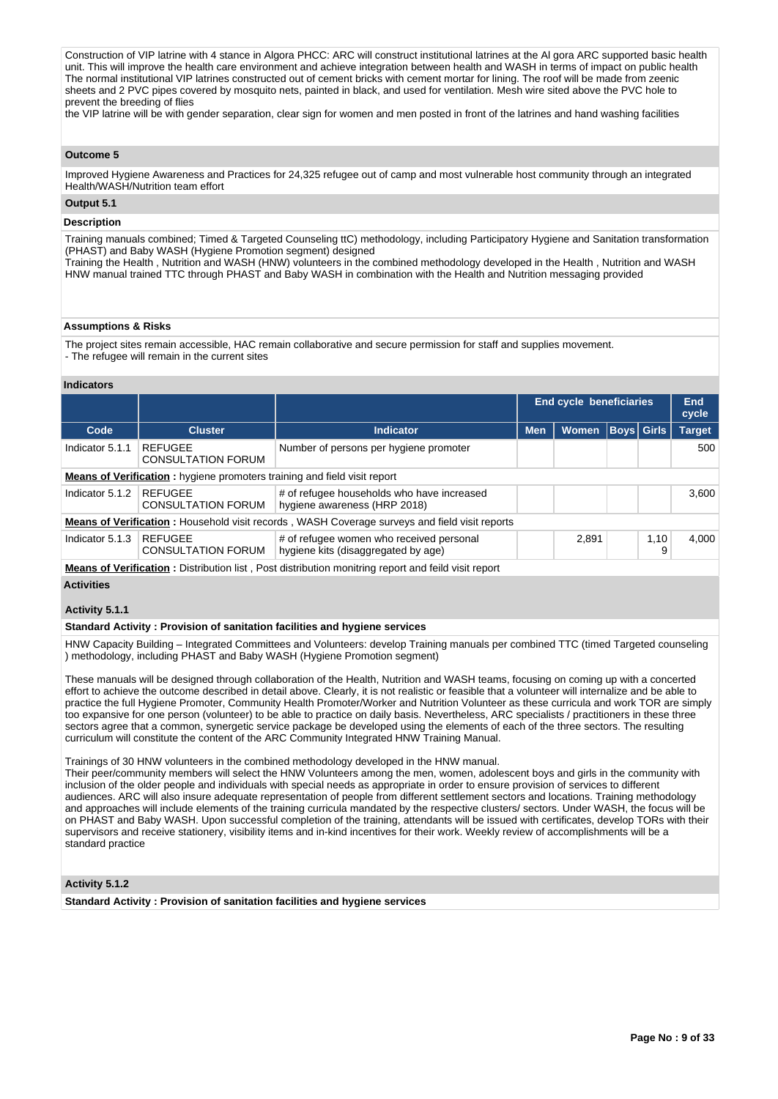Construction of VIP latrine with 4 stance in Algora PHCC: ARC will construct institutional latrines at the Al gora ARC supported basic health unit. This will improve the health care environment and achieve integration between health and WASH in terms of impact on public health The normal institutional VIP latrines constructed out of cement bricks with cement mortar for lining. The roof will be made from zeenic sheets and 2 PVC pipes covered by mosquito nets, painted in black, and used for ventilation. Mesh wire sited above the PVC hole to prevent the breeding of flies

the VIP latrine will be with gender separation, clear sign for women and men posted in front of the latrines and hand washing facilities

# **Outcome 5**

Improved Hygiene Awareness and Practices for 24,325 refugee out of camp and most vulnerable host community through an integrated Health/WASH/Nutrition team effort

# **Output 5.1**

# **Description**

Training manuals combined; Timed & Targeted Counseling ttC) methodology, including Participatory Hygiene and Sanitation transformation (PHAST) and Baby WASH (Hygiene Promotion segment) designed

Training the Health , Nutrition and WASH (HNW) volunteers in the combined methodology developed in the Health , Nutrition and WASH HNW manual trained TTC through PHAST and Baby WASH in combination with the Health and Nutrition messaging provided

## **Assumptions & Risks**

The project sites remain accessible, HAC remain collaborative and secure permission for staff and supplies movement.

- The refugee will remain in the current sites

### **Indicators**

|                 |                                                                                 |                                                                                                            |            | <b>End cycle beneficiaries</b> |                   | <b>End</b><br>cycle |
|-----------------|---------------------------------------------------------------------------------|------------------------------------------------------------------------------------------------------------|------------|--------------------------------|-------------------|---------------------|
| Code            | <b>Cluster</b>                                                                  | <b>Indicator</b>                                                                                           | <b>Men</b> | <b>Women</b>                   | <b>Boys Girls</b> | <b>Target</b>       |
| Indicator 5.1.1 | <b>REFUGEE</b><br><b>CONSULTATION FORUM</b>                                     | Number of persons per hygiene promoter                                                                     |            |                                |                   | 500                 |
|                 | <b>Means of Verification:</b> hygiene promoters training and field visit report |                                                                                                            |            |                                |                   |                     |
| Indicator 5.1.2 | REFUGEE<br><b>CONSULTATION FORUM</b>                                            | # of refugee households who have increased<br>hygiene awareness (HRP 2018)                                 |            |                                |                   | 3.600               |
|                 |                                                                                 | <b>Means of Verification:</b> Household visit records, WASH Coverage surveys and field visit reports       |            |                                |                   |                     |
| Indicator 5.1.3 | <b>REFUGEE</b><br><b>CONSULTATION FORUM</b>                                     | # of refugee women who received personal<br>hygiene kits (disaggregated by age)                            |            | 2.891                          | 1,10<br>9         | 4.000               |
|                 |                                                                                 | <b>Means of Verification:</b> Distribution list, Post distribution monitring report and feild visit report |            |                                |                   |                     |

# **Activities**

## **Activity 5.1.1**

**Standard Activity : Provision of sanitation facilities and hygiene services**

HNW Capacity Building – Integrated Committees and Volunteers: develop Training manuals per combined TTC (timed Targeted counseling ) methodology, including PHAST and Baby WASH (Hygiene Promotion segment)

These manuals will be designed through collaboration of the Health, Nutrition and WASH teams, focusing on coming up with a concerted effort to achieve the outcome described in detail above. Clearly, it is not realistic or feasible that a volunteer will internalize and be able to practice the full Hygiene Promoter, Community Health Promoter/Worker and Nutrition Volunteer as these curricula and work TOR are simply too expansive for one person (volunteer) to be able to practice on daily basis. Nevertheless, ARC specialists / practitioners in these three sectors agree that a common, synergetic service package be developed using the elements of each of the three sectors. The resulting curriculum will constitute the content of the ARC Community Integrated HNW Training Manual.

Trainings of 30 HNW volunteers in the combined methodology developed in the HNW manual.

Their peer/community members will select the HNW Volunteers among the men, women, adolescent boys and girls in the community with inclusion of the older people and individuals with special needs as appropriate in order to ensure provision of services to different audiences. ARC will also insure adequate representation of people from different settlement sectors and locations. Training methodology and approaches will include elements of the training curricula mandated by the respective clusters/ sectors. Under WASH, the focus will be on PHAST and Baby WASH. Upon successful completion of the training, attendants will be issued with certificates, develop TORs with their supervisors and receive stationery, visibility items and in-kind incentives for their work. Weekly review of accomplishments will be a standard practice

# **Activity 5.1.2**

**Standard Activity : Provision of sanitation facilities and hygiene services**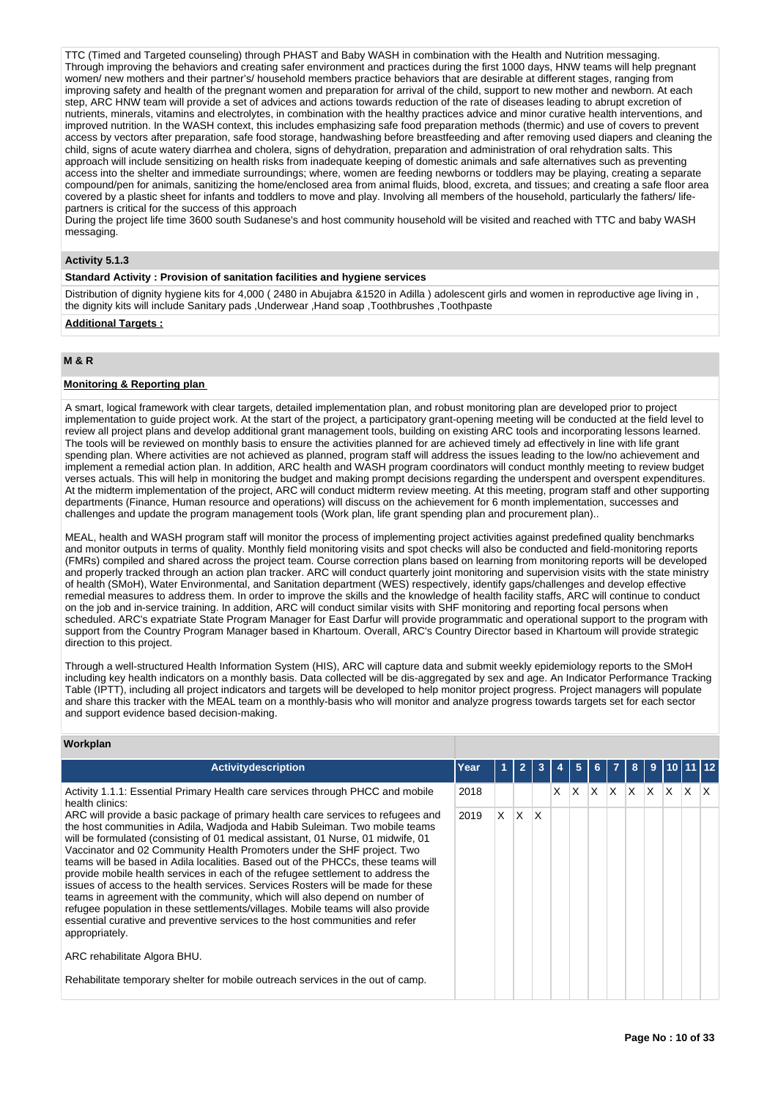TTC (Timed and Targeted counseling) through PHAST and Baby WASH in combination with the Health and Nutrition messaging. Through improving the behaviors and creating safer environment and practices during the first 1000 days, HNW teams will help pregnant women/ new mothers and their partner's/ household members practice behaviors that are desirable at different stages, ranging from improving safety and health of the pregnant women and preparation for arrival of the child, support to new mother and newborn. At each step, ARC HNW team will provide a set of advices and actions towards reduction of the rate of diseases leading to abrupt excretion of nutrients, minerals, vitamins and electrolytes, in combination with the healthy practices advice and minor curative health interventions, and improved nutrition. In the WASH context, this includes emphasizing safe food preparation methods (thermic) and use of covers to prevent access by vectors after preparation, safe food storage, handwashing before breastfeeding and after removing used diapers and cleaning the access by vectors after preparation, safe food storage, handwashing before breastfee child, signs of acute watery diarrhea and cholera, signs of dehydration, preparation and administration of oral rehydration salts. This approach will include sensitizing on health risks from inadequate keeping of domestic animals and safe alternatives such as preventing access into the shelter and immediate surroundings; where, women are feeding newborns or toddlers may be playing, creating a separate compound/pen for animals, sanitizing the home/enclosed area from animal fluids, blood, excreta, and tissues; and creating a safe floor area covered by a plastic sheet for infants and toddlers to move and play. Involving all members of the household, particularly the fathers/ lifepartners is critical for the success of this approach

During the project life time 3600 south Sudanese's and host community household will be visited and reached with TTC and baby WASH messaging.

# **Activity 5.1.3**

# **Standard Activity : Provision of sanitation facilities and hygiene services**

Distribution of dignity hygiene kits for 4,000 ( 2480 in Abujabra &1520 in Adilla ) adolescent girls and women in reproductive age living in , the dignity kits will include Sanitary pads ,Underwear ,Hand soap ,Toothbrushes ,Toothpaste

# **Additional Targets :**

# **M & R**

# **Monitoring & Reporting plan**

A smart, logical framework with clear targets, detailed implementation plan, and robust monitoring plan are developed prior to project implementation to guide project work. At the start of the project, a participatory grant-opening meeting will be conducted at the field level to review all project plans and develop additional grant management tools, building on existing ARC tools and incorporating lessons learned. The tools will be reviewed on monthly basis to ensure the activities planned for are achieved timely ad effectively in line with life grant spending plan. Where activities are not achieved as planned, program staff will address the issues leading to the low/no achievement and implement a remedial action plan. In addition, ARC health and WASH program coordinators will conduct monthly meeting to review budget verses actuals. This will help in monitoring the budget and making prompt decisions regarding the underspent and overspent expenditures. At the midterm implementation of the project, ARC will conduct midterm review meeting. At this meeting, program staff and other supporting departments (Finance, Human resource and operations) will discuss on the achievement for 6 month implementation, successes and challenges and update the program management tools (Work plan, life grant spending plan and procurement plan)..

MEAL, health and WASH program staff will monitor the process of implementing project activities against predefined quality benchmarks and monitor outputs in terms of quality. Monthly field monitoring visits and spot checks will also be conducted and field-monitoring reports (FMRs) compiled and shared across the project team. Course correction plans based on learning from monitoring reports will be developed and properly tracked through an action plan tracker. ARC will conduct quarterly joint monitoring and supervision visits with the state ministry of health (SMoH), Water Environmental, and Sanitation department (WES) respectively, identify gaps/challenges and develop effective remedial measures to address them. In order to improve the skills and the knowledge of health facility staffs, ARC will continue to conduct on the job and in-service training. In addition, ARC will conduct similar visits with SHF monitoring and reporting focal persons when scheduled. ARC's expatriate State Program Manager for East Darfur will provide programmatic and operational support to the program with support from the Country Program Manager based in Khartoum. Overall, ARC's Country Director based in Khartoum will provide strategic direction to this project.

Through a well-structured Health Information System (HIS), ARC will capture data and submit weekly epidemiology reports to the SMoH including key health indicators on a monthly basis. Data collected will be dis-aggregated by sex and age. An Indicator Performance Tracking Table (IPTT), including all project indicators and targets will be developed to help monitor project progress. Project managers will populate and share this tracker with the MEAL team on a monthly-basis who will monitor and analyze progress towards targets set for each sector and support evidence based decision-making.

# **Workplan**

| <b>Activitydescription</b>                                                                                                                                                                                                                                                                                                                                                                                                                                                                                                                                                                                                                                                                                                                                                                                                                                     | Year |    | $\overline{2}$ | 3            |   | 5 |   |              | 8   | 9  |          |   |   |
|----------------------------------------------------------------------------------------------------------------------------------------------------------------------------------------------------------------------------------------------------------------------------------------------------------------------------------------------------------------------------------------------------------------------------------------------------------------------------------------------------------------------------------------------------------------------------------------------------------------------------------------------------------------------------------------------------------------------------------------------------------------------------------------------------------------------------------------------------------------|------|----|----------------|--------------|---|---|---|--------------|-----|----|----------|---|---|
| Activity 1.1.1: Essential Primary Health care services through PHCC and mobile<br>health clinics:                                                                                                                                                                                                                                                                                                                                                                                                                                                                                                                                                                                                                                                                                                                                                              | 2018 |    |                |              | x | X | X | $\mathsf{X}$ | ΙX. | X. | $\times$ | X | X |
| ARC will provide a basic package of primary health care services to refugees and<br>the host communities in Adila, Wadjoda and Habib Suleiman. Two mobile teams<br>will be formulated (consisting of 01 medical assistant, 01 Nurse, 01 midwife, 01<br>Vaccinator and 02 Community Health Promoters under the SHF project. Two<br>teams will be based in Adila localities. Based out of the PHCCs, these teams will<br>provide mobile health services in each of the refugee settlement to address the<br>issues of access to the health services. Services Rosters will be made for these<br>teams in agreement with the community, which will also depend on number of<br>refugee population in these settlements/villages. Mobile teams will also provide<br>essential curative and preventive services to the host communities and refer<br>appropriately. | 2019 | X. | IX.            | $\mathsf{X}$ |   |   |   |              |     |    |          |   |   |
| ARC rehabilitate Algora BHU.                                                                                                                                                                                                                                                                                                                                                                                                                                                                                                                                                                                                                                                                                                                                                                                                                                   |      |    |                |              |   |   |   |              |     |    |          |   |   |
| Rehabilitate temporary shelter for mobile outreach services in the out of camp.                                                                                                                                                                                                                                                                                                                                                                                                                                                                                                                                                                                                                                                                                                                                                                                |      |    |                |              |   |   |   |              |     |    |          |   |   |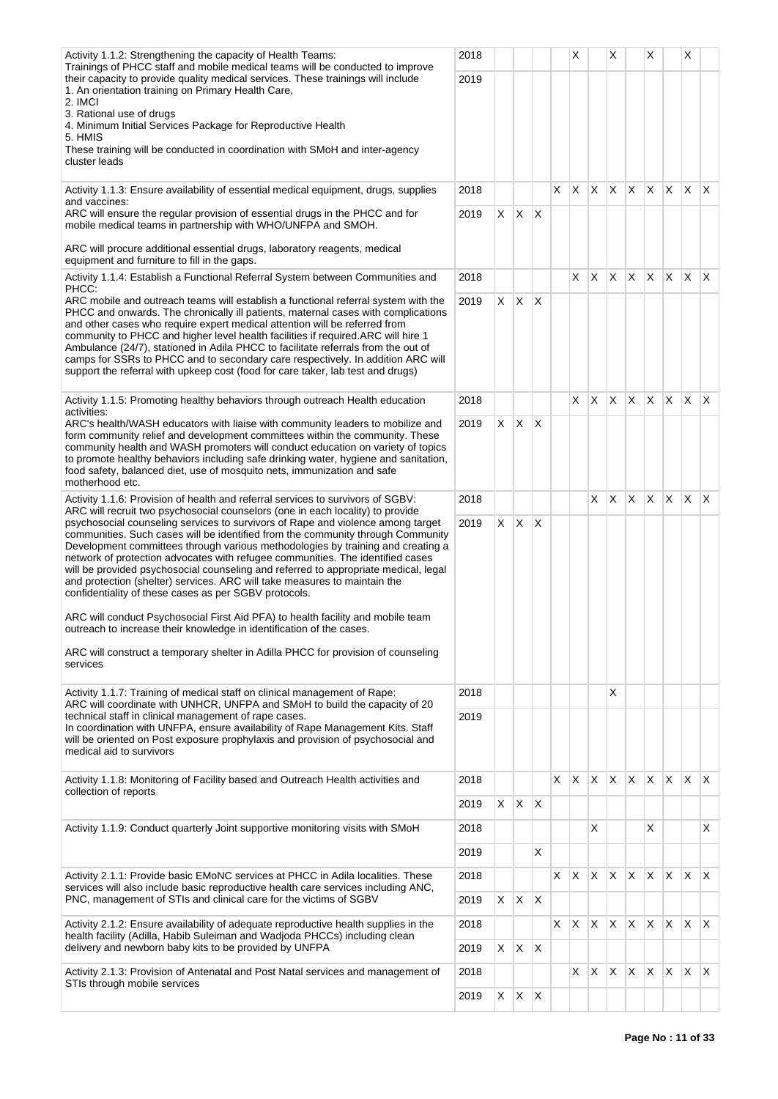| Activity 1.1.2: Strengthening the capacity of Health Teams:<br>Trainings of PHCC staff and mobile medical teams will be conducted to improve                                                                                                                                                                                                                                                                                                                                      | 2018 |            |    |              |    | Χ  |          | X            |             | X            |              | Х            |              |
|-----------------------------------------------------------------------------------------------------------------------------------------------------------------------------------------------------------------------------------------------------------------------------------------------------------------------------------------------------------------------------------------------------------------------------------------------------------------------------------|------|------------|----|--------------|----|----|----------|--------------|-------------|--------------|--------------|--------------|--------------|
| their capacity to provide quality medical services. These trainings will include                                                                                                                                                                                                                                                                                                                                                                                                  | 2019 |            |    |              |    |    |          |              |             |              |              |              |              |
| 1. An orientation training on Primary Health Care,<br>2. IMCI                                                                                                                                                                                                                                                                                                                                                                                                                     |      |            |    |              |    |    |          |              |             |              |              |              |              |
| 3. Rational use of drugs<br>4. Minimum Initial Services Package for Reproductive Health                                                                                                                                                                                                                                                                                                                                                                                           |      |            |    |              |    |    |          |              |             |              |              |              |              |
| 5. HMIS                                                                                                                                                                                                                                                                                                                                                                                                                                                                           |      |            |    |              |    |    |          |              |             |              |              |              |              |
| These training will be conducted in coordination with SMoH and inter-agency<br>cluster leads                                                                                                                                                                                                                                                                                                                                                                                      |      |            |    |              |    |    |          |              |             |              |              |              |              |
| Activity 1.1.3: Ensure availability of essential medical equipment, drugs, supplies<br>and vaccines:                                                                                                                                                                                                                                                                                                                                                                              | 2018 |            |    |              | X  | X  | X        | X            | X.          | X.           | ΙX.          | ΙX.          | $\mathsf{X}$ |
| ARC will ensure the regular provision of essential drugs in the PHCC and for<br>mobile medical teams in partnership with WHO/UNFPA and SMOH.                                                                                                                                                                                                                                                                                                                                      | 2019 | X          | X  | X            |    |    |          |              |             |              |              |              |              |
| ARC will procure additional essential drugs, laboratory reagents, medical<br>equipment and furniture to fill in the gaps.                                                                                                                                                                                                                                                                                                                                                         |      |            |    |              |    |    |          |              |             |              |              |              |              |
| Activity 1.1.4: Establish a Functional Referral System between Communities and<br>PHCC:                                                                                                                                                                                                                                                                                                                                                                                           | 2018 |            |    |              |    | X  | X        | X            | IX.         | X            | $\mathsf{X}$ | X            | $\mathsf{X}$ |
| ARC mobile and outreach teams will establish a functional referral system with the<br>PHCC and onwards. The chronically ill patients, maternal cases with complications<br>and other cases who require expert medical attention will be referred from                                                                                                                                                                                                                             | 2019 | X.         | X. | X            |    |    |          |              |             |              |              |              |              |
| community to PHCC and higher level health facilities if required. ARC will hire 1<br>Ambulance (24/7), stationed in Adila PHCC to facilitate referrals from the out of<br>camps for SSRs to PHCC and to secondary care respectively. In addition ARC will<br>support the referral with upkeep cost (food for care taker, lab test and drugs)                                                                                                                                      |      |            |    |              |    |    |          |              |             |              |              |              |              |
| Activity 1.1.5: Promoting healthy behaviors through outreach Health education<br>activities:                                                                                                                                                                                                                                                                                                                                                                                      | 2018 |            |    |              |    | X. | X.       | ΙX.          | $ X $ $ X $ |              | ΙX.          | $\mathsf{X}$ | X            |
| ARC's health/WASH educators with liaise with community leaders to mobilize and<br>form community relief and development committees within the community. These                                                                                                                                                                                                                                                                                                                    | 2019 | X.         | X. | ΙX.          |    |    |          |              |             |              |              |              |              |
| community health and WASH promoters will conduct education on variety of topics<br>to promote healthy behaviors including safe drinking water, hygiene and sanitation,<br>food safety, balanced diet, use of mosquito nets, immunization and safe<br>motherhood etc.                                                                                                                                                                                                              |      |            |    |              |    |    |          |              |             |              |              |              |              |
| Activity 1.1.6: Provision of health and referral services to survivors of SGBV:<br>ARC will recruit two psychosocial counselors (one in each locality) to provide                                                                                                                                                                                                                                                                                                                 | 2018 |            |    |              |    |    | X        | X            | X.          | $\times$     | ΙX.          | $\mathsf{X}$ | ΙX.          |
| psychosocial counseling services to survivors of Rape and violence among target                                                                                                                                                                                                                                                                                                                                                                                                   | 2019 | X.         | X  | X            |    |    |          |              |             |              |              |              |              |
| communities. Such cases will be identified from the community through Community<br>Development committees through various methodologies by training and creating a<br>network of protection advocates with refugee communities. The identified cases<br>will be provided psychosocial counseling and referred to appropriate medical, legal<br>and protection (shelter) services. ARC will take measures to maintain the<br>confidentiality of these cases as per SGBV protocols. |      |            |    |              |    |    |          |              |             |              |              |              |              |
| ARC will conduct Psychosocial First Aid PFA) to health facility and mobile team<br>outreach to increase their knowledge in identification of the cases.                                                                                                                                                                                                                                                                                                                           |      |            |    |              |    |    |          |              |             |              |              |              |              |
| ARC will construct a temporary shelter in Adilla PHCC for provision of counseling<br>services                                                                                                                                                                                                                                                                                                                                                                                     |      |            |    |              |    |    |          |              |             |              |              |              |              |
| Activity 1.1.7: Training of medical staff on clinical management of Rape:<br>ARC will coordinate with UNHCR, UNFPA and SMoH to build the capacity of 20                                                                                                                                                                                                                                                                                                                           | 2018 |            |    |              |    |    |          | X            |             |              |              |              |              |
| technical staff in clinical management of rape cases.<br>In coordination with UNFPA, ensure availability of Rape Management Kits. Staff                                                                                                                                                                                                                                                                                                                                           | 2019 |            |    |              |    |    |          |              |             |              |              |              |              |
| will be oriented on Post exposure prophylaxis and provision of psychosocial and<br>medical aid to survivors                                                                                                                                                                                                                                                                                                                                                                       |      |            |    |              |    |    |          |              |             |              |              |              |              |
| Activity 1.1.8: Monitoring of Facility based and Outreach Health activities and                                                                                                                                                                                                                                                                                                                                                                                                   | 2018 |            |    |              | X. | X. | X.       | $\mathsf{X}$ | IX I        | X.           | X.           | $\mathsf{X}$ | ΙX.          |
| collection of reports                                                                                                                                                                                                                                                                                                                                                                                                                                                             | 2019 | $x \mid x$ |    | $\mathsf{X}$ |    |    |          |              |             |              |              |              |              |
| Activity 1.1.9: Conduct quarterly Joint supportive monitoring visits with SMoH                                                                                                                                                                                                                                                                                                                                                                                                    | 2018 |            |    |              |    |    | X        |              |             | X            |              |              | X            |
|                                                                                                                                                                                                                                                                                                                                                                                                                                                                                   | 2019 |            |    | X            |    |    |          |              |             |              |              |              |              |
| Activity 2.1.1: Provide basic EMoNC services at PHCC in Adila localities. These                                                                                                                                                                                                                                                                                                                                                                                                   | 2018 |            |    |              | X. | X  | <b>X</b> | X            | ΙX.         | X            | $\mathsf{X}$ | X            | $\mathsf{X}$ |
| services will also include basic reproductive health care services including ANC,<br>PNC, management of STIs and clinical care for the victims of SGBV                                                                                                                                                                                                                                                                                                                            | 2019 | X          | X. | $\mathsf{X}$ |    |    |          |              |             |              |              |              |              |
| Activity 2.1.2: Ensure availability of adequate reproductive health supplies in the<br>health facility (Adilla, Habib Suleiman and Wadjoda PHCCs) including clean                                                                                                                                                                                                                                                                                                                 | 2018 |            |    |              | X. | X  | X        | X            | X.          | X            | $\mathsf{X}$ | X            | $\mathsf{X}$ |
| delivery and newborn baby kits to be provided by UNFPA                                                                                                                                                                                                                                                                                                                                                                                                                            | 2019 | $\times$   | X. | $\mathsf{X}$ |    |    |          |              |             |              |              |              |              |
| Activity 2.1.3: Provision of Antenatal and Post Natal services and management of<br>STIs through mobile services                                                                                                                                                                                                                                                                                                                                                                  | 2018 |            |    |              |    | X. | X        | X.           | IX.         | $\mathsf{X}$ | X.           | $\mathsf{X}$ | $\mathsf{X}$ |
|                                                                                                                                                                                                                                                                                                                                                                                                                                                                                   | 2019 | X          | X. | $\mathsf{X}$ |    |    |          |              |             |              |              |              |              |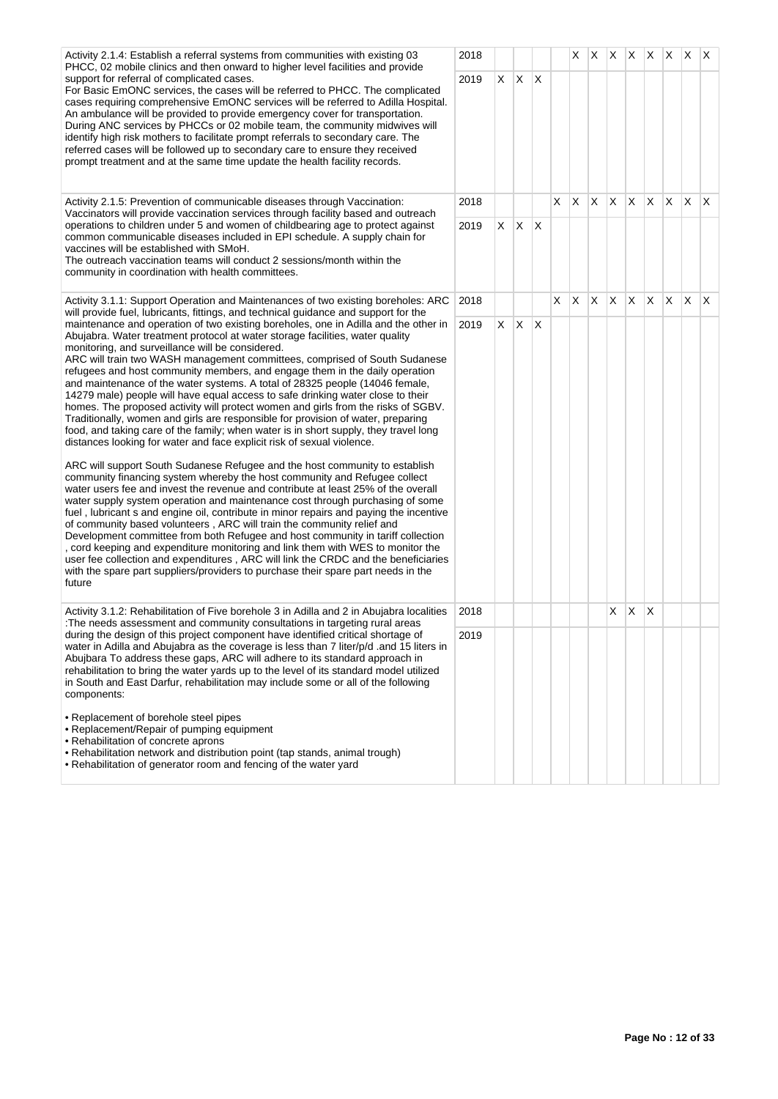| Activity 2.1.4: Establish a referral systems from communities with existing 03                                                                                                                                                                                                                                                                                                                                                                                                                                                                                                                                                                                                                                                                                                                                                                                                                                                                                                                                                                                                                                                                                                                                                                                                                                                                                                                                                                                                                                                                                                                                                                                                                                                                                       | 2018 |    |              |              |    | X. | X  | X            |              | X X X        |          | X. | $\mathsf{I} \mathsf{X}$ |
|----------------------------------------------------------------------------------------------------------------------------------------------------------------------------------------------------------------------------------------------------------------------------------------------------------------------------------------------------------------------------------------------------------------------------------------------------------------------------------------------------------------------------------------------------------------------------------------------------------------------------------------------------------------------------------------------------------------------------------------------------------------------------------------------------------------------------------------------------------------------------------------------------------------------------------------------------------------------------------------------------------------------------------------------------------------------------------------------------------------------------------------------------------------------------------------------------------------------------------------------------------------------------------------------------------------------------------------------------------------------------------------------------------------------------------------------------------------------------------------------------------------------------------------------------------------------------------------------------------------------------------------------------------------------------------------------------------------------------------------------------------------------|------|----|--------------|--------------|----|----|----|--------------|--------------|--------------|----------|----|-------------------------|
| PHCC, 02 mobile clinics and then onward to higher level facilities and provide<br>support for referral of complicated cases.<br>For Basic EmONC services, the cases will be referred to PHCC. The complicated<br>cases requiring comprehensive EmONC services will be referred to Adilla Hospital.<br>An ambulance will be provided to provide emergency cover for transportation.<br>During ANC services by PHCCs or 02 mobile team, the community midwives will<br>identify high risk mothers to facilitate prompt referrals to secondary care. The<br>referred cases will be followed up to secondary care to ensure they received<br>prompt treatment and at the same time update the health facility records.                                                                                                                                                                                                                                                                                                                                                                                                                                                                                                                                                                                                                                                                                                                                                                                                                                                                                                                                                                                                                                                   | 2019 | X. | $\mathsf{X}$ | $\mathsf{X}$ |    |    |    |              |              |              |          |    |                         |
| Activity 2.1.5: Prevention of communicable diseases through Vaccination:<br>Vaccinators will provide vaccination services through facility based and outreach                                                                                                                                                                                                                                                                                                                                                                                                                                                                                                                                                                                                                                                                                                                                                                                                                                                                                                                                                                                                                                                                                                                                                                                                                                                                                                                                                                                                                                                                                                                                                                                                        | 2018 |    |              |              | X. | X. | X. | $\mathsf{X}$ | $ X $ $ X $  |              | <b>X</b> | X. | $\mathsf{X}$            |
| operations to children under 5 and women of childbearing age to protect against<br>common communicable diseases included in EPI schedule. A supply chain for<br>vaccines will be established with SMoH.<br>The outreach vaccination teams will conduct 2 sessions/month within the<br>community in coordination with health committees.                                                                                                                                                                                                                                                                                                                                                                                                                                                                                                                                                                                                                                                                                                                                                                                                                                                                                                                                                                                                                                                                                                                                                                                                                                                                                                                                                                                                                              | 2019 | X. | IX.          | $\mathsf{X}$ |    |    |    |              |              |              |          |    |                         |
| Activity 3.1.1: Support Operation and Maintenances of two existing boreholes: ARC<br>will provide fuel, lubricants, fittings, and technical guidance and support for the                                                                                                                                                                                                                                                                                                                                                                                                                                                                                                                                                                                                                                                                                                                                                                                                                                                                                                                                                                                                                                                                                                                                                                                                                                                                                                                                                                                                                                                                                                                                                                                             | 2018 |    |              |              | X  | X  | X  | Χ            | IX.          | $\mathsf{X}$ | $\times$ | X. | ΙX.                     |
| maintenance and operation of two existing boreholes, one in Adilla and the other in<br>Abujabra. Water treatment protocol at water storage facilities, water quality<br>monitoring, and surveillance will be considered.<br>ARC will train two WASH management committees, comprised of South Sudanese<br>refugees and host community members, and engage them in the daily operation<br>and maintenance of the water systems. A total of 28325 people (14046 female,<br>14279 male) people will have equal access to safe drinking water close to their<br>homes. The proposed activity will protect women and girls from the risks of SGBV.<br>Traditionally, women and girls are responsible for provision of water, preparing<br>food, and taking care of the family; when water is in short supply, they travel long<br>distances looking for water and face explicit risk of sexual violence.<br>ARC will support South Sudanese Refugee and the host community to establish<br>community financing system whereby the host community and Refugee collect<br>water users fee and invest the revenue and contribute at least 25% of the overall<br>water supply system operation and maintenance cost through purchasing of some<br>fuel, lubricant s and engine oil, contribute in minor repairs and paying the incentive<br>of community based volunteers, ARC will train the community relief and<br>Development committee from both Refugee and host community in tariff collection<br>, cord keeping and expenditure monitoring and link them with WES to monitor the<br>user fee collection and expenditures, ARC will link the CRDC and the beneficiaries<br>with the spare part suppliers/providers to purchase their spare part needs in the<br>future | 2019 | X  | X            | <sup>X</sup> |    |    |    |              |              |              |          |    |                         |
| Activity 3.1.2: Rehabilitation of Five borehole 3 in Adilla and 2 in Abujabra localities<br>: The needs assessment and community consultations in targeting rural areas                                                                                                                                                                                                                                                                                                                                                                                                                                                                                                                                                                                                                                                                                                                                                                                                                                                                                                                                                                                                                                                                                                                                                                                                                                                                                                                                                                                                                                                                                                                                                                                              | 2018 |    |              |              |    |    |    | X            | $\mathsf{X}$ | $\mathsf{X}$ |          |    |                         |
| during the design of this project component have identified critical shortage of<br>water in Adilla and Abujabra as the coverage is less than 7 liter/p/d .and 15 liters in<br>Abujbara To address these gaps, ARC will adhere to its standard approach in<br>rehabilitation to bring the water yards up to the level of its standard model utilized<br>in South and East Darfur, rehabilitation may include some or all of the following<br>components:<br>• Replacement of borehole steel pipes<br>• Replacement/Repair of pumping equipment<br>• Rehabilitation of concrete aprons<br>• Rehabilitation network and distribution point (tap stands, animal trough)<br>• Rehabilitation of generator room and fencing of the water yard                                                                                                                                                                                                                                                                                                                                                                                                                                                                                                                                                                                                                                                                                                                                                                                                                                                                                                                                                                                                                             | 2019 |    |              |              |    |    |    |              |              |              |          |    |                         |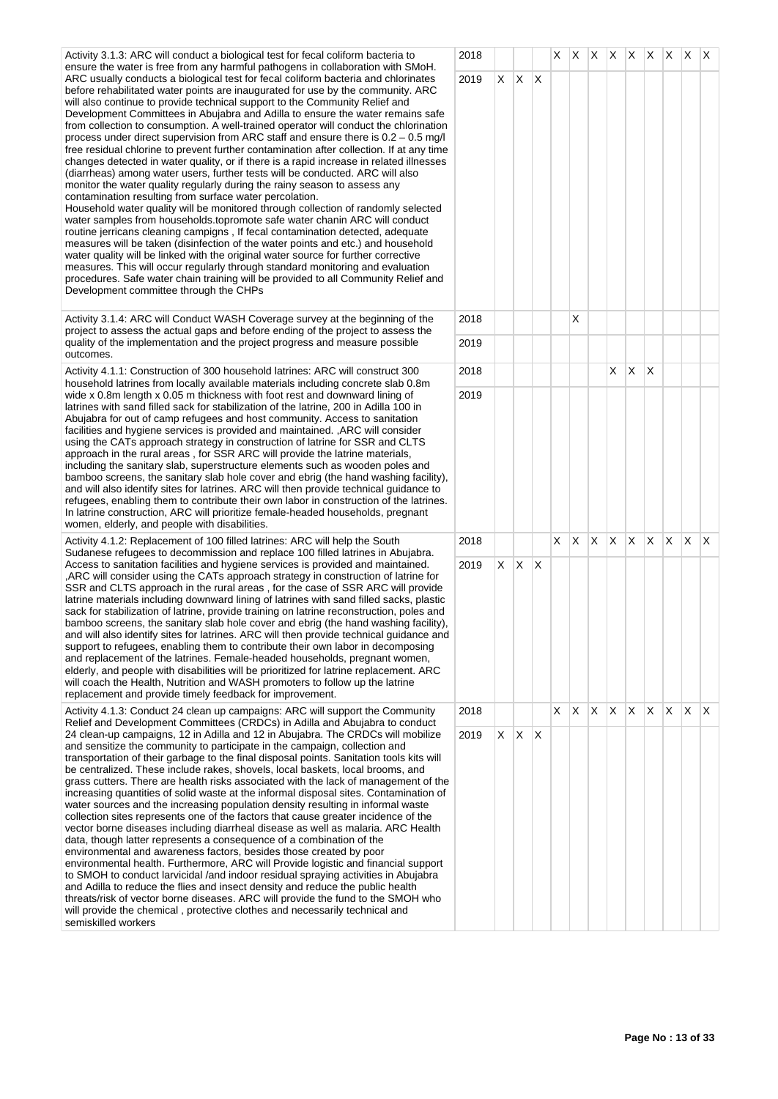Activity 3.1.3: ARC will conduct a biological test for fecal coliform bacteria to ensure the water is free from any harmful pathogens in collaboration with SMoH. ARC usually conducts a biological test for fecal coliform bacteria and chlorinates before rehabilitated water points are inaugurated for use by the community. ARC will also continue to provide technical support to the Community Relief and Development Committees in Abujabra and Adilla to ensure the water remains safe from collection to consumption. A well-trained operator will conduct the chlorination process under direct supervision from ARC staff and ensure there is 0.2 – 0.5 mg/l free residual chlorine to prevent further contamination after collection. If at any time changes detected in water quality, or if there is a rapid increase in related illnesses (diarrheas) among water users, further tests will be conducted. ARC will also monitor the water quality regularly during the rainy season to assess any contamination resulting from surface water percolation. Household water quality will be monitored through collection of randomly selected water samples from households.topromote safe water chanin ARC will conduct routine jerricans cleaning campigns , If fecal contamination detected, adequate measures will be taken (disinfection of the water points and etc.) and household water quality will be linked with the original water source for further corrective measures. This will occur regularly through standard monitoring and evaluation procedures. Safe water chain training will be provided to all Community Relief and Development committee through the CHPs

Activity 3.1.4: ARC will Conduct WASH Coverage survey at the beginning of the project to assess the actual gaps and before ending of the project to assess the quality of the implementation and the project progress and measure possible outcomes.

Activity 4.1.1: Construction of 300 household latrines: ARC will construct 300 household latrines from locally available materials including concrete slab 0.8m wide x 0.8m length x 0.05 m thickness with foot rest and downward lining of latrines with sand filled sack for stabilization of the latrine, 200 in Adilla 100 in Abujabra for out of camp refugees and host community. Access to sanitation facilities and hygiene services is provided and maintained. ,ARC will consider using the CATs approach strategy in construction of latrine for SSR and CLTS approach in the rural areas , for SSR ARC will provide the latrine materials, including the sanitary slab, superstructure elements such as wooden poles and bamboo screens, the sanitary slab hole cover and ebrig (the hand washing facility), and will also identify sites for latrines. ARC will then provide technical guidance to refugees, enabling them to contribute their own labor in construction of the latrines. In latrine construction, ARC will prioritize female-headed households, pregnant women, elderly, and people with disabilities.

Activity 4.1.2: Replacement of 100 filled latrines: ARC will help the South Sudanese refugees to decommission and replace 100 filled latrines in Abujabra. Access to sanitation facilities and hygiene services is provided and maintained. ,ARC will consider using the CATs approach strategy in construction of latrine for SSR and CLTS approach in the rural areas , for the case of SSR ARC will provide latrine materials including downward lining of latrines with sand filled sacks, plastic sack for stabilization of latrine, provide training on latrine reconstruction, poles and bamboo screens, the sanitary slab hole cover and ebrig (the hand washing facility), and will also identify sites for latrines. ARC will then provide technical guidance and support to refugees, enabling them to contribute their own labor in decomposing and replacement of the latrines. Female-headed households, pregnant women, elderly, and people with disabilities will be prioritized for latrine replacement. ARC will coach the Health, Nutrition and WASH promoters to follow up the latrine replacement and provide timely feedback for improvement.

Activity 4.1.3: Conduct 24 clean up campaigns: ARC will support the Community Relief and Development Committees (CRDCs) in Adilla and Abujabra to conduct 24 clean-up campaigns, 12 in Adilla and 12 in Abujabra. The CRDCs will mobilize and sensitize the community to participate in the campaign, collection and transportation of their garbage to the final disposal points. Sanitation tools kits will be centralized. These include rakes, shovels, local baskets, local brooms, and grass cutters. There are health risks associated with the lack of management of the increasing quantities of solid waste at the informal disposal sites. Contamination of water sources and the increasing population density resulting in informal waste collection sites represents one of the factors that cause greater incidence of the vector borne diseases including diarrheal disease as well as malaria. ARC Health data, though latter represents a consequence of a combination of the environmental and awareness factors, besides those created by poor environmental health. Furthermore, ARC will Provide logistic and financial support to SMOH to conduct larvicidal /and indoor residual spraying activities in Abujabra and Adilla to reduce the flies and insect density and reduce the public health threats/risk of vector borne diseases. ARC will provide the fund to the SMOH who will provide the chemical , protective clothes and necessarily technical and semiskilled workers

| 2018 |                         |              |                         | $\overline{X}$          |                         | $x \mid x \mid x \mid x$ |                         |                         | $\overline{X}$          | $x \mid x$              |                | X |
|------|-------------------------|--------------|-------------------------|-------------------------|-------------------------|--------------------------|-------------------------|-------------------------|-------------------------|-------------------------|----------------|---|
| 2019 | $\pmb{\mathsf{X}}$      | X            | $\pmb{\times}$          |                         |                         |                          |                         |                         |                         |                         |                |   |
| 2018 |                         |              |                         |                         | X                       |                          |                         |                         |                         |                         |                |   |
| 2019 |                         |              |                         |                         |                         |                          |                         |                         |                         |                         |                |   |
| 2018 |                         |              |                         |                         |                         |                          | $\overline{\mathsf{X}}$ | $\overline{\mathsf{X}}$ | $\sf X$                 |                         |                |   |
| 2019 |                         |              |                         |                         |                         |                          |                         |                         |                         |                         |                |   |
| 2018 |                         |              |                         | $\overline{\mathsf{x}}$ | $\overline{\mathsf{x}}$ | $\overline{X}$           | $\overline{X}$          | $\bar{\mathsf{X}}$      | $\overline{X}$          | $\overline{\mathsf{x}}$ | $\overline{X}$ | X |
| 2019 | $\mathsf X$             | X            | $\overline{\mathsf{X}}$ |                         |                         |                          |                         |                         |                         |                         |                |   |
| 2018 |                         |              |                         | X                       | $\mathsf{X}$            | $\mathsf X$              | $x \mid x$              |                         | $\overline{\mathsf{X}}$ | $\mathsf{X}^-$          | $\mathsf X$    | X |
| 2019 | $\overline{\mathsf{x}}$ | $\mathsf{X}$ | $\pmb{\times}$          |                         |                         |                          |                         |                         |                         |                         |                |   |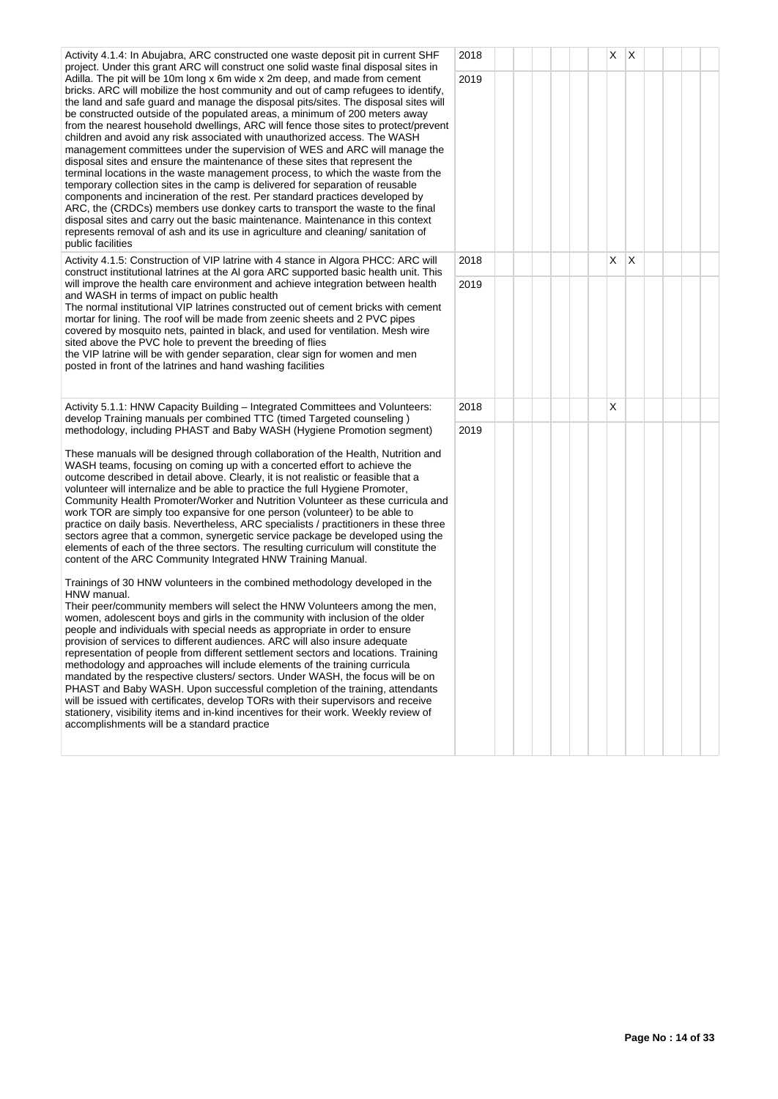| Activity 4.1.4: In Abujabra, ARC constructed one waste deposit pit in current SHF<br>project. Under this grant ARC will construct one solid waste final disposal sites in                                                                                                                                                                                                                                                                                                                                                                                                                                                                                                                                                                                                                                                                                                                                                                                                                                                                                                                                                                                                                                | 2018 |  |  | X  | X |  |  |
|----------------------------------------------------------------------------------------------------------------------------------------------------------------------------------------------------------------------------------------------------------------------------------------------------------------------------------------------------------------------------------------------------------------------------------------------------------------------------------------------------------------------------------------------------------------------------------------------------------------------------------------------------------------------------------------------------------------------------------------------------------------------------------------------------------------------------------------------------------------------------------------------------------------------------------------------------------------------------------------------------------------------------------------------------------------------------------------------------------------------------------------------------------------------------------------------------------|------|--|--|----|---|--|--|
| Adilla. The pit will be 10m long x 6m wide x 2m deep, and made from cement<br>bricks. ARC will mobilize the host community and out of camp refugees to identify,<br>the land and safe guard and manage the disposal pits/sites. The disposal sites will<br>be constructed outside of the populated areas, a minimum of 200 meters away<br>from the nearest household dwellings, ARC will fence those sites to protect/prevent<br>children and avoid any risk associated with unauthorized access. The WASH<br>management committees under the supervision of WES and ARC will manage the<br>disposal sites and ensure the maintenance of these sites that represent the<br>terminal locations in the waste management process, to which the waste from the<br>temporary collection sites in the camp is delivered for separation of reusable<br>components and incineration of the rest. Per standard practices developed by<br>ARC, the (CRDCs) members use donkey carts to transport the waste to the final<br>disposal sites and carry out the basic maintenance. Maintenance in this context<br>represents removal of ash and its use in agriculture and cleaning/sanitation of<br>public facilities | 2019 |  |  |    |   |  |  |
| Activity 4.1.5: Construction of VIP latrine with 4 stance in Algora PHCC: ARC will<br>construct institutional latrines at the AI gora ARC supported basic health unit. This                                                                                                                                                                                                                                                                                                                                                                                                                                                                                                                                                                                                                                                                                                                                                                                                                                                                                                                                                                                                                              | 2018 |  |  | X. | X |  |  |
| will improve the health care environment and achieve integration between health<br>and WASH in terms of impact on public health<br>The normal institutional VIP latrines constructed out of cement bricks with cement<br>mortar for lining. The roof will be made from zeenic sheets and 2 PVC pipes<br>covered by mosquito nets, painted in black, and used for ventilation. Mesh wire<br>sited above the PVC hole to prevent the breeding of flies<br>the VIP latrine will be with gender separation, clear sign for women and men<br>posted in front of the latrines and hand washing facilities                                                                                                                                                                                                                                                                                                                                                                                                                                                                                                                                                                                                      | 2019 |  |  |    |   |  |  |
| Activity 5.1.1: HNW Capacity Building – Integrated Committees and Volunteers:<br>develop Training manuals per combined TTC (timed Targeted counseling)                                                                                                                                                                                                                                                                                                                                                                                                                                                                                                                                                                                                                                                                                                                                                                                                                                                                                                                                                                                                                                                   | 2018 |  |  | X  |   |  |  |
| methodology, including PHAST and Baby WASH (Hygiene Promotion segment)<br>These manuals will be designed through collaboration of the Health, Nutrition and<br>WASH teams, focusing on coming up with a concerted effort to achieve the<br>outcome described in detail above. Clearly, it is not realistic or feasible that a<br>volunteer will internalize and be able to practice the full Hygiene Promoter,<br>Community Health Promoter/Worker and Nutrition Volunteer as these curricula and<br>work TOR are simply too expansive for one person (volunteer) to be able to<br>practice on daily basis. Nevertheless, ARC specialists / practitioners in these three<br>sectors agree that a common, synergetic service package be developed using the<br>elements of each of the three sectors. The resulting curriculum will constitute the<br>content of the ARC Community Integrated HNW Training Manual.                                                                                                                                                                                                                                                                                        | 2019 |  |  |    |   |  |  |
| Trainings of 30 HNW volunteers in the combined methodology developed in the<br>HNW manual.<br>Their peer/community members will select the HNW Volunteers among the men,<br>women, adolescent boys and girls in the community with inclusion of the older<br>people and individuals with special needs as appropriate in order to ensure<br>provision of services to different audiences. ARC will also insure adequate<br>representation of people from different settlement sectors and locations. Training<br>methodology and approaches will include elements of the training curricula<br>mandated by the respective clusters/ sectors. Under WASH, the focus will be on<br>PHAST and Baby WASH. Upon successful completion of the training, attendants<br>will be issued with certificates, develop TORs with their supervisors and receive<br>stationery, visibility items and in-kind incentives for their work. Weekly review of<br>accomplishments will be a standard practice                                                                                                                                                                                                                 |      |  |  |    |   |  |  |
|                                                                                                                                                                                                                                                                                                                                                                                                                                                                                                                                                                                                                                                                                                                                                                                                                                                                                                                                                                                                                                                                                                                                                                                                          |      |  |  |    |   |  |  |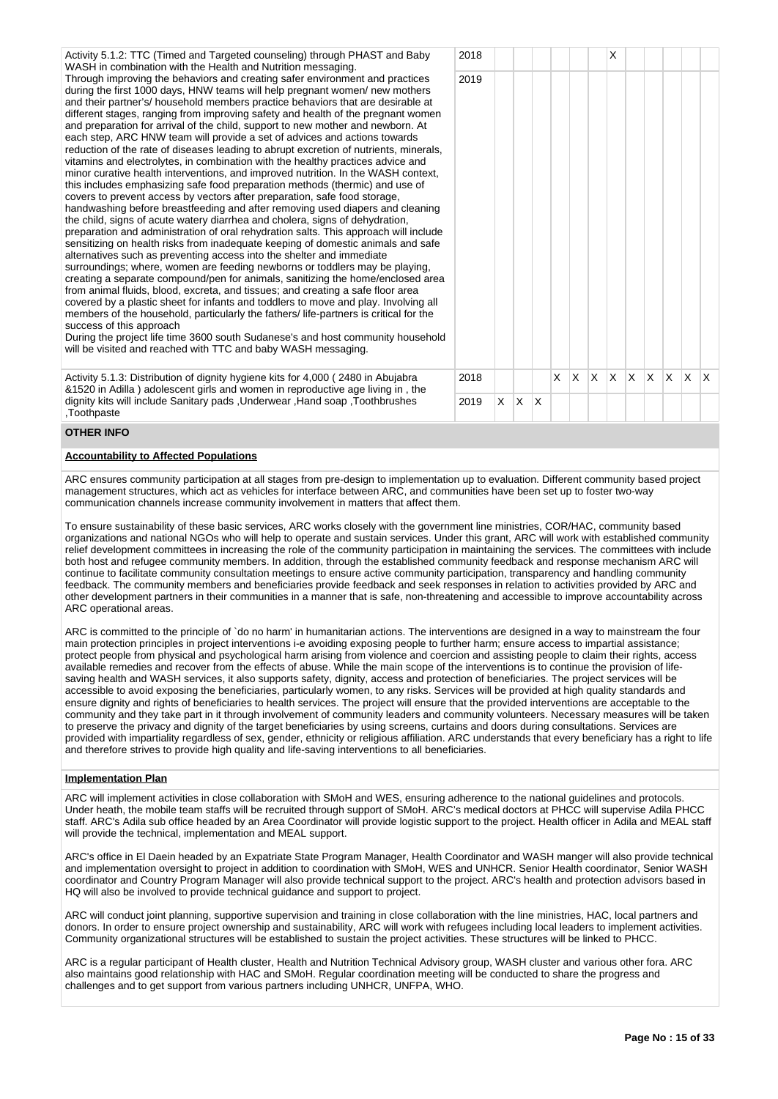| Activity 5.1.2: TTC (Timed and Targeted counseling) through PHAST and Baby<br>WASH in combination with the Health and Nutrition messaging.                                                                                                                                                                                                                                                                                                                                                                                                                                                                                                                                                                                                                                                                                                                                                                                                                                                                                                                                                                                                                                                                                                                                                                                                                                                                                                                                                                                                                                                                                                                                                                                                                                                                                                                                                                                                                                | 2018 |  |        |        |        | X      |        |        |        |        |  |
|---------------------------------------------------------------------------------------------------------------------------------------------------------------------------------------------------------------------------------------------------------------------------------------------------------------------------------------------------------------------------------------------------------------------------------------------------------------------------------------------------------------------------------------------------------------------------------------------------------------------------------------------------------------------------------------------------------------------------------------------------------------------------------------------------------------------------------------------------------------------------------------------------------------------------------------------------------------------------------------------------------------------------------------------------------------------------------------------------------------------------------------------------------------------------------------------------------------------------------------------------------------------------------------------------------------------------------------------------------------------------------------------------------------------------------------------------------------------------------------------------------------------------------------------------------------------------------------------------------------------------------------------------------------------------------------------------------------------------------------------------------------------------------------------------------------------------------------------------------------------------------------------------------------------------------------------------------------------------|------|--|--------|--------|--------|--------|--------|--------|--------|--------|--|
| Through improving the behaviors and creating safer environment and practices<br>during the first 1000 days, HNW teams will help pregnant women/ new mothers<br>and their partner's/household members practice behaviors that are desirable at<br>different stages, ranging from improving safety and health of the pregnant women<br>and preparation for arrival of the child, support to new mother and newborn. At<br>each step, ARC HNW team will provide a set of advices and actions towards<br>reduction of the rate of diseases leading to abrupt excretion of nutrients, minerals,<br>vitamins and electrolytes, in combination with the healthy practices advice and<br>minor curative health interventions, and improved nutrition. In the WASH context,<br>this includes emphasizing safe food preparation methods (thermic) and use of<br>covers to prevent access by vectors after preparation, safe food storage,<br>handwashing before breastfeeding and after removing used diapers and cleaning<br>the child, signs of acute watery diarrhea and cholera, signs of dehydration,<br>preparation and administration of oral rehydration salts. This approach will include<br>sensitizing on health risks from inadequate keeping of domestic animals and safe<br>alternatives such as preventing access into the shelter and immediate<br>surroundings; where, women are feeding newborns or toddlers may be playing,<br>creating a separate compound/pen for animals, sanitizing the home/enclosed area<br>from animal fluids, blood, excreta, and tissues; and creating a safe floor area<br>covered by a plastic sheet for infants and toddlers to move and play. Involving all<br>members of the household, particularly the fathers/life-partners is critical for the<br>success of this approach<br>During the project life time 3600 south Sudanese's and host community household<br>will be visited and reached with TTC and baby WASH messaging. | 2019 |  |        |        |        |        |        |        |        |        |  |
| Activity E 4.0. Distribution of dignity business life for 4.000 (.0400 in Abujobro                                                                                                                                                                                                                                                                                                                                                                                                                                                                                                                                                                                                                                                                                                                                                                                                                                                                                                                                                                                                                                                                                                                                                                                                                                                                                                                                                                                                                                                                                                                                                                                                                                                                                                                                                                                                                                                                                        | 0010 |  | $\vee$ | $\vee$ | $\vee$ | $\vee$ | $\vee$ | $\vee$ | $\vee$ | $\vee$ |  |

tivity 5.1.3: Distribution of dignity hygiene kits for 4,000 (2480 in Abujabra &1520 in Adilla ) adolescent girls and women in reproductive age living in , the dignity kits will include Sanitary pads ,Underwear ,Hand soap ,Toothbrushes ,Toothpaste

# 2018 X X X X X X X X X 2019  $\vert x \vert x \vert x$

# **OTHER INFO**

## **Accountability to Affected Populations**

ARC ensures community participation at all stages from pre-design to implementation up to evaluation. Different community based project management structures, which act as vehicles for interface between ARC, and communities have been set up to foster two-way communication channels increase community involvement in matters that affect them.

To ensure sustainability of these basic services, ARC works closely with the government line ministries, COR/HAC, community based organizations and national NGOs who will help to operate and sustain services. Under this grant, ARC will work with established community relief development committees in increasing the role of the community participation in maintaining the services. The committees with include both host and refugee community members. In addition, through the established community feedback and response mechanism ARC will continue to facilitate community consultation meetings to ensure active community participation, transparency and handling community feedback. The community members and beneficiaries provide feedback and seek responses in relation to activities provided by ARC and other development partners in their communities in a manner that is safe, non-threatening and accessible to improve accountability across ARC operational areas.

ARC is committed to the principle of `do no harm' in humanitarian actions. The interventions are designed in a way to mainstream the four main protection principles in project interventions i-e avoiding exposing people to further harm; ensure access to impartial assistance; protect people from physical and psychological harm arising from violence and coercion and assisting people to claim their rights, access available remedies and recover from the effects of abuse. While the main scope of the interventions is to continue the provision of lifesaving health and WASH services, it also supports safety, dignity, access and protection of beneficiaries. The project services will be accessible to avoid exposing the beneficiaries, particularly women, to any risks. Services will be provided at high quality standards and ensure dignity and rights of beneficiaries to health services. The project will ensure that the provided interventions are acceptable to the community and they take part in it through involvement of community leaders and community volunteers. Necessary measures will be taken to preserve the privacy and dignity of the target beneficiaries by using screens, curtains and doors during consultations. Services are provided with impartiality regardless of sex, gender, ethnicity or religious affiliation. ARC understands that every beneficiary has a right to life and therefore strives to provide high quality and life-saving interventions to all beneficiaries.

## **Implementation Plan**

ARC will implement activities in close collaboration with SMoH and WES, ensuring adherence to the national guidelines and protocols. Under heath, the mobile team staffs will be recruited through support of SMoH. ARC's medical doctors at PHCC will supervise Adila PHCC staff. ARC's Adila sub office headed by an Area Coordinator will provide logistic support to the project. Health officer in Adila and MEAL staff will provide the technical, implementation and MEAL support.

ARC's office in El Daein headed by an Expatriate State Program Manager, Health Coordinator and WASH manger will also provide technical and implementation oversight to project in addition to coordination with SMoH, WES and UNHCR. Senior Health coordinator, Senior WASH coordinator and Country Program Manager will also provide technical support to the project. ARC's health and protection advisors based in HQ will also be involved to provide technical guidance and support to project.

ARC will conduct joint planning, supportive supervision and training in close collaboration with the line ministries, HAC, local partners and donors. In order to ensure project ownership and sustainability, ARC will work with refugees including local leaders to implement activities. Community organizational structures will be established to sustain the project activities. These structures will be linked to PHCC.

ARC is a regular participant of Health cluster, Health and Nutrition Technical Advisory group, WASH cluster and various other fora. ARC also maintains good relationship with HAC and SMoH. Regular coordination meeting will be conducted to share the progress and challenges and to get support from various partners including UNHCR, UNFPA, WHO.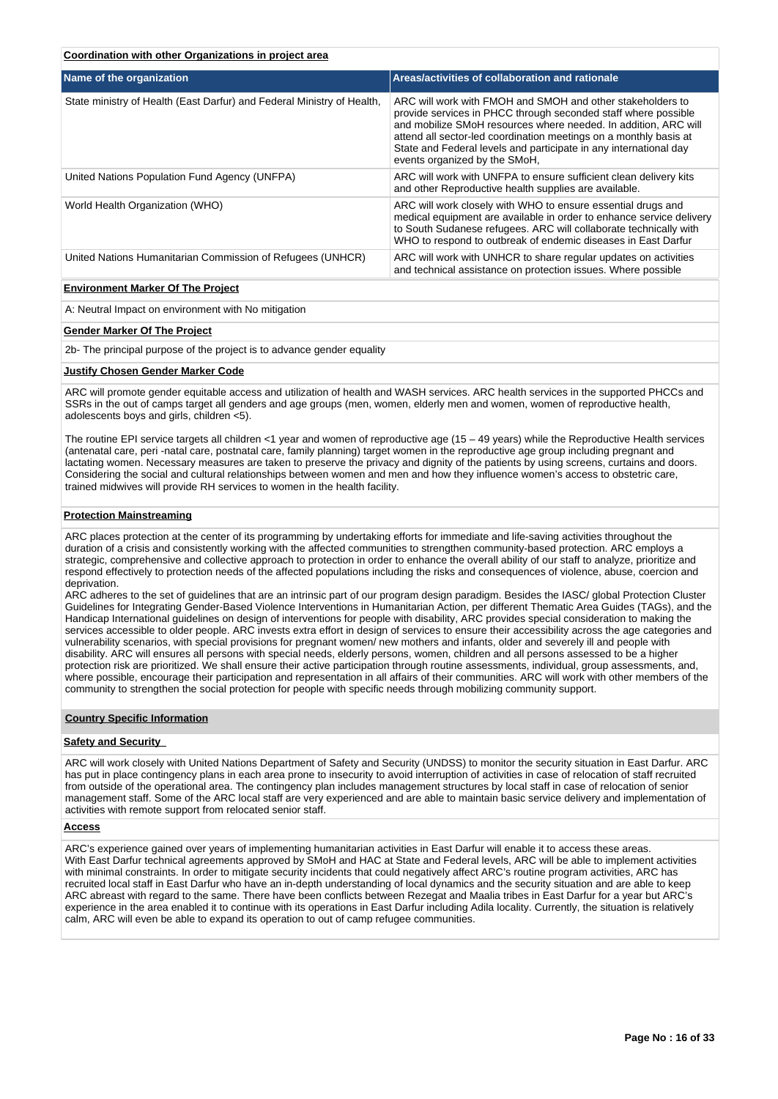# **Coordination with other Organizations in project area**

| Name of the organization                                               | Areas/activities of collaboration and rationale                                                                                                                                                                                                                                                                                                                            |
|------------------------------------------------------------------------|----------------------------------------------------------------------------------------------------------------------------------------------------------------------------------------------------------------------------------------------------------------------------------------------------------------------------------------------------------------------------|
| State ministry of Health (East Darfur) and Federal Ministry of Health, | ARC will work with FMOH and SMOH and other stakeholders to<br>provide services in PHCC through seconded staff where possible<br>and mobilize SMoH resources where needed. In addition, ARC will<br>attend all sector-led coordination meetings on a monthly basis at<br>State and Federal levels and participate in any international day<br>events organized by the SMoH, |
| United Nations Population Fund Agency (UNFPA)                          | ARC will work with UNFPA to ensure sufficient clean delivery kits<br>and other Reproductive health supplies are available.                                                                                                                                                                                                                                                 |
| World Health Organization (WHO)                                        | ARC will work closely with WHO to ensure essential drugs and<br>medical equipment are available in order to enhance service delivery<br>to South Sudanese refugees. ARC will collaborate technically with<br>WHO to respond to outbreak of endemic diseases in East Darfur                                                                                                 |
| United Nations Humanitarian Commission of Refugees (UNHCR)             | ARC will work with UNHCR to share regular updates on activities<br>and technical assistance on protection issues. Where possible                                                                                                                                                                                                                                           |

## **Environment Marker Of The Project**

A: Neutral Impact on environment with No mitigation

### **Gender Marker Of The Project**

2b- The principal purpose of the project is to advance gender equality

## **Justify Chosen Gender Marker Code**

ARC will promote gender equitable access and utilization of health and WASH services. ARC health services in the supported PHCCs and SSRs in the out of camps target all genders and age groups (men, women, elderly men and women, women of reproductive health, adolescents boys and girls, children <5).

The routine EPI service targets all children <1 year and women of reproductive age (15 – 49 years) while the Reproductive Health services (antenatal care, peri -natal care, postnatal care, family planning) target women in the reproductive age group including pregnant and lactating women. Necessary measures are taken to preserve the privacy and dignity of the patients by using screens, curtains and doors. Considering the social and cultural relationships between women and men and how they influence women's access to obstetric care, trained midwives will provide RH services to women in the health facility.

## **Protection Mainstreaming**

ARC places protection at the center of its programming by undertaking efforts for immediate and life-saving activities throughout the duration of a crisis and consistently working with the affected communities to strengthen community-based protection. ARC employs a strategic, comprehensive and collective approach to protection in order to enhance the overall ability of our staff to analyze, prioritize and respond effectively to protection needs of the affected populations including the risks and consequences of violence, abuse, coercion and deprivation.

ARC adheres to the set of guidelines that are an intrinsic part of our program design paradigm. Besides the IASC/ global Protection Cluster Guidelines for Integrating Gender-Based Violence Interventions in Humanitarian Action, per different Thematic Area Guides (TAGs), and the Handicap International guidelines on design of interventions for people with disability, ARC provides special consideration to making the services accessible to older people. ARC invests extra effort in design of services to ensure their accessibility across the age categories and vulnerability scenarios, with special provisions for pregnant women/ new mothers and infants, older and severely ill and people with disability. ARC will ensures all persons with special needs, elderly persons, women, children and all persons assessed to be a higher protection risk are prioritized. We shall ensure their active participation through routine assessments, individual, group assessments, and, where possible, encourage their participation and representation in all affairs of their communities. ARC will work with other members of the community to strengthen the social protection for people with specific needs through mobilizing community support.

# **Country Specific Information**

### **Safety and Security**

ARC will work closely with United Nations Department of Safety and Security (UNDSS) to monitor the security situation in East Darfur. ARC has put in place contingency plans in each area prone to insecurity to avoid interruption of activities in case of relocation of staff recruited from outside of the operational area. The contingency plan includes management structures by local staff in case of relocation of senior management staff. Some of the ARC local staff are very experienced and are able to maintain basic service delivery and implementation of activities with remote support from relocated senior staff.

# **Access**

ARC's experience gained over years of implementing humanitarian activities in East Darfur will enable it to access these areas. With East Darfur technical agreements approved by SMoH and HAC at State and Federal levels, ARC will be able to implement activities with minimal constraints. In order to mitigate security incidents that could negatively affect ARC's routine program activities, ARC has recruited local staff in East Darfur who have an in-depth understanding of local dynamics and the security situation and are able to keep ARC abreast with regard to the same. There have been conflicts between Rezegat and Maalia tribes in East Darfur for a year but ARC's experience in the area enabled it to continue with its operations in East Darfur including Adila locality. Currently, the situation is relatively calm, ARC will even be able to expand its operation to out of camp refugee communities.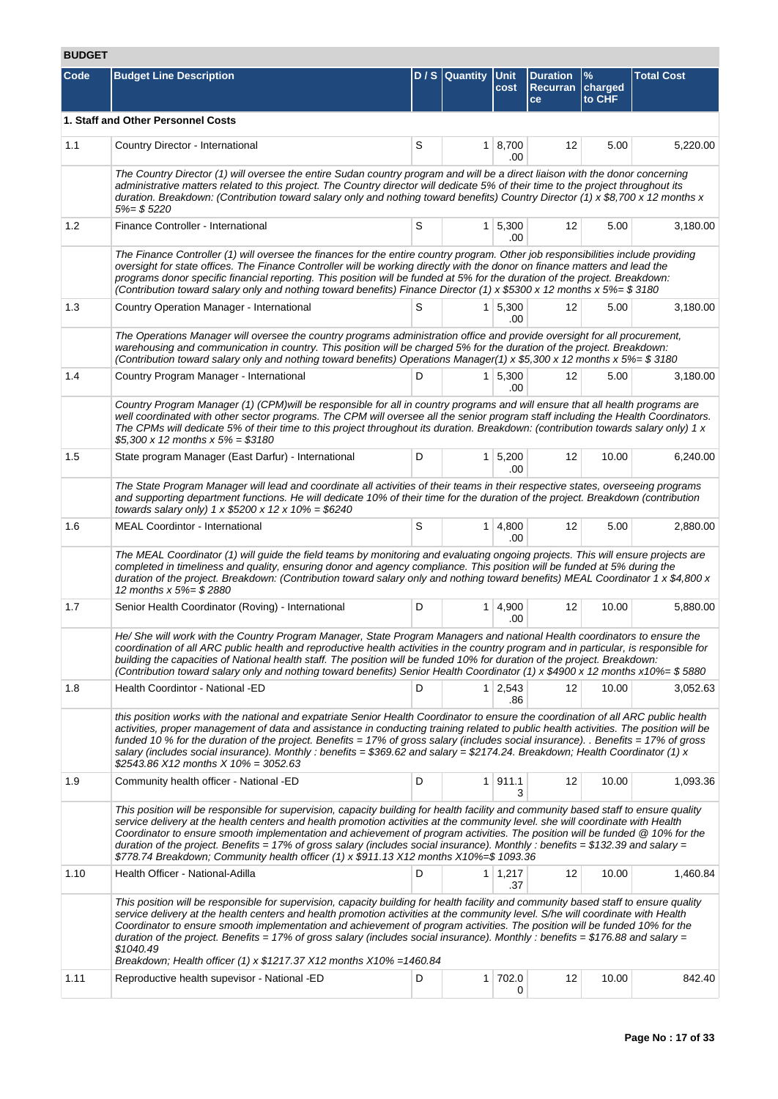# **BUDGET**

| Code | <b>Budget Line Description</b>                                                                                                                                                                                                                                                                                                                                                                                                                                                                                                                                                                                                     |   | D / S Quantity Unit | cost                   | <b>Duration</b><br>Recurran charged<br>ce | $\frac{9}{6}$<br>to CHF | <b>Total Cost</b> |
|------|------------------------------------------------------------------------------------------------------------------------------------------------------------------------------------------------------------------------------------------------------------------------------------------------------------------------------------------------------------------------------------------------------------------------------------------------------------------------------------------------------------------------------------------------------------------------------------------------------------------------------------|---|---------------------|------------------------|-------------------------------------------|-------------------------|-------------------|
|      | 1. Staff and Other Personnel Costs                                                                                                                                                                                                                                                                                                                                                                                                                                                                                                                                                                                                 |   |                     |                        |                                           |                         |                   |
| 1.1  | Country Director - International                                                                                                                                                                                                                                                                                                                                                                                                                                                                                                                                                                                                   | S |                     | $1 \, 8,700$<br>.00    | 12                                        | 5.00                    | 5,220.00          |
|      | The Country Director (1) will oversee the entire Sudan country program and will be a direct liaison with the donor concerning<br>administrative matters related to this project. The Country director will dedicate 5% of their time to the project throughout its<br>duration. Breakdown: (Contribution toward salary only and nothing toward benefits) Country Director (1) x \$8,700 x 12 months x<br>5%= \$5220                                                                                                                                                                                                                |   |                     |                        |                                           |                         |                   |
| 1.2  | Finance Controller - International                                                                                                                                                                                                                                                                                                                                                                                                                                                                                                                                                                                                 | S |                     | $1 \mid 5,300$<br>.00  | 12                                        | 5.00                    | 3,180.00          |
|      | The Finance Controller (1) will oversee the finances for the entire country program. Other job responsibilities include providing<br>oversight for state offices. The Finance Controller will be working directly with the donor on finance matters and lead the<br>programs donor specific financial reporting. This position will be funded at 5% for the duration of the project. Breakdown:<br>(Contribution toward salary only and nothing toward benefits) Finance Director (1) x \$5300 x 12 months x 5%= \$ 3180                                                                                                           |   |                     |                        |                                           |                         |                   |
| 1.3  | Country Operation Manager - International                                                                                                                                                                                                                                                                                                                                                                                                                                                                                                                                                                                          | S |                     | $1 \mid 5,300$<br>.00  | 12                                        | 5.00                    | 3,180.00          |
|      | The Operations Manager will oversee the country programs administration office and provide oversight for all procurement,<br>warehousing and communication in country. This position will be charged 5% for the duration of the project. Breakdown:<br>(Contribution toward salary only and nothing toward benefits) Operations Manager(1) x \$5,300 x 12 months x 5%= \$ 3180                                                                                                                                                                                                                                                     |   |                     |                        |                                           |                         |                   |
| 1.4  | Country Program Manager - International                                                                                                                                                                                                                                                                                                                                                                                                                                                                                                                                                                                            | D |                     | $1 \mid 5,300$<br>.00  | 12                                        | 5.00                    | 3.180.00          |
|      | Country Program Manager (1) (CPM)will be responsible for all in country programs and will ensure that all health programs are<br>well coordinated with other sector programs. The CPM will oversee all the senior program staff including the Health Coordinators.<br>The CPMs will dedicate 5% of their time to this project throughout its duration. Breakdown: (contribution towards salary only) 1 $x$<br>\$5,300 x 12 months $x 5% = $3180$                                                                                                                                                                                   |   |                     |                        |                                           |                         |                   |
| 1.5  | State program Manager (East Darfur) - International                                                                                                                                                                                                                                                                                                                                                                                                                                                                                                                                                                                | D |                     | $1 \mid 5,200$<br>.00  | 12                                        | 10.00                   | 6,240.00          |
|      | The State Program Manager will lead and coordinate all activities of their teams in their respective states, overseeing programs<br>and supporting department functions. He will dedicate 10% of their time for the duration of the project. Breakdown (contribution<br>towards salary only) $1 \times $5200 \times 12 \times 10\% = $6240$                                                                                                                                                                                                                                                                                        |   |                     |                        |                                           |                         |                   |
| 1.6  | <b>MEAL Coordintor - International</b>                                                                                                                                                                                                                                                                                                                                                                                                                                                                                                                                                                                             | S | 1 <sup>1</sup>      | 4,800<br>.00           | 12                                        | 5.00                    | 2,880.00          |
|      | The MEAL Coordinator (1) will guide the field teams by monitoring and evaluating ongoing projects. This will ensure projects are<br>completed in timeliness and quality, ensuring donor and agency compliance. This position will be funded at 5% during the<br>duration of the project. Breakdown: (Contribution toward salary only and nothing toward benefits) MEAL Coordinator 1 x \$4,800 x<br>12 months x 5%= \$2880                                                                                                                                                                                                         |   |                     |                        |                                           |                         |                   |
| 1.7  | Senior Health Coordinator (Roving) - International                                                                                                                                                                                                                                                                                                                                                                                                                                                                                                                                                                                 | D |                     | $1 \, 4.900$<br>.00    | 12                                        | 10.00                   | 5.880.00          |
|      | He/ She will work with the Country Program Manager, State Program Managers and national Health coordinators to ensure the<br>coordination of all ARC public health and reproductive health activities in the country program and in particular, is responsible for<br>building the capacities of National health staff. The position will be funded 10% for duration of the project. Breakdown:<br>(Contribution toward salary only and nothing toward benefits) Senior Health Coordinator (1) x \$4900 x 12 months x10%= \$5880                                                                                                   |   |                     |                        |                                           |                         |                   |
| 1.8  | Health Coordintor - National -ED                                                                                                                                                                                                                                                                                                                                                                                                                                                                                                                                                                                                   | D |                     | $1 \quad 2,543$<br>.86 | 12                                        | 10.00                   | 3,052.63          |
|      | this position works with the national and expatriate Senior Health Coordinator to ensure the coordination of all ARC public health<br>activities, proper management of data and assistance in conducting training related to public health activities. The position will be<br>funded 10 % for the duration of the project. Benefits = 17% of gross salary (includes social insurance). . Benefits = 17% of gross<br>salary (includes social insurance). Monthly: benefits = \$369.62 and salary = \$2174.24. Breakdown; Health Coordinator (1) x<br>\$2543.86 X12 months X 10% = 3052.63                                          |   |                     |                        |                                           |                         |                   |
| 1.9  | Community health officer - National -ED                                                                                                                                                                                                                                                                                                                                                                                                                                                                                                                                                                                            | D |                     | 1   911.1<br>3         | 12                                        | 10.00                   | 1,093.36          |
|      | This position will be responsible for supervision, capacity building for health facility and community based staff to ensure quality<br>service delivery at the health centers and health promotion activities at the community level. she will coordinate with Health<br>Coordinator to ensure smooth implementation and achievement of program activities. The position will be funded @ 10% for the<br>duration of the project. Benefits = 17% of gross salary (includes social insurance). Monthly: benefits = \$132.39 and salary =<br>\$778.74 Breakdown; Community health officer (1) x \$911.13 X12 months X10%=\$ 1093.36 |   |                     |                        |                                           |                         |                   |
| 1.10 | Health Officer - National-Adilla                                                                                                                                                                                                                                                                                                                                                                                                                                                                                                                                                                                                   | D |                     | $1 \mid 1,217$<br>.37  | 12                                        | 10.00                   | 1,460.84          |
|      | This position will be responsible for supervision, capacity building for health facility and community based staff to ensure quality<br>service delivery at the health centers and health promotion activities at the community level. S/he will coordinate with Health<br>Coordinator to ensure smooth implementation and achievement of program activities. The position will be funded 10% for the<br>duration of the project. Benefits = 17% of gross salary (includes social insurance). Monthly : benefits = \$176.88 and salary =<br>\$1040.49<br>Breakdown; Health officer (1) x \$1217.37 X12 months X10% =1460.84        |   |                     |                        |                                           |                         |                   |
| 1.11 | Reproductive health supevisor - National -ED                                                                                                                                                                                                                                                                                                                                                                                                                                                                                                                                                                                       | D |                     | $1 \mid 702.0$<br>0    | 12                                        | 10.00                   | 842.40            |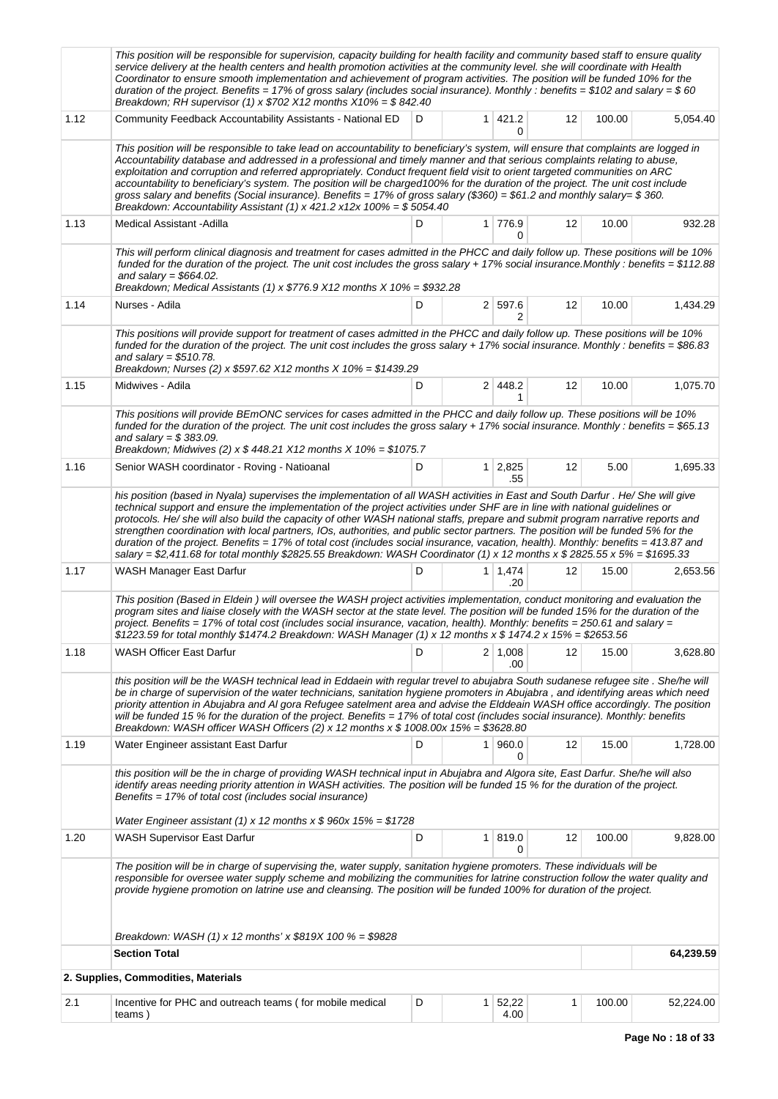|      | This position will be responsible for supervision, capacity building for health facility and community based staff to ensure quality<br>service delivery at the health centers and health promotion activities at the community level. she will coordinate with Health<br>Coordinator to ensure smooth implementation and achievement of program activities. The position will be funded 10% for the<br>duration of the project. Benefits = 17% of gross salary (includes social insurance). Monthly: benefits = \$102 and salary = \$60<br>Breakdown; RH supervisor (1) x $$702$ X12 months X10% = \$842.40                                                                                                                                                                                              |   |                |                       |    |        |           |
|------|-----------------------------------------------------------------------------------------------------------------------------------------------------------------------------------------------------------------------------------------------------------------------------------------------------------------------------------------------------------------------------------------------------------------------------------------------------------------------------------------------------------------------------------------------------------------------------------------------------------------------------------------------------------------------------------------------------------------------------------------------------------------------------------------------------------|---|----------------|-----------------------|----|--------|-----------|
| 1.12 | Community Feedback Accountability Assistants - National ED                                                                                                                                                                                                                                                                                                                                                                                                                                                                                                                                                                                                                                                                                                                                                | D |                | $1 \mid 421.2$<br>0   | 12 | 100.00 | 5,054.40  |
|      | This position will be responsible to take lead on accountability to beneficiary's system, will ensure that complaints are logged in<br>Accountability database and addressed in a professional and timely manner and that serious complaints relating to abuse,<br>exploitation and corruption and referred appropriately. Conduct frequent field visit to orient targeted communities on ARC<br>accountability to beneficiary's system. The position will be charged100% for the duration of the project. The unit cost include<br>gross salary and benefits (Social insurance). Benefits = 17% of gross salary (\$360) = \$61.2 and monthly salary= \$360.<br>Breakdown: Accountability Assistant (1) x 421.2 x12x 100% = $$5054.40$                                                                    |   |                |                       |    |        |           |
| 1.13 | <b>Medical Assistant - Adilla</b>                                                                                                                                                                                                                                                                                                                                                                                                                                                                                                                                                                                                                                                                                                                                                                         | D |                | 1 776.9<br>0          | 12 | 10.00  | 932.28    |
|      | This will perform clinical diagnosis and treatment for cases admitted in the PHCC and daily follow up. These positions will be 10%<br>funded for the duration of the project. The unit cost includes the gross salary + 17% social insurance.Monthly : benefits = \$112.88<br>and salary = $$664.02$ .<br>Breakdown; Medical Assistants (1) x $$776.9$ X12 months X 10% = \$932.28                                                                                                                                                                                                                                                                                                                                                                                                                        |   |                |                       |    |        |           |
| 1.14 | Nurses - Adila                                                                                                                                                                                                                                                                                                                                                                                                                                                                                                                                                                                                                                                                                                                                                                                            | D |                | 2 597.6<br>2          | 12 | 10.00  | 1,434.29  |
|      | This positions will provide support for treatment of cases admitted in the PHCC and daily follow up. These positions will be 10%<br>funded for the duration of the project. The unit cost includes the gross salary + 17% social insurance. Monthly : benefits = \$86.83<br>and salary = $$510.78$ .<br>Breakdown; Nurses (2) x \$597.62 X12 months X 10% = \$1439.29                                                                                                                                                                                                                                                                                                                                                                                                                                     |   |                |                       |    |        |           |
| 1.15 | Midwives - Adila                                                                                                                                                                                                                                                                                                                                                                                                                                                                                                                                                                                                                                                                                                                                                                                          | D |                | 2 448.2<br>1          | 12 | 10.00  | 1,075.70  |
|      | This positions will provide BEmONC services for cases admitted in the PHCC and daily follow up. These positions will be 10%<br>funded for the duration of the project. The unit cost includes the gross salary + 17% social insurance. Monthly : benefits = \$65.13<br>and salary = $$383.09$ .<br>Breakdown; Midwives (2) x $$448.21$ X12 months X 10% = \$1075.7                                                                                                                                                                                                                                                                                                                                                                                                                                        |   |                |                       |    |        |           |
| 1.16 | Senior WASH coordinator - Roving - Natioanal                                                                                                                                                                                                                                                                                                                                                                                                                                                                                                                                                                                                                                                                                                                                                              | D |                | $1 \mid 2,825$<br>.55 | 12 | 5.00   | 1,695.33  |
|      | his position (based in Nyala) supervises the implementation of all WASH activities in East and South Darfur. He/ She will give<br>technical support and ensure the implementation of the project activities under SHF are in line with national guidelines or<br>protocols. He/ she will also build the capacity of other WASH national staffs, prepare and submit program narrative reports and<br>strengthen coordination with local partners, IOs, authorities, and public sector partners. The position will be funded 5% for the<br>duration of the project. Benefits = 17% of total cost (includes social insurance, vacation, health). Monthly: benefits = 413.87 and<br>salary = \$2,411.68 for total monthly \$2825.55 Breakdown: WASH Coordinator (1) x 12 months x \$ 2825.55 x 5% = \$1695.33 |   |                |                       |    |        |           |
| 1.17 | WASH Manager East Darfur                                                                                                                                                                                                                                                                                                                                                                                                                                                                                                                                                                                                                                                                                                                                                                                  | D |                | $1 \mid 1,474$<br>.20 | 12 | 15.00  | 2,653.56  |
|      | This position (Based in Eldein) will oversee the WASH project activities implementation, conduct monitoring and evaluation the<br>program sites and liaise closely with the WASH sector at the state level. The position will be funded 15% for the duration of the<br>project. Benefits = 17% of total cost (includes social insurance, vacation, health). Monthly: benefits = 250.61 and salary =<br>$$1223.59$ for total monthly $$1474.2$ Breakdown: WASH Manager (1) x 12 months x $$1474.2$ x 15% = $$2653.56$                                                                                                                                                                                                                                                                                      |   |                |                       |    |        |           |
| 1.18 | <b>WASH Officer East Darfur</b>                                                                                                                                                                                                                                                                                                                                                                                                                                                                                                                                                                                                                                                                                                                                                                           | D |                | $2 \mid 1,008$<br>.00 | 12 | 15.00  | 3,628.80  |
|      | this position will be the WASH technical lead in Eddaein with regular trevel to abujabra South sudanese refugee site . She/he will<br>be in charge of supervision of the water technicians, sanitation hygiene promoters in Abujabra, and identifying areas which need<br>priority attention in Abujabra and AI gora Refugee satelment area and advise the Elddeain WASH office accordingly. The position<br>will be funded 15 % for the duration of the project. Benefits = 17% of total cost (includes social insurance). Monthly: benefits<br>Breakdown: WASH officer WASH Officers (2) x 12 months x $$1008.00x 15\% = $3628.80$                                                                                                                                                                      |   |                |                       |    |        |           |
| 1.19 | Water Engineer assistant East Darfur                                                                                                                                                                                                                                                                                                                                                                                                                                                                                                                                                                                                                                                                                                                                                                      | D |                | 1 960.0<br>0          | 12 | 15.00  | 1,728.00  |
|      | this position will be the in charge of providing WASH technical input in Abujabra and Algora site, East Darfur. She/he will also<br>identify areas needing priority attention in WASH activities. The position will be funded 15 % for the duration of the project.<br>Benefits = 17% of total cost (includes social insurance)<br>Water Engineer assistant (1) x 12 months x $$960x 15\% = $1728$                                                                                                                                                                                                                                                                                                                                                                                                        |   |                |                       |    |        |           |
| 1.20 | WASH Supervisor East Darfur                                                                                                                                                                                                                                                                                                                                                                                                                                                                                                                                                                                                                                                                                                                                                                               | D |                | 1 819.0               | 12 | 100.00 | 9,828.00  |
|      | The position will be in charge of supervising the, water supply, sanitation hygiene promoters. These individuals will be<br>responsible for oversee water supply scheme and mobilizing the communities for latrine construction follow the water quality and<br>provide hygiene promotion on latrine use and cleansing. The position will be funded 100% for duration of the project.                                                                                                                                                                                                                                                                                                                                                                                                                     |   |                | 0                     |    |        |           |
|      | Breakdown: WASH (1) x 12 months' x $$819X 100 \% = $9828$                                                                                                                                                                                                                                                                                                                                                                                                                                                                                                                                                                                                                                                                                                                                                 |   |                |                       |    |        |           |
|      | <b>Section Total</b>                                                                                                                                                                                                                                                                                                                                                                                                                                                                                                                                                                                                                                                                                                                                                                                      |   |                |                       |    |        | 64,239.59 |
|      | 2. Supplies, Commodities, Materials                                                                                                                                                                                                                                                                                                                                                                                                                                                                                                                                                                                                                                                                                                                                                                       |   |                |                       |    |        |           |
| 2.1  | Incentive for PHC and outreach teams (for mobile medical<br>teams)                                                                                                                                                                                                                                                                                                                                                                                                                                                                                                                                                                                                                                                                                                                                        | D | 1 <sup>1</sup> | 52,22<br>4.00         | 1  | 100.00 | 52,224.00 |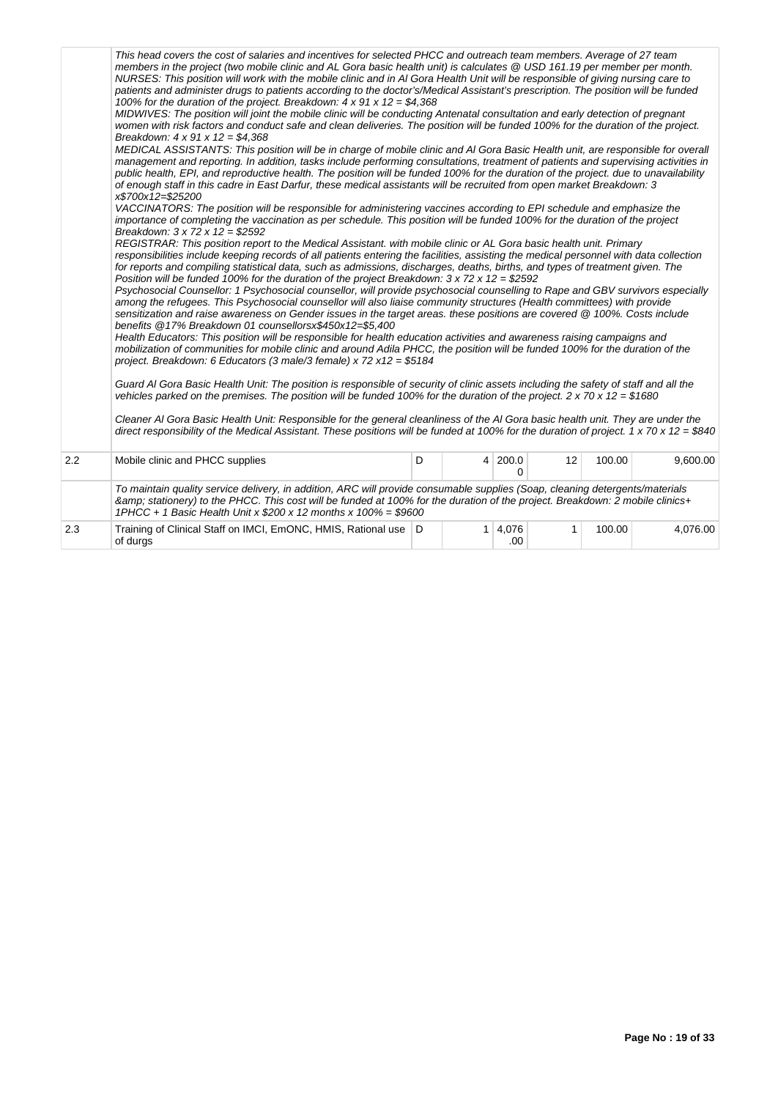|     | This head covers the cost of salaries and incentives for selected PHCC and outreach team members. Average of 27 team<br>members in the project (two mobile clinic and AL Gora basic health unit) is calculates @ USD 161.19 per member per month.<br>NURSES: This position will work with the mobile clinic and in AI Gora Health Unit will be responsible of giving nursing care to<br>patients and administer drugs to patients according to the doctor's/Medical Assistant's prescription. The position will be funded<br>100% for the duration of the project. Breakdown: $4 \times 91 \times 12 = $4,368$<br>MIDWIVES: The position will joint the mobile clinic will be conducting Antenatal consultation and early detection of pregnant<br>women with risk factors and conduct safe and clean deliveries. The position will be funded 100% for the duration of the project.<br>Breakdown: $4 \times 91 \times 12 = $4,368$<br>MEDICAL ASSISTANTS: This position will be in charge of mobile clinic and AI Gora Basic Health unit, are responsible for overall<br>management and reporting. In addition, tasks include performing consultations, treatment of patients and supervising activities in<br>public health, EPI, and reproductive health. The position will be funded 100% for the duration of the project, due to unavailability<br>of enough staff in this cadre in East Darfur, these medical assistants will be recruited from open market Breakdown: 3<br>x\$700x12=\$25200<br>VACCINATORS: The position will be responsible for administering vaccines according to EPI schedule and emphasize the<br>importance of completing the vaccination as per schedule. This position will be funded 100% for the duration of the project<br>Breakdown: $3 \times 72 \times 12 = $2592$<br>REGISTRAR: This position report to the Medical Assistant. with mobile clinic or AL Gora basic health unit. Primary<br>responsibilities include keeping records of all patients entering the facilities, assisting the medical personnel with data collection<br>for reports and compiling statistical data, such as admissions, discharges, deaths, births, and types of treatment given. The<br>Position will be funded 100% for the duration of the project Breakdown: $3 \times 72 \times 12 = $2592$<br>Psychosocial Counsellor: 1 Psychosocial counsellor, will provide psychosocial counselling to Rape and GBV survivors especially<br>among the refugees. This Psychosocial counsellor will also liaise community structures (Health committees) with provide<br>sensitization and raise awareness on Gender issues in the target areas. these positions are covered @ 100%. Costs include<br>benefits @17% Breakdown 01 counsellorsx\$450x12=\$5,400<br>Health Educators: This position will be responsible for health education activities and awareness raising campaigns and<br>mobilization of communities for mobile clinic and around Adila PHCC, the position will be funded 100% for the duration of the<br>project. Breakdown: 6 Educators (3 male/3 female) x 72 x 12 = \$5184<br>Guard AI Gora Basic Health Unit: The position is responsible of security of clinic assets including the safety of staff and all the<br>vehicles parked on the premises. The position will be funded 100% for the duration of the project. 2 x 70 x 12 = \$1680<br>Cleaner AI Gora Basic Health Unit: Responsible for the general cleanliness of the AI Gora basic health unit. They are under the<br>direct responsibility of the Medical Assistant. These positions will be funded at 100% for the duration of project. 1 x 70 x 12 = \$840 |   |                       |    |        |          |
|-----|--------------------------------------------------------------------------------------------------------------------------------------------------------------------------------------------------------------------------------------------------------------------------------------------------------------------------------------------------------------------------------------------------------------------------------------------------------------------------------------------------------------------------------------------------------------------------------------------------------------------------------------------------------------------------------------------------------------------------------------------------------------------------------------------------------------------------------------------------------------------------------------------------------------------------------------------------------------------------------------------------------------------------------------------------------------------------------------------------------------------------------------------------------------------------------------------------------------------------------------------------------------------------------------------------------------------------------------------------------------------------------------------------------------------------------------------------------------------------------------------------------------------------------------------------------------------------------------------------------------------------------------------------------------------------------------------------------------------------------------------------------------------------------------------------------------------------------------------------------------------------------------------------------------------------------------------------------------------------------------------------------------------------------------------------------------------------------------------------------------------------------------------------------------------------------------------------------------------------------------------------------------------------------------------------------------------------------------------------------------------------------------------------------------------------------------------------------------------------------------------------------------------------------------------------------------------------------------------------------------------------------------------------------------------------------------------------------------------------------------------------------------------------------------------------------------------------------------------------------------------------------------------------------------------------------------------------------------------------------------------------------------------------------------------------------------------------------------------------------------------------------------------------------------------------------------------------------------------------------------------------------------------------------------------------------------------------------------------------------------------------------------------------------------------------------------------------------------------------------------------------------------------------------------------------------------------------------------------------------------------------------------------------------------|---|-----------------------|----|--------|----------|
| 2.2 | Mobile clinic and PHCC supplies                                                                                                                                                                                                                                                                                                                                                                                                                                                                                                                                                                                                                                                                                                                                                                                                                                                                                                                                                                                                                                                                                                                                                                                                                                                                                                                                                                                                                                                                                                                                                                                                                                                                                                                                                                                                                                                                                                                                                                                                                                                                                                                                                                                                                                                                                                                                                                                                                                                                                                                                                                                                                                                                                                                                                                                                                                                                                                                                                                                                                                                                                                                                                                                                                                                                                                                                                                                                                                                                                                                                                                                                                              | D | 4 200.0<br>$\Omega$   | 12 | 100.00 | 9,600.00 |
|     | To maintain quality service delivery, in addition, ARC will provide consumable supplies (Soap, cleaning detergents/materials<br>& stationery) to the PHCC. This cost will be funded at 100% for the duration of the project. Breakdown: 2 mobile clinics+<br>1PHCC + 1 Basic Health Unit x $$200 \times 12$ months x $100\% = $9600$                                                                                                                                                                                                                                                                                                                                                                                                                                                                                                                                                                                                                                                                                                                                                                                                                                                                                                                                                                                                                                                                                                                                                                                                                                                                                                                                                                                                                                                                                                                                                                                                                                                                                                                                                                                                                                                                                                                                                                                                                                                                                                                                                                                                                                                                                                                                                                                                                                                                                                                                                                                                                                                                                                                                                                                                                                                                                                                                                                                                                                                                                                                                                                                                                                                                                                                         |   |                       |    |        |          |
| 2.3 | Training of Clinical Staff on IMCI, EmONC, HMIS, Rational use   D<br>of durgs                                                                                                                                                                                                                                                                                                                                                                                                                                                                                                                                                                                                                                                                                                                                                                                                                                                                                                                                                                                                                                                                                                                                                                                                                                                                                                                                                                                                                                                                                                                                                                                                                                                                                                                                                                                                                                                                                                                                                                                                                                                                                                                                                                                                                                                                                                                                                                                                                                                                                                                                                                                                                                                                                                                                                                                                                                                                                                                                                                                                                                                                                                                                                                                                                                                                                                                                                                                                                                                                                                                                                                                |   | $1 \mid 4.076$<br>.00 | 1  | 100.00 | 4,076.00 |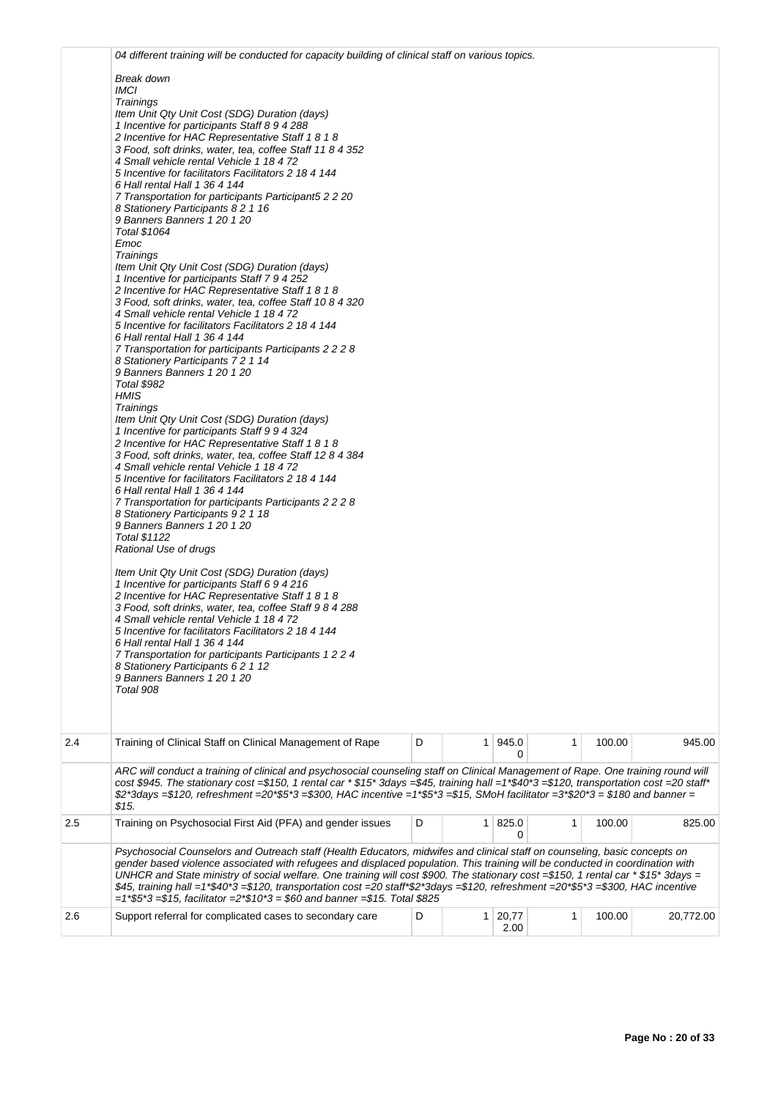|     | 04 different training will be conducted for capacity building of clinical staff on various topics.                                                                                                                                                                                                                                                                                                                                                                                                                                                                                                                                                                                                                                                                                                                                                                                                                                                                                                                                                                                                                                                                                                                                                                                                                                                                                                                                                                                                                                            |   |                        |              |        |           |
|-----|-----------------------------------------------------------------------------------------------------------------------------------------------------------------------------------------------------------------------------------------------------------------------------------------------------------------------------------------------------------------------------------------------------------------------------------------------------------------------------------------------------------------------------------------------------------------------------------------------------------------------------------------------------------------------------------------------------------------------------------------------------------------------------------------------------------------------------------------------------------------------------------------------------------------------------------------------------------------------------------------------------------------------------------------------------------------------------------------------------------------------------------------------------------------------------------------------------------------------------------------------------------------------------------------------------------------------------------------------------------------------------------------------------------------------------------------------------------------------------------------------------------------------------------------------|---|------------------------|--------------|--------|-----------|
|     | Break down<br><b>IMCI</b><br>Trainings<br>Item Unit Qty Unit Cost (SDG) Duration (days)<br>1 Incentive for participants Staff 8 9 4 288<br>2 Incentive for HAC Representative Staff 1 8 1 8<br>3 Food, soft drinks, water, tea, coffee Staff 11 8 4 352<br>4 Small vehicle rental Vehicle 1 18 4 72                                                                                                                                                                                                                                                                                                                                                                                                                                                                                                                                                                                                                                                                                                                                                                                                                                                                                                                                                                                                                                                                                                                                                                                                                                           |   |                        |              |        |           |
|     | 5 Incentive for facilitators Facilitators 2 18 4 144<br>6 Hall rental Hall 1 36 4 144<br>7 Transportation for participants Participant5 2 2 20<br>8 Stationery Participants 8 2 1 16<br>9 Banners Banners 1 20 1 20                                                                                                                                                                                                                                                                                                                                                                                                                                                                                                                                                                                                                                                                                                                                                                                                                                                                                                                                                                                                                                                                                                                                                                                                                                                                                                                           |   |                        |              |        |           |
|     | Total \$1064<br>Emoc<br>Trainings<br>Item Unit Qty Unit Cost (SDG) Duration (days)<br>1 Incentive for participants Staff 7 9 4 252<br>2 Incentive for HAC Representative Staff 1 8 1 8<br>3 Food, soft drinks, water, tea, coffee Staff 10 8 4 320<br>4 Small vehicle rental Vehicle 1 18 4 72<br>5 Incentive for facilitators Facilitators 2 18 4 144<br>6 Hall rental Hall 1 36 4 144<br>7 Transportation for participants Participants 2 2 2 8<br>8 Stationery Participants 7 2 1 14<br>9 Banners Banners 1 20 1 20<br>Total \$982<br>HMIS<br>Trainings<br>Item Unit Qty Unit Cost (SDG) Duration (days)<br>1 Incentive for participants Staff 9 9 4 324<br>2 Incentive for HAC Representative Staff 1 8 1 8<br>3 Food, soft drinks, water, tea, coffee Staff 12 8 4 384<br>4 Small vehicle rental Vehicle 1 18 4 72<br>5 Incentive for facilitators Facilitators 2 18 4 144<br>6 Hall rental Hall 1 36 4 144<br>7 Transportation for participants Participants 2 2 2 8<br>8 Stationery Participants 9 2 1 18<br>9 Banners Banners 1 20 1 20<br>Total \$1122<br>Rational Use of drugs<br>Item Unit Qty Unit Cost (SDG) Duration (days)<br>1 Incentive for participants Staff 6 9 4 216<br>2 Incentive for HAC Representative Staff 1 8 1 8<br>3 Food, soft drinks, water, tea, coffee Staff 9 8 4 288<br>4 Small vehicle rental Vehicle 1 18 4 72<br>5 Incentive for facilitators Facilitators 2 18 4 144<br>6 Hall rental Hall 1 36 4 144<br>7 Transportation for participants Participants 1 2 2 4<br>8 Stationery Participants 6 2 1 12 |   |                        |              |        |           |
|     | 9 Banners Banners 1 20 1 20<br>Total 908                                                                                                                                                                                                                                                                                                                                                                                                                                                                                                                                                                                                                                                                                                                                                                                                                                                                                                                                                                                                                                                                                                                                                                                                                                                                                                                                                                                                                                                                                                      |   |                        |              |        |           |
| 2.4 | Training of Clinical Staff on Clinical Management of Rape                                                                                                                                                                                                                                                                                                                                                                                                                                                                                                                                                                                                                                                                                                                                                                                                                                                                                                                                                                                                                                                                                                                                                                                                                                                                                                                                                                                                                                                                                     | D | $1 \, 945.0$<br>0      | $\mathbf{1}$ | 100.00 | 945.00    |
|     | ARC will conduct a training of clinical and psychosocial counseling staff on Clinical Management of Rape. One training round will<br>cost \$945. The stationary cost =\$150, 1 rental car * \$15* 3days =\$45, training hall =1*\$40*3 =\$120, transportation cost =20 staff*<br>\$2*3days =\$120, refreshment =20*\$5*3 =\$300, HAC incentive =1*\$5*3 =\$15, SMoH facilitator =3*\$20*3 = \$180 and banner =<br>\$15.                                                                                                                                                                                                                                                                                                                                                                                                                                                                                                                                                                                                                                                                                                                                                                                                                                                                                                                                                                                                                                                                                                                       |   |                        |              |        |           |
| 2.5 | Training on Psychosocial First Aid (PFA) and gender issues                                                                                                                                                                                                                                                                                                                                                                                                                                                                                                                                                                                                                                                                                                                                                                                                                                                                                                                                                                                                                                                                                                                                                                                                                                                                                                                                                                                                                                                                                    | D | 1   825.0<br>0         | $\mathbf{1}$ | 100.00 | 825.00    |
|     | Psychosocial Counselors and Outreach staff (Health Educators, midwifes and clinical staff on counseling, basic concepts on<br>gender based violence associated with refugees and displaced population. This training will be conducted in coordination with<br>UNHCR and State ministry of social welfare. One training will cost \$900. The stationary cost =\$150, 1 rental car * \$15* 3days =<br>\$45, training hall =1*\$40*3 =\$120, transportation cost =20 staff*\$2*3days =\$120, refreshment =20*\$5*3 =\$300, HAC incentive<br>$=1*5*3=15$ , facilitator $=2*10*3=160$ and banner $=15.$ Total \$825                                                                                                                                                                                                                                                                                                                                                                                                                                                                                                                                                                                                                                                                                                                                                                                                                                                                                                                               |   |                        |              |        |           |
| 2.6 | Support referral for complicated cases to secondary care                                                                                                                                                                                                                                                                                                                                                                                                                                                                                                                                                                                                                                                                                                                                                                                                                                                                                                                                                                                                                                                                                                                                                                                                                                                                                                                                                                                                                                                                                      | D | $1 \mid 20,77$<br>2.00 | 1            | 100.00 | 20,772.00 |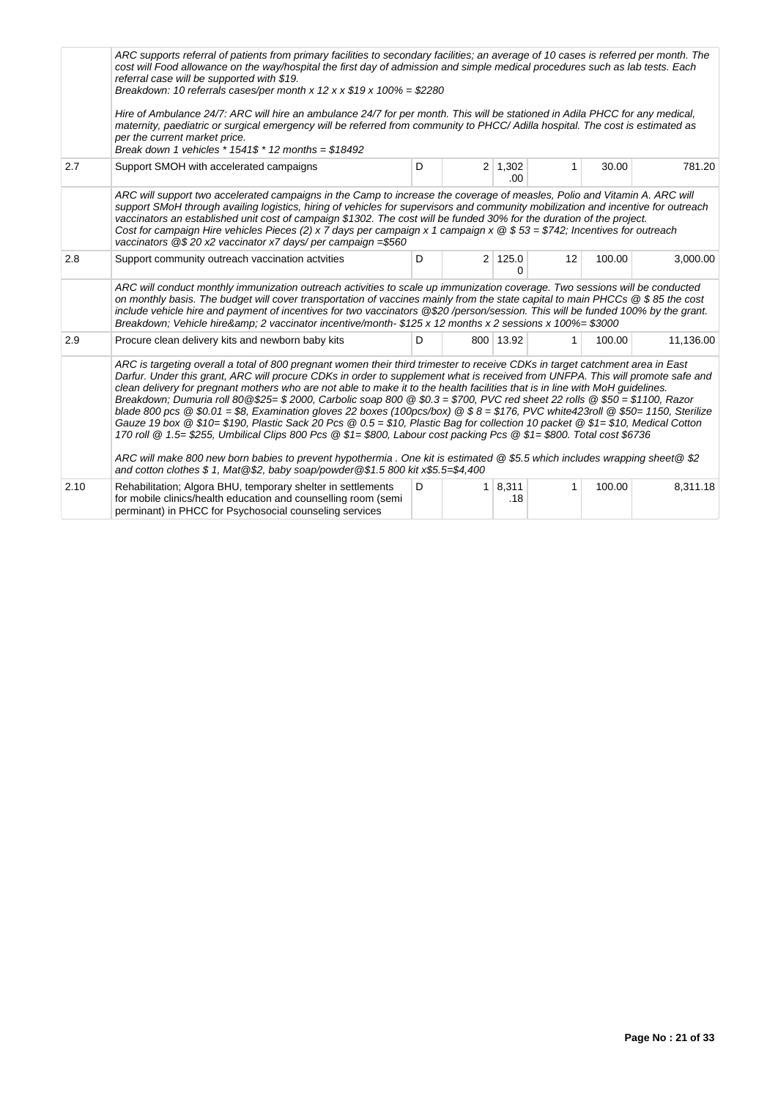|      | ARC supports referral of patients from primary facilities to secondary facilities; an average of 10 cases is referred per month. The<br>cost will Food allowance on the way/hospital the first day of admission and simple medical procedures such as lab tests. Each<br>referral case will be supported with \$19.<br>Breakdown: 10 referrals cases/per month x 12 x x $$19 x 100\% = $2280$<br>Hire of Ambulance 24/7: ARC will hire an ambulance 24/7 for per month. This will be stationed in Adila PHCC for any medical,<br>maternity, paediatric or surgical emergency will be referred from community to PHCC/Adilla hospital. The cost is estimated as<br>per the current market price.<br>Break down 1 vehicles $*$ 1541\$ $*$ 12 months = \$18492                                                                                                                                                                                                                                                                                                                                                                                   |   |                |                        |              |        |           |  |  |
|------|-----------------------------------------------------------------------------------------------------------------------------------------------------------------------------------------------------------------------------------------------------------------------------------------------------------------------------------------------------------------------------------------------------------------------------------------------------------------------------------------------------------------------------------------------------------------------------------------------------------------------------------------------------------------------------------------------------------------------------------------------------------------------------------------------------------------------------------------------------------------------------------------------------------------------------------------------------------------------------------------------------------------------------------------------------------------------------------------------------------------------------------------------|---|----------------|------------------------|--------------|--------|-----------|--|--|
| 2.7  | Support SMOH with accelerated campaigns                                                                                                                                                                                                                                                                                                                                                                                                                                                                                                                                                                                                                                                                                                                                                                                                                                                                                                                                                                                                                                                                                                       | D |                | $2 \mid 1,302$<br>.00. | $\mathbf{1}$ | 30.00  | 781.20    |  |  |
|      | ARC will support two accelerated campaigns in the Camp to increase the coverage of measles, Polio and Vitamin A. ARC will<br>support SMoH through availing logistics, hiring of vehicles for supervisors and community mobilization and incentive for outreach<br>vaccinators an established unit cost of campaign \$1302. The cost will be funded 30% for the duration of the project.<br>Cost for campaign Hire vehicles Pieces (2) x 7 days per campaign x 1 campaign x $@$ \$53 = \$742; Incentives for outreach<br>vaccinators @\$20 x2 vaccinator x7 days/ per campaign =\$560                                                                                                                                                                                                                                                                                                                                                                                                                                                                                                                                                          |   |                |                        |              |        |           |  |  |
| 2.8  | Support community outreach vaccination actvities                                                                                                                                                                                                                                                                                                                                                                                                                                                                                                                                                                                                                                                                                                                                                                                                                                                                                                                                                                                                                                                                                              | D |                | 2 125.0<br>∩           | 12           | 100.00 | 3,000.00  |  |  |
|      | ARC will conduct monthly immunization outreach activities to scale up immunization coverage. Two sessions will be conducted<br>on monthly basis. The budget will cover transportation of vaccines mainly from the state capital to main PHCCs @ \$85 the cost<br>include vehicle hire and payment of incentives for two vaccinators @\$20/person/session. This will be funded 100% by the grant.<br>Breakdown; Vehicle hire& 2 vaccinator incentive/month- \$125 x 12 months x 2 sessions x 100%= \$3000                                                                                                                                                                                                                                                                                                                                                                                                                                                                                                                                                                                                                                      |   |                |                        |              |        |           |  |  |
| 2.9  | Procure clean delivery kits and newborn baby kits                                                                                                                                                                                                                                                                                                                                                                                                                                                                                                                                                                                                                                                                                                                                                                                                                                                                                                                                                                                                                                                                                             | D |                | 800 13.92              | $\mathbf{1}$ | 100.00 | 11,136.00 |  |  |
|      | ARC is targeting overall a total of 800 pregnant women their third trimester to receive CDKs in target catchment area in East<br>Darfur. Under this grant, ARC will procure CDKs in order to supplement what is received from UNFPA. This will promote safe and<br>clean delivery for pregnant mothers who are not able to make it to the health facilities that is in line with MoH quidelines.<br>Breakdown; Dumuria roll 80 @\$25= \$ 2000, Carbolic soap 800 @ \$0.3 = \$700, PVC red sheet 22 rolls @ \$50 = \$1100, Razor<br>blade 800 pcs @ \$0.01 = \$8, Examination gloves 22 boxes (100pcs/box) @ \$8 = \$176, PVC white423roll @ \$50= 1150, Sterilize<br>Gauze 19 box @ \$10= \$190, Plastic Sack 20 Pcs @ 0.5 = \$10, Plastic Bag for collection 10 packet @ \$1= \$10, Medical Cotton<br>170 roll @ 1.5= \$255, Umbilical Clips 800 Pcs @ \$1= \$800, Labour cost packing Pcs @ \$1= \$800. Total cost \$6736<br>ARC will make 800 new born babies to prevent hypothermia . One kit is estimated @ \$5.5 which includes wrapping sheet@ \$2<br>and cotton clothes \$1, Mat @\$2, baby soap/powder @\$1.5 800 kit x\$5.5=\$4,400 |   |                |                        |              |        |           |  |  |
| 2.10 | Rehabilitation; Algora BHU, temporary shelter in settlements<br>for mobile clinics/health education and counselling room (semi<br>perminant) in PHCC for Psychosocial counseling services                                                                                                                                                                                                                                                                                                                                                                                                                                                                                                                                                                                                                                                                                                                                                                                                                                                                                                                                                     | D | 1 <sup>1</sup> | 8,311<br>.18           | 1            | 100.00 | 8,311.18  |  |  |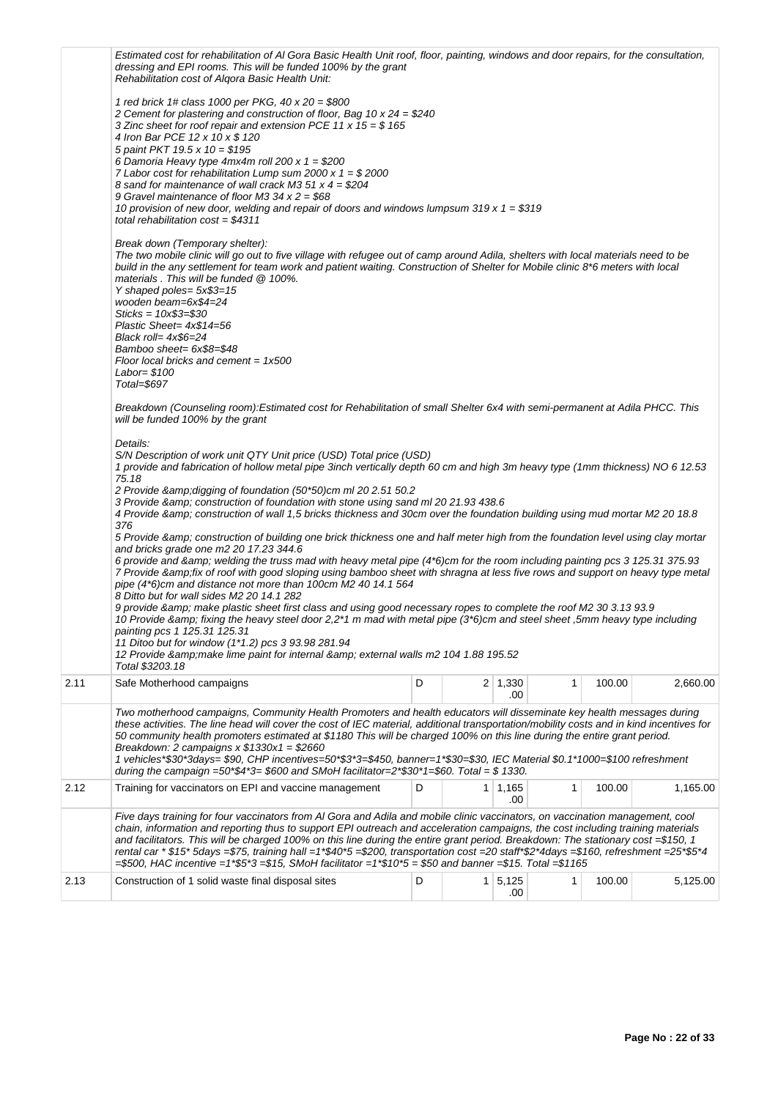|      | Estimated cost for rehabilitation of AI Gora Basic Health Unit roof, floor, painting, windows and door repairs, for the consultation,<br>dressing and EPI rooms. This will be funded 100% by the grant<br>Rehabilitation cost of Algora Basic Health Unit:                                                                                                                                                                                                                                                                                                                                                                                                                                                                                                                                                                                                                                                                                                                                                                                                                                                                                                                                                                                                                                                                                                                                                                                                                                                              |   |   |                       |   |        |          |
|------|-------------------------------------------------------------------------------------------------------------------------------------------------------------------------------------------------------------------------------------------------------------------------------------------------------------------------------------------------------------------------------------------------------------------------------------------------------------------------------------------------------------------------------------------------------------------------------------------------------------------------------------------------------------------------------------------------------------------------------------------------------------------------------------------------------------------------------------------------------------------------------------------------------------------------------------------------------------------------------------------------------------------------------------------------------------------------------------------------------------------------------------------------------------------------------------------------------------------------------------------------------------------------------------------------------------------------------------------------------------------------------------------------------------------------------------------------------------------------------------------------------------------------|---|---|-----------------------|---|--------|----------|
|      | 1 red brick 1# class 1000 per PKG, $40 \times 20 = $800$<br>2 Cement for plastering and construction of floor, Bag 10 $x$ 24 = \$240<br>3 Zinc sheet for roof repair and extension PCE 11 x $15 = $165$<br>4 Iron Bar PCE 12 x 10 x \$ 120<br>5 paint PKT 19.5 x 10 = $$195$<br>6 Damoria Heavy type $4mx4m$ roll 200 x $1 = $200$<br>7 Labor cost for rehabilitation Lump sum 2000 x $1 = $2000$<br>8 sand for maintenance of wall crack M3 51 $x$ 4 = \$204<br>9 Gravel maintenance of floor M3 34 $x$ 2 = \$68<br>10 provision of new door, welding and repair of doors and windows lumpsum 319 x 1 = $$319$<br>total rehabilitation $cost = $4311$                                                                                                                                                                                                                                                                                                                                                                                                                                                                                                                                                                                                                                                                                                                                                                                                                                                                  |   |   |                       |   |        |          |
|      | Break down (Temporary shelter):<br>The two mobile clinic will go out to five village with refugee out of camp around Adila, shelters with local materials need to be<br>build in the any settlement for team work and patient waiting. Construction of Shelter for Mobile clinic 8*6 meters with local<br>materials. This will be funded $@$ 100%.<br>Y shaped poles= $5x$3=15$<br>wooden beam=6x\$4=24<br>$Sticks = 10x$3 = $30$<br>Plastic Sheet= $4x$14=56$<br>Black roll= $4x$6=24$<br>Bamboo sheet= 6x\$8=\$48<br>Floor local bricks and cement = $1x500$<br>Labor= \$100<br>Total=\$697                                                                                                                                                                                                                                                                                                                                                                                                                                                                                                                                                                                                                                                                                                                                                                                                                                                                                                                           |   |   |                       |   |        |          |
|      | Breakdown (Counseling room):Estimated cost for Rehabilitation of small Shelter 6x4 with semi-permanent at Adila PHCC. This<br>will be funded 100% by the grant                                                                                                                                                                                                                                                                                                                                                                                                                                                                                                                                                                                                                                                                                                                                                                                                                                                                                                                                                                                                                                                                                                                                                                                                                                                                                                                                                          |   |   |                       |   |        |          |
|      | Details:<br>S/N Description of work unit QTY Unit price (USD) Total price (USD)<br>1 provide and fabrication of hollow metal pipe 3inch vertically depth 60 cm and high 3m heavy type (1mm thickness) NO 6 12.53<br>75.18<br>2 Provide & amp; digging of foundation (50*50) cm ml 20 2.51 50.2<br>3 Provide & amp; construction of foundation with stone using sand ml 20 21.93 438.6<br>4 Provide & construction of wall 1,5 bricks thickness and 30cm over the foundation building using mud mortar M2 20 18.8<br>376<br>5 Provide & construction of building one brick thickness one and half meter high from the foundation level using clay mortar<br>and bricks grade one m2 20 17.23 344.6<br>6 provide and & welding the truss mad with heavy metal pipe (4*6)cm for the room including painting pcs 3 125.31 375.93<br>7 Provide &fix of roof with good sloping using bamboo sheet with shragna at less five rows and support on heavy type metal<br>pipe (4*6)cm and distance not more than 100cm M2 40 14.1 564<br>8 Ditto but for wall sides M2 20 14.1 282<br>9 provide & make plastic sheet first class and using good necessary ropes to complete the roof M2 30 3.13 93.9<br>10 Provide & fixing the heavy steel door 2,2*1 m mad with metal pipe (3*6)cm and steel sheet, 5mm heavy type including<br>painting pcs 1 125.31 125.31<br>11 Ditoo but for window (1*1.2) pcs 3 93.98 281.94<br>12 Provide & amp; make lime paint for internal & amp; external walls m2 104 1.88 195.52<br>Total \$3203.18 |   |   |                       |   |        |          |
| 2.11 | Safe Motherhood campaigns                                                                                                                                                                                                                                                                                                                                                                                                                                                                                                                                                                                                                                                                                                                                                                                                                                                                                                                                                                                                                                                                                                                                                                                                                                                                                                                                                                                                                                                                                               | D |   | $2 \mid 1,330$<br>.00 | 1 | 100.00 | 2,660.00 |
|      | Two motherhood campaigns, Community Health Promoters and health educators will disseminate key health messages during<br>these activities. The line head will cover the cost of IEC material, additional transportation/mobility costs and in kind incentives for<br>50 community health promoters estimated at \$1180 This will be charged 100% on this line during the entire grant period.<br>Breakdown: 2 campaigns $x$ \$1330 $x1 = $2660$<br>1 vehicles*\$30*3days= \$90, CHP incentives=50*\$3*3=\$450, banner=1*\$30=\$30, IEC Material \$0.1*1000=\$100 refreshment<br>during the campaign =50*\$4*3= \$600 and SMoH facilitator=2*\$30*1=\$60. Total = \$ 1330.                                                                                                                                                                                                                                                                                                                                                                                                                                                                                                                                                                                                                                                                                                                                                                                                                                               |   |   |                       |   |        |          |
| 2.12 | Training for vaccinators on EPI and vaccine management                                                                                                                                                                                                                                                                                                                                                                                                                                                                                                                                                                                                                                                                                                                                                                                                                                                                                                                                                                                                                                                                                                                                                                                                                                                                                                                                                                                                                                                                  | D | 1 | 1,165<br>.00          | 1 | 100.00 | 1,165.00 |
|      | Five days training for four vaccinators from AI Gora and Adila and mobile clinic vaccinators, on vaccination management, cool<br>chain, information and reporting thus to support EPI outreach and acceleration campaigns, the cost including training materials<br>and facilitators. This will be charged 100% on this line during the entire grant period. Breakdown: The stationary cost =\$150, 1<br>rental car * \$15* 5days =\$75, training hall =1*\$40*5 =\$200, transportation cost =20 staff*\$2*4days =\$160, refreshment =25*\$5*4<br>$= $500$ , HAC incentive $= 1* $5*3 = $15$ , SMoH facilitator $= 1* $10*5 = $50$ and banner $= $15$ . Total $= $1165$                                                                                                                                                                                                                                                                                                                                                                                                                                                                                                                                                                                                                                                                                                                                                                                                                                                 |   |   |                       |   |        |          |
| 2.13 | Construction of 1 solid waste final disposal sites                                                                                                                                                                                                                                                                                                                                                                                                                                                                                                                                                                                                                                                                                                                                                                                                                                                                                                                                                                                                                                                                                                                                                                                                                                                                                                                                                                                                                                                                      | D | 1 | 5,125<br>.00          | 1 | 100.00 | 5,125.00 |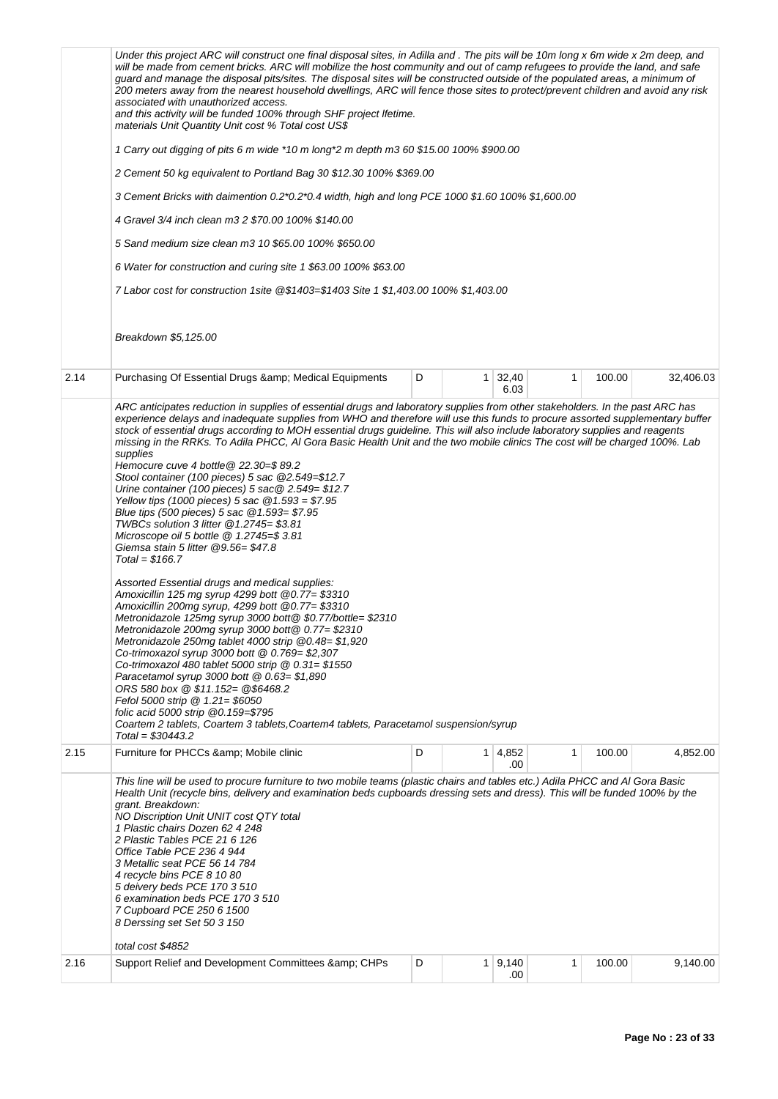|      | Under this project ARC will construct one final disposal sites, in Adilla and. The pits will be 10m long x 6m wide x 2m deep, and<br>will be made from cement bricks. ARC will mobilize the host community and out of camp refugees to provide the land, and safe<br>guard and manage the disposal pits/sites. The disposal sites will be constructed outside of the populated areas, a minimum of<br>200 meters away from the nearest household dwellings, ARC will fence those sites to protect/prevent children and avoid any risk<br>associated with unauthorized access.<br>and this activity will be funded 100% through SHF project lfetime.<br>materials Unit Quantity Unit cost % Total cost US\$<br>1 Carry out digging of pits 6 m wide *10 m long*2 m depth m3 60 \$15.00 100% \$900.00<br>2 Cement 50 kg equivalent to Portland Bag 30 \$12.30 100% \$369.00<br>3 Cement Bricks with daimention 0.2*0.2*0.4 width, high and long PCE 1000 \$1.60 100% \$1,600.00<br>4 Gravel 3/4 inch clean m3 2 \$70.00 100% \$140.00<br>5 Sand medium size clean m3 10 \$65.00 100% \$650.00<br>6 Water for construction and curing site 1 \$63.00 100% \$63.00<br>7 Labor cost for construction 1site @\$1403=\$1403 Site 1 \$1,403.00 100% \$1,403.00<br>Breakdown \$5,125.00                                                                                                                                                                                                                                                                                                                                                                                             |   |                |                       |   |        |           |
|------|----------------------------------------------------------------------------------------------------------------------------------------------------------------------------------------------------------------------------------------------------------------------------------------------------------------------------------------------------------------------------------------------------------------------------------------------------------------------------------------------------------------------------------------------------------------------------------------------------------------------------------------------------------------------------------------------------------------------------------------------------------------------------------------------------------------------------------------------------------------------------------------------------------------------------------------------------------------------------------------------------------------------------------------------------------------------------------------------------------------------------------------------------------------------------------------------------------------------------------------------------------------------------------------------------------------------------------------------------------------------------------------------------------------------------------------------------------------------------------------------------------------------------------------------------------------------------------------------------------------------------------------------------------------------------|---|----------------|-----------------------|---|--------|-----------|
| 2.14 | Purchasing Of Essential Drugs & amp; Medical Equipments                                                                                                                                                                                                                                                                                                                                                                                                                                                                                                                                                                                                                                                                                                                                                                                                                                                                                                                                                                                                                                                                                                                                                                                                                                                                                                                                                                                                                                                                                                                                                                                                                    | D | 1 <sup>1</sup> | 32,40                 | 1 | 100.00 | 32,406.03 |
|      | ARC anticipates reduction in supplies of essential drugs and laboratory supplies from other stakeholders. In the past ARC has<br>experience delays and inadequate supplies from WHO and therefore will use this funds to procure assorted supplementary buffer<br>stock of essential drugs according to MOH essential drugs guideline. This will also include laboratory supplies and reagents<br>missing in the RRKs. To Adila PHCC, AI Gora Basic Health Unit and the two mobile clinics The cost will be charged 100%. Lab<br>supplies<br>Hemocure cuve 4 bottle @ 22.30=\$ 89.2<br>Stool container (100 pieces) 5 sac @2.549=\$12.7<br>Urine container (100 pieces) 5 sac $@$ 2.549= \$12.7<br>Yellow tips (1000 pieces) 5 sac $@1.593 = $7.95$<br>Blue tips (500 pieces) 5 sac @1.593= \$7.95<br>TWBCs solution 3 litter @1.2745= \$3.81<br>Microscope oil 5 bottle $@$ 1.2745=\$ 3.81<br>Giemsa stain 5 litter @9.56=\$47.8<br>$Total = $166.7$<br>Assorted Essential drugs and medical supplies:<br>Amoxicillin 125 mg syrup 4299 bott @0.77= \$3310<br>Amoxicillin 200mg syrup, 4299 bott @0.77= \$3310<br>Metronidazole 125mg syrup 3000 bott@\$0.77/bottle=\$2310<br>Metronidazole 200mg syrup 3000 bott@ 0.77= \$2310<br>Metronidazole 250mg tablet 4000 strip @0.48=\$1,920<br>Co-trimoxazol syrup 3000 bott @ 0.769= \$2,307<br>Co-trimoxazol 480 tablet 5000 strip @ 0.31= \$1550<br>Paracetamol syrup 3000 bott @ 0.63= \$1,890<br>ORS 580 box @ \$11.152= @\$6468.2<br>Fefol 5000 strip @ 1.21= \$6050<br>folic acid 5000 strip @0.159=\$795<br>Coartem 2 tablets, Coartem 3 tablets, Coartem4 tablets, Paracetamol suspension/syrup<br>$Total = $30443.2$ |   |                | 6.03                  |   |        |           |
| 2.15 | Furniture for PHCCs & Mobile clinic                                                                                                                                                                                                                                                                                                                                                                                                                                                                                                                                                                                                                                                                                                                                                                                                                                                                                                                                                                                                                                                                                                                                                                                                                                                                                                                                                                                                                                                                                                                                                                                                                                        | D |                | $1 \mid 4,852$<br>.00 | 1 | 100.00 | 4,852.00  |
| 2.16 | This line will be used to procure furniture to two mobile teams (plastic chairs and tables etc.) Adila PHCC and AI Gora Basic<br>Health Unit (recycle bins, delivery and examination beds cupboards dressing sets and dress). This will be funded 100% by the<br>grant. Breakdown:<br>NO Discription Unit UNIT cost QTY total<br>1 Plastic chairs Dozen 62 4 248<br>2 Plastic Tables PCE 21 6 126<br>Office Table PCE 236 4 944<br>3 Metallic seat PCE 56 14 784<br>4 recycle bins PCE 8 10 80<br>5 deivery beds PCE 170 3 510<br>6 examination beds PCE 170 3 510<br>7 Cupboard PCE 250 6 1500<br>8 Derssing set Set 50 3 150<br>total cost \$4852<br>Support Relief and Development Committees & CHPs                                                                                                                                                                                                                                                                                                                                                                                                                                                                                                                                                                                                                                                                                                                                                                                                                                                                                                                                                                    | D |                | 1   9,140             | 1 | 100.00 | 9,140.00  |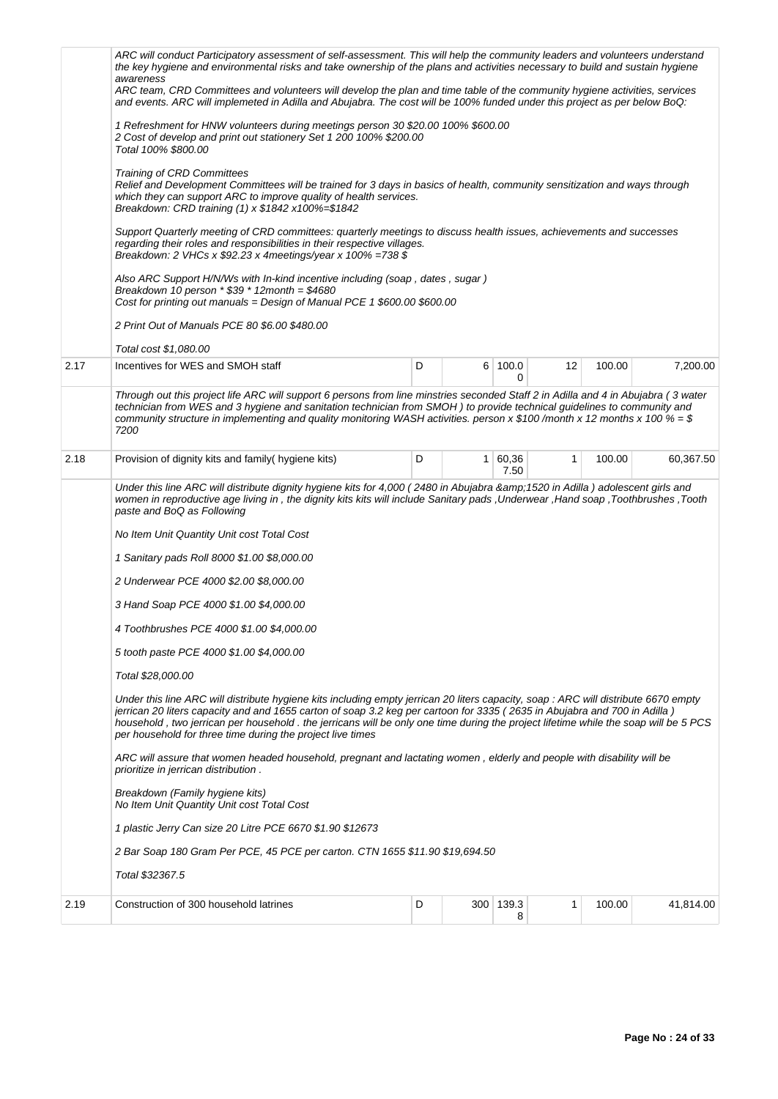|      | ARC will conduct Participatory assessment of self-assessment. This will help the community leaders and volunteers understand<br>the key hygiene and environmental risks and take ownership of the plans and activities necessary to build and sustain hygiene<br>awareness<br>ARC team, CRD Committees and volunteers will develop the plan and time table of the community hygiene activities, services<br>and events. ARC will implemeted in Adilla and Abujabra. The cost will be 100% funded under this project as per below BoQ:<br>1 Refreshment for HNW volunteers during meetings person 30 \$20.00 100% \$600.00<br>2 Cost of develop and print out stationery Set 1 200 100% \$200.00<br>Total 100% \$800.00<br>Training of CRD Committees<br>Relief and Development Committees will be trained for 3 days in basics of health, community sensitization and ways through<br>which they can support ARC to improve quality of health services.<br>Breakdown: CRD training (1) x \$1842 x100%=\$1842<br>Support Quarterly meeting of CRD committees: quarterly meetings to discuss health issues, achievements and successes<br>regarding their roles and responsibilities in their respective villages.<br>Breakdown: 2 VHCs x $$92.23$ x 4meetings/year x 100% =738 \$<br>Also ARC Support H/N/Ws with In-kind incentive including (soap, dates, sugar)<br>Breakdown 10 person $*$ \$39 $*$ 12 month = \$4680<br>Cost for printing out manuals = Design of Manual PCE 1 $$600.00 $600.00$ |   |  |                 |              |        |           |  |
|------|-----------------------------------------------------------------------------------------------------------------------------------------------------------------------------------------------------------------------------------------------------------------------------------------------------------------------------------------------------------------------------------------------------------------------------------------------------------------------------------------------------------------------------------------------------------------------------------------------------------------------------------------------------------------------------------------------------------------------------------------------------------------------------------------------------------------------------------------------------------------------------------------------------------------------------------------------------------------------------------------------------------------------------------------------------------------------------------------------------------------------------------------------------------------------------------------------------------------------------------------------------------------------------------------------------------------------------------------------------------------------------------------------------------------------------------------------------------------------------------------------------|---|--|-----------------|--------------|--------|-----------|--|
|      | 2 Print Out of Manuals PCE 80 \$6.00 \$480.00                                                                                                                                                                                                                                                                                                                                                                                                                                                                                                                                                                                                                                                                                                                                                                                                                                                                                                                                                                                                                                                                                                                                                                                                                                                                                                                                                                                                                                                       |   |  |                 |              |        |           |  |
|      | Total cost \$1,080.00                                                                                                                                                                                                                                                                                                                                                                                                                                                                                                                                                                                                                                                                                                                                                                                                                                                                                                                                                                                                                                                                                                                                                                                                                                                                                                                                                                                                                                                                               |   |  |                 |              |        |           |  |
| 2.17 | Incentives for WES and SMOH staff                                                                                                                                                                                                                                                                                                                                                                                                                                                                                                                                                                                                                                                                                                                                                                                                                                                                                                                                                                                                                                                                                                                                                                                                                                                                                                                                                                                                                                                                   | D |  | 6 100.0<br>0    | 12           | 100.00 | 7,200.00  |  |
|      | Through out this project life ARC will support 6 persons from line minstries seconded Staff 2 in Adilla and 4 in Abujabra (3 water<br>technician from WES and 3 hygiene and sanitation technician from SMOH) to provide technical guidelines to community and<br>community structure in implementing and quality monitoring WASH activities. person x \$100 /month x 12 months x 100 % = \$<br>7200                                                                                                                                                                                                                                                                                                                                                                                                                                                                                                                                                                                                                                                                                                                                                                                                                                                                                                                                                                                                                                                                                                 |   |  |                 |              |        |           |  |
| 2.18 | Provision of dignity kits and family (hygiene kits)                                                                                                                                                                                                                                                                                                                                                                                                                                                                                                                                                                                                                                                                                                                                                                                                                                                                                                                                                                                                                                                                                                                                                                                                                                                                                                                                                                                                                                                 | D |  | 1 60,36<br>7.50 | $\mathbf{1}$ | 100.00 | 60,367.50 |  |
|      | Under this line ARC will distribute dignity hygiene kits for 4,000 (2480 in Abujabra &1520 in Adilla) adolescent girls and<br>women in reproductive age living in, the dignity kits kits will include Sanitary pads, Underwear, Hand soap, Toothbrushes, Tooth<br>paste and BoQ as Following<br>No Item Unit Quantity Unit cost Total Cost<br>1 Sanitary pads Roll 8000 \$1.00 \$8,000.00<br>2 Underwear PCE 4000 \$2.00 \$8,000.00<br>3 Hand Soap PCE 4000 \$1.00 \$4,000.00<br>4 Toothbrushes PCE 4000 \$1.00 \$4,000.00<br>5 tooth paste PCE 4000 \$1.00 \$4,000.00<br>Total \$28,000.00<br>Under this line ARC will distribute hygiene kits including empty jerrican 20 liters capacity, soap : ARC will distribute 6670 empty<br>jerrican 20 liters capacity and and 1655 carton of soap 3.2 keg per cartoon for 3335 (2635 in Abujabra and 700 in Adilla)<br>household, two jerrican per household. the jerricans will be only one time during the project lifetime while the soap will be 5 PCS<br>per household for three time during the project live times<br>ARC will assure that women headed household, pregnant and lactating women, elderly and people with disability will be<br>prioritize in jerrican distribution.<br>Breakdown (Family hygiene kits)<br>No Item Unit Quantity Unit cost Total Cost<br>1 plastic Jerry Can size 20 Litre PCE 6670 \$1.90 \$12673<br>2 Bar Soap 180 Gram Per PCE, 45 PCE per carton. CTN 1655 \$11.90 \$19,694.50<br>Total \$32367.5              |   |  |                 |              |        |           |  |
| 2.19 | Construction of 300 household latrines                                                                                                                                                                                                                                                                                                                                                                                                                                                                                                                                                                                                                                                                                                                                                                                                                                                                                                                                                                                                                                                                                                                                                                                                                                                                                                                                                                                                                                                              | D |  | 300 139.3<br>8  | 1            | 100.00 | 41,814.00 |  |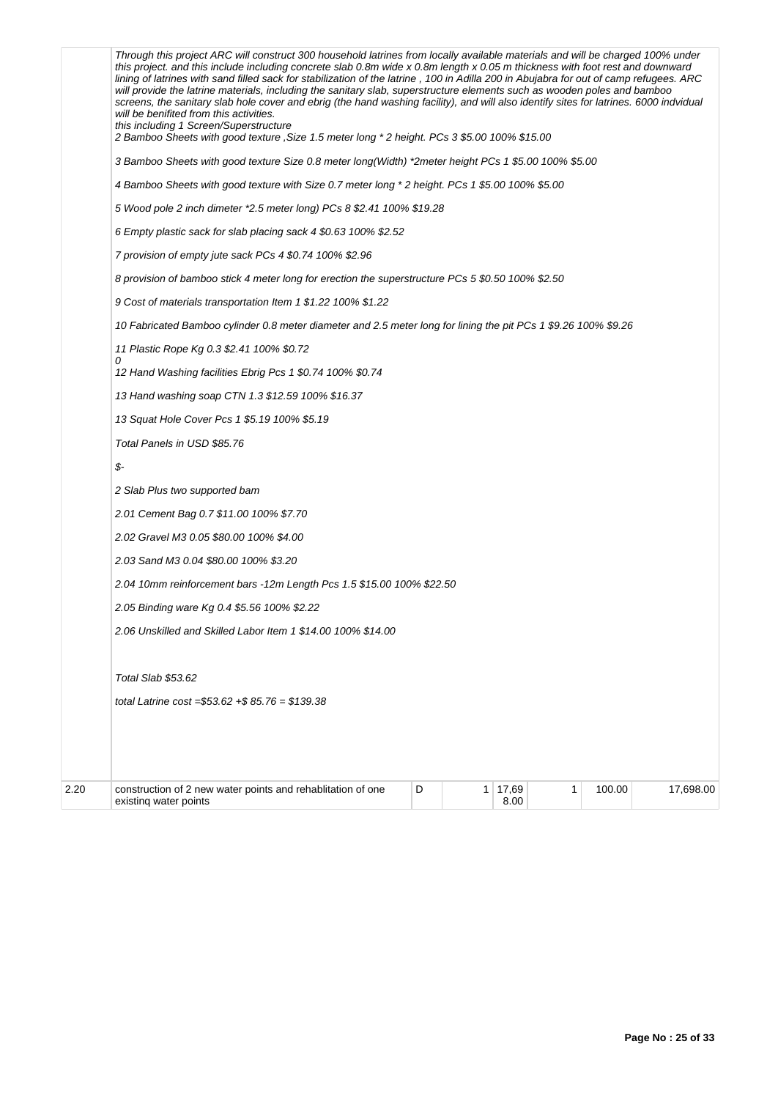|      | Through this project ARC will construct 300 household latrines from locally available materials and will be charged 100% under<br>this project. and this include including concrete slab 0.8m wide x 0.8m length x 0.05 m thickness with foot rest and downward<br>lining of latrines with sand filled sack for stabilization of the latrine, 100 in Adilla 200 in Abujabra for out of camp refugees. ARC<br>will provide the latrine materials, including the sanitary slab, superstructure elements such as wooden poles and bamboo<br>screens, the sanitary slab hole cover and ebrig (the hand washing facility), and will also identify sites for latrines. 6000 indvidual<br>will be benifited from this activities.<br>this including 1 Screen/Superstructure |  |
|------|----------------------------------------------------------------------------------------------------------------------------------------------------------------------------------------------------------------------------------------------------------------------------------------------------------------------------------------------------------------------------------------------------------------------------------------------------------------------------------------------------------------------------------------------------------------------------------------------------------------------------------------------------------------------------------------------------------------------------------------------------------------------|--|
|      | 2 Bamboo Sheets with good texture , Size 1.5 meter long * 2 height. PCs 3 \$5.00 100% \$15.00                                                                                                                                                                                                                                                                                                                                                                                                                                                                                                                                                                                                                                                                        |  |
|      | 3 Bamboo Sheets with good texture Size 0.8 meter long(Width) *2meter height PCs 1 \$5.00 100% \$5.00                                                                                                                                                                                                                                                                                                                                                                                                                                                                                                                                                                                                                                                                 |  |
|      | 4 Bamboo Sheets with good texture with Size 0.7 meter long * 2 height. PCs 1 \$5.00 100% \$5.00                                                                                                                                                                                                                                                                                                                                                                                                                                                                                                                                                                                                                                                                      |  |
|      | 5 Wood pole 2 inch dimeter *2.5 meter long) PCs 8 \$2.41 100% \$19.28                                                                                                                                                                                                                                                                                                                                                                                                                                                                                                                                                                                                                                                                                                |  |
|      | 6 Empty plastic sack for slab placing sack 4 \$0.63 100% \$2.52                                                                                                                                                                                                                                                                                                                                                                                                                                                                                                                                                                                                                                                                                                      |  |
|      | 7 provision of empty jute sack PCs 4 \$0.74 100% \$2.96                                                                                                                                                                                                                                                                                                                                                                                                                                                                                                                                                                                                                                                                                                              |  |
|      | 8 provision of bamboo stick 4 meter long for erection the superstructure PCs 5 \$0.50 100% \$2.50                                                                                                                                                                                                                                                                                                                                                                                                                                                                                                                                                                                                                                                                    |  |
|      | 9 Cost of materials transportation Item 1 \$1.22 100% \$1.22                                                                                                                                                                                                                                                                                                                                                                                                                                                                                                                                                                                                                                                                                                         |  |
|      | 10 Fabricated Bamboo cylinder 0.8 meter diameter and 2.5 meter long for lining the pit PCs 1 \$9.26 100% \$9.26                                                                                                                                                                                                                                                                                                                                                                                                                                                                                                                                                                                                                                                      |  |
|      | 11 Plastic Rope Kg 0.3 \$2.41 100% \$0.72                                                                                                                                                                                                                                                                                                                                                                                                                                                                                                                                                                                                                                                                                                                            |  |
|      | 0<br>12 Hand Washing facilities Ebrig Pcs 1 \$0.74 100% \$0.74                                                                                                                                                                                                                                                                                                                                                                                                                                                                                                                                                                                                                                                                                                       |  |
|      | 13 Hand washing soap CTN 1.3 \$12.59 100% \$16.37                                                                                                                                                                                                                                                                                                                                                                                                                                                                                                                                                                                                                                                                                                                    |  |
|      | 13 Squat Hole Cover Pcs 1 \$5.19 100% \$5.19                                                                                                                                                                                                                                                                                                                                                                                                                                                                                                                                                                                                                                                                                                                         |  |
|      | Total Panels in USD \$85.76                                                                                                                                                                                                                                                                                                                                                                                                                                                                                                                                                                                                                                                                                                                                          |  |
|      | \$-                                                                                                                                                                                                                                                                                                                                                                                                                                                                                                                                                                                                                                                                                                                                                                  |  |
|      | 2 Slab Plus two supported bam                                                                                                                                                                                                                                                                                                                                                                                                                                                                                                                                                                                                                                                                                                                                        |  |
|      | 2.01 Cement Bag 0.7 \$11.00 100% \$7.70                                                                                                                                                                                                                                                                                                                                                                                                                                                                                                                                                                                                                                                                                                                              |  |
|      | 2.02 Gravel M3 0.05 \$80.00 100% \$4.00                                                                                                                                                                                                                                                                                                                                                                                                                                                                                                                                                                                                                                                                                                                              |  |
|      | 2.03 Sand M3 0.04 \$80.00 100% \$3.20                                                                                                                                                                                                                                                                                                                                                                                                                                                                                                                                                                                                                                                                                                                                |  |
|      | 2.04 10mm reinforcement bars -12m Length Pcs 1.5 \$15.00 100% \$22.50                                                                                                                                                                                                                                                                                                                                                                                                                                                                                                                                                                                                                                                                                                |  |
|      | 2.05 Binding ware Kg 0.4 \$5.56 100% \$2.22                                                                                                                                                                                                                                                                                                                                                                                                                                                                                                                                                                                                                                                                                                                          |  |
|      | 2.06 Unskilled and Skilled Labor Item 1 \$14.00 100% \$14.00                                                                                                                                                                                                                                                                                                                                                                                                                                                                                                                                                                                                                                                                                                         |  |
|      | Total Slab \$53.62                                                                                                                                                                                                                                                                                                                                                                                                                                                                                                                                                                                                                                                                                                                                                   |  |
|      | total Latrine cost = $$53.62 + $85.76 = $139.38$                                                                                                                                                                                                                                                                                                                                                                                                                                                                                                                                                                                                                                                                                                                     |  |
|      |                                                                                                                                                                                                                                                                                                                                                                                                                                                                                                                                                                                                                                                                                                                                                                      |  |
| 2.20 | 1 17,69<br>construction of 2 new water points and rehablitation of one<br>D<br>100.00<br>17,698.00<br>1<br>8.00<br>existing water points                                                                                                                                                                                                                                                                                                                                                                                                                                                                                                                                                                                                                             |  |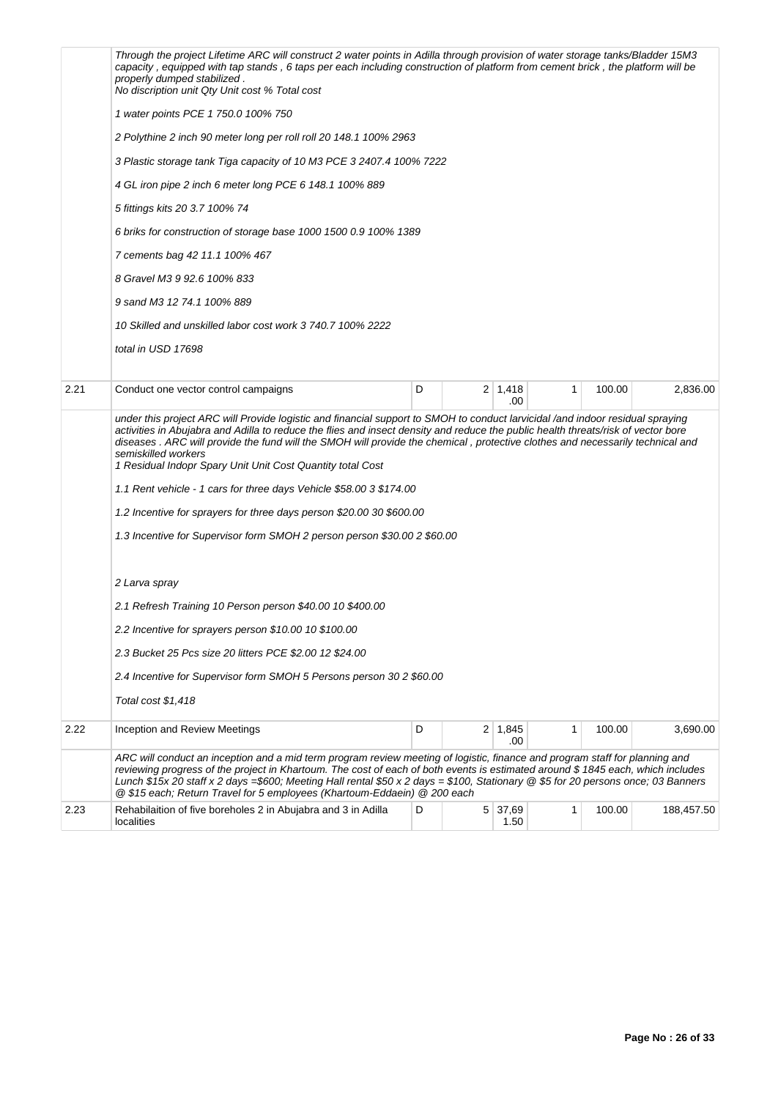|      | Through the project Lifetime ARC will construct 2 water points in Adilla through provision of water storage tanks/Bladder 15M3<br>capacity, equipped with tap stands, 6 taps per each including construction of platform from cement brick, the platform will be<br>properly dumped stabilized.<br>No discription unit Qty Unit cost % Total cost                                                                                                                                                                                                                |   |  |                             |   |        |            |  |  |  |
|------|------------------------------------------------------------------------------------------------------------------------------------------------------------------------------------------------------------------------------------------------------------------------------------------------------------------------------------------------------------------------------------------------------------------------------------------------------------------------------------------------------------------------------------------------------------------|---|--|-----------------------------|---|--------|------------|--|--|--|
|      | 1 water points PCE 1 750.0 100% 750                                                                                                                                                                                                                                                                                                                                                                                                                                                                                                                              |   |  |                             |   |        |            |  |  |  |
|      | 2 Polythine 2 inch 90 meter long per roll roll 20 148.1 100% 2963                                                                                                                                                                                                                                                                                                                                                                                                                                                                                                |   |  |                             |   |        |            |  |  |  |
|      | 3 Plastic storage tank Tiga capacity of 10 M3 PCE 3 2407.4 100% 7222                                                                                                                                                                                                                                                                                                                                                                                                                                                                                             |   |  |                             |   |        |            |  |  |  |
|      | 4 GL iron pipe 2 inch 6 meter long PCE 6 148.1 100% 889                                                                                                                                                                                                                                                                                                                                                                                                                                                                                                          |   |  |                             |   |        |            |  |  |  |
|      | 5 fittings kits 20 3.7 100% 74                                                                                                                                                                                                                                                                                                                                                                                                                                                                                                                                   |   |  |                             |   |        |            |  |  |  |
|      | 6 briks for construction of storage base 1000 1500 0.9 100% 1389                                                                                                                                                                                                                                                                                                                                                                                                                                                                                                 |   |  |                             |   |        |            |  |  |  |
|      | 7 cements bag 42 11.1 100% 467                                                                                                                                                                                                                                                                                                                                                                                                                                                                                                                                   |   |  |                             |   |        |            |  |  |  |
|      | 8 Gravel M3 9 92.6 100% 833                                                                                                                                                                                                                                                                                                                                                                                                                                                                                                                                      |   |  |                             |   |        |            |  |  |  |
|      | 9 sand M3 12 74.1 100% 889                                                                                                                                                                                                                                                                                                                                                                                                                                                                                                                                       |   |  |                             |   |        |            |  |  |  |
|      | 10 Skilled and unskilled labor cost work 3 740.7 100% 2222                                                                                                                                                                                                                                                                                                                                                                                                                                                                                                       |   |  |                             |   |        |            |  |  |  |
|      | total in USD 17698                                                                                                                                                                                                                                                                                                                                                                                                                                                                                                                                               |   |  |                             |   |        |            |  |  |  |
|      |                                                                                                                                                                                                                                                                                                                                                                                                                                                                                                                                                                  |   |  |                             |   |        |            |  |  |  |
| 2.21 | Conduct one vector control campaigns                                                                                                                                                                                                                                                                                                                                                                                                                                                                                                                             | D |  | $2 \mid 1,418$<br>.00       | 1 | 100.00 | 2,836.00   |  |  |  |
|      | under this project ARC will Provide logistic and financial support to SMOH to conduct larvicidal /and indoor residual spraying<br>activities in Abujabra and Adilla to reduce the flies and insect density and reduce the public health threats/risk of vector bore<br>diseases. ARC will provide the fund will the SMOH will provide the chemical, protective clothes and necessarily technical and<br>semiskilled workers<br>1 Residual Indopr Spary Unit Unit Cost Quantity total Cost<br>1.1 Rent vehicle - 1 cars for three days Vehicle \$58.00 3 \$174.00 |   |  |                             |   |        |            |  |  |  |
|      | 1.2 Incentive for sprayers for three days person \$20.00 30 \$600.00                                                                                                                                                                                                                                                                                                                                                                                                                                                                                             |   |  |                             |   |        |            |  |  |  |
|      | 1.3 Incentive for Supervisor form SMOH 2 person person \$30.00 2 \$60.00                                                                                                                                                                                                                                                                                                                                                                                                                                                                                         |   |  |                             |   |        |            |  |  |  |
|      | 2 Larva spray                                                                                                                                                                                                                                                                                                                                                                                                                                                                                                                                                    |   |  |                             |   |        |            |  |  |  |
|      | 2.1 Refresh Training 10 Person person \$40.00 10 \$400.00                                                                                                                                                                                                                                                                                                                                                                                                                                                                                                        |   |  |                             |   |        |            |  |  |  |
|      | 2.2 Incentive for sprayers person \$10.00 10 \$100.00                                                                                                                                                                                                                                                                                                                                                                                                                                                                                                            |   |  |                             |   |        |            |  |  |  |
|      | 2.3 Bucket 25 Pcs size 20 litters PCE \$2.00 12 \$24.00                                                                                                                                                                                                                                                                                                                                                                                                                                                                                                          |   |  |                             |   |        |            |  |  |  |
|      | 2.4 Incentive for Supervisor form SMOH 5 Persons person 30 2 \$60.00                                                                                                                                                                                                                                                                                                                                                                                                                                                                                             |   |  |                             |   |        |            |  |  |  |
|      | Total cost \$1,418                                                                                                                                                                                                                                                                                                                                                                                                                                                                                                                                               |   |  |                             |   |        |            |  |  |  |
| 2.22 | Inception and Review Meetings                                                                                                                                                                                                                                                                                                                                                                                                                                                                                                                                    | D |  | $2 \mid 1,845$<br>.00       | 1 | 100.00 | 3,690.00   |  |  |  |
|      | ARC will conduct an inception and a mid term program review meeting of logistic, finance and program staff for planning and<br>reviewing progress of the project in Khartoum. The cost of each of both events is estimated around \$1845 each, which includes<br>Lunch \$15x 20 staff x 2 days =\$600; Meeting Hall rental \$50 x 2 days = \$100, Stationary @ \$5 for 20 persons once; 03 Banners<br>@ \$15 each; Return Travel for 5 employees (Khartoum-Eddaein) @ 200 each                                                                                   |   |  |                             |   |        |            |  |  |  |
| 2.23 | Rehabilaition of five boreholes 2 in Abujabra and 3 in Adilla<br>localities                                                                                                                                                                                                                                                                                                                                                                                                                                                                                      | D |  | $5 \mid 37,69 \mid$<br>1.50 | 1 | 100.00 | 188,457.50 |  |  |  |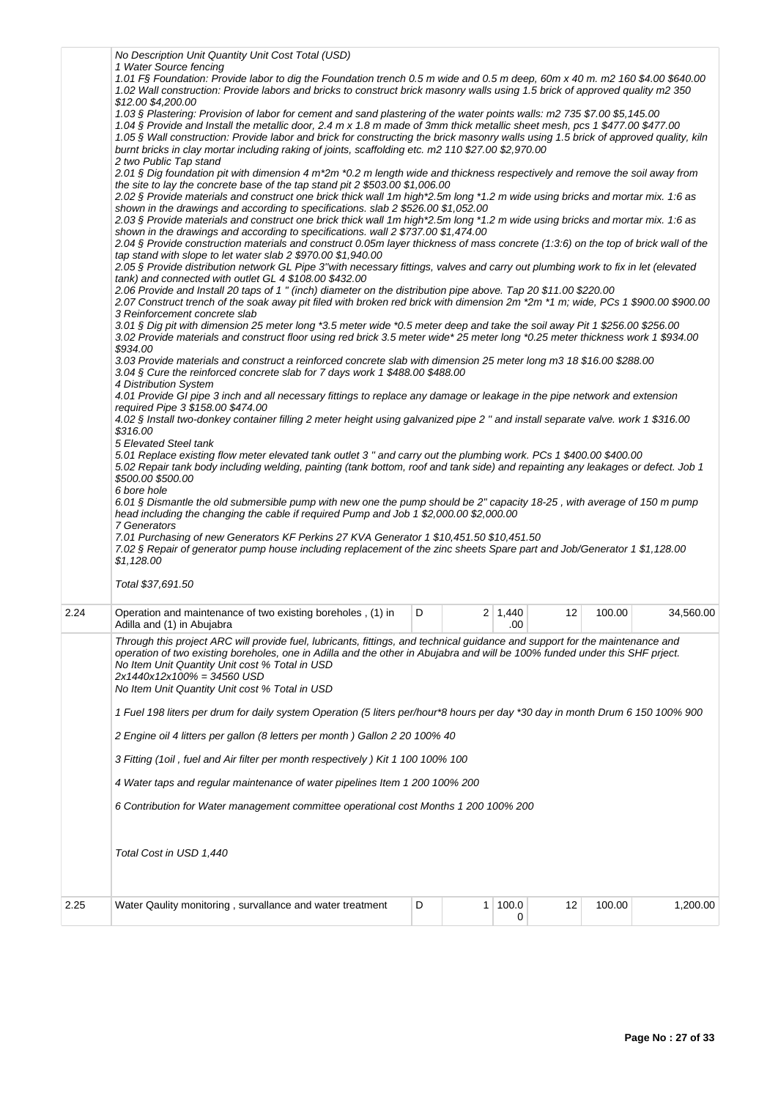|      | No Description Unit Quantity Unit Cost Total (USD)<br>1 Water Source fencing<br>1.01 FS Foundation: Provide labor to dig the Foundation trench 0.5 m wide and 0.5 m deep, 60m x 40 m. m2 160 \$4.00 \$640.00<br>1.02 Wall construction: Provide labors and bricks to construct brick masonry walls using 1.5 brick of approved quality m2 350<br>\$12.00 \$4,200.00<br>1.03 § Plastering: Provision of labor for cement and sand plastering of the water points walls: m2 735 \$7.00 \$5,145.00<br>1.04 § Provide and Install the metallic door, 2.4 m x 1.8 m made of 3mm thick metallic sheet mesh, pcs 1 \$477.00 \$477.00<br>1.05 § Wall construction: Provide labor and brick for constructing the brick masonry walls using 1.5 brick of approved quality, kiln<br>burnt bricks in clay mortar including raking of joints, scaffolding etc. m2 110 \$27.00 \$2,970.00<br>2 two Public Tap stand<br>2.01 § Dig foundation pit with dimension 4 m*2m *0.2 m length wide and thickness respectively and remove the soil away from<br>the site to lay the concrete base of the tap stand pit 2 \$503.00 \$1,006.00<br>2.02 § Provide materials and construct one brick thick wall 1m high*2.5m long *1.2 m wide using bricks and mortar mix. 1:6 as<br>shown in the drawings and according to specifications. slab 2 \$526.00 \$1,052.00<br>2.03 § Provide materials and construct one brick thick wall 1m high*2.5m long *1.2 m wide using bricks and mortar mix. 1:6 as<br>shown in the drawings and according to specifications. wall 2 \$737.00 \$1,474.00<br>2.04 § Provide construction materials and construct 0.05m layer thickness of mass concrete (1:3:6) on the top of brick wall of the<br>tap stand with slope to let water slab 2 \$970.00 \$1,940.00 |   |  |                |    |        |           |  |  |  |
|------|------------------------------------------------------------------------------------------------------------------------------------------------------------------------------------------------------------------------------------------------------------------------------------------------------------------------------------------------------------------------------------------------------------------------------------------------------------------------------------------------------------------------------------------------------------------------------------------------------------------------------------------------------------------------------------------------------------------------------------------------------------------------------------------------------------------------------------------------------------------------------------------------------------------------------------------------------------------------------------------------------------------------------------------------------------------------------------------------------------------------------------------------------------------------------------------------------------------------------------------------------------------------------------------------------------------------------------------------------------------------------------------------------------------------------------------------------------------------------------------------------------------------------------------------------------------------------------------------------------------------------------------------------------------------------------------------------------------------------------------------------------------------|---|--|----------------|----|--------|-----------|--|--|--|
|      | 2.05 § Provide distribution network GL Pipe 3"with necessary fittings, valves and carry out plumbing work to fix in let (elevated<br>tank) and connected with outlet GL 4 \$108.00 \$432.00<br>2.06 Provide and Install 20 taps of 1 " (inch) diameter on the distribution pipe above. Tap 20 \$11.00 \$220.00                                                                                                                                                                                                                                                                                                                                                                                                                                                                                                                                                                                                                                                                                                                                                                                                                                                                                                                                                                                                                                                                                                                                                                                                                                                                                                                                                                                                                                                         |   |  |                |    |        |           |  |  |  |
|      | 2.07 Construct trench of the soak away pit filed with broken red brick with dimension 2m *2m *1 m; wide, PCs 1 \$900.00 \$900.00<br>3 Reinforcement concrete slab<br>3.01 § Dig pit with dimension 25 meter long *3.5 meter wide *0.5 meter deep and take the soil away Pit 1 \$256.00 \$256.00<br>3.02 Provide materials and construct floor using red brick 3.5 meter wide* 25 meter long *0.25 meter thickness work 1 \$934.00<br>\$934.00<br>3.03 Provide materials and construct a reinforced concrete slab with dimension 25 meter long m3 18 \$16.00 \$288.00<br>3.04 § Cure the reinforced concrete slab for 7 days work 1 \$488.00 \$488.00<br>4 Distribution System<br>4.01 Provide GI pipe 3 inch and all necessary fittings to replace any damage or leakage in the pipe network and extension<br>required Pipe 3 \$158.00 \$474.00<br>4.02 § Install two-donkey container filling 2 meter height using galvanized pipe 2 " and install separate valve. work 1 \$316.00<br>\$316.00<br>5 Elevated Steel tank<br>5.01 Replace existing flow meter elevated tank outlet 3" and carry out the plumbing work. PCs 1 \$400.00 \$400.00<br>5.02 Repair tank body including welding, painting (tank bottom, roof and tank side) and repainting any leakages or defect. Job 1<br>\$500.00 \$500.00<br>6 bore hole<br>6.01 § Dismantle the old submersible pump with new one the pump should be 2" capacity 18-25, with average of 150 m pump<br>head including the changing the cable if required Pump and Job 1 \$2,000.00 \$2,000.00                                                                                                                                                                                                                             |   |  |                |    |        |           |  |  |  |
|      | 7.01 Purchasing of new Generators KF Perkins 27 KVA Generator 1 \$10,451.50 \$10,451.50<br>7.02 § Repair of generator pump house including replacement of the zinc sheets Spare part and Job/Generator 1 \$1,128.00<br>\$1,128.00<br>Total \$37,691.50                                                                                                                                                                                                                                                                                                                                                                                                                                                                                                                                                                                                                                                                                                                                                                                                                                                                                                                                                                                                                                                                                                                                                                                                                                                                                                                                                                                                                                                                                                                 |   |  |                |    |        |           |  |  |  |
| 2.24 | Operation and maintenance of two existing boreholes, (1) in                                                                                                                                                                                                                                                                                                                                                                                                                                                                                                                                                                                                                                                                                                                                                                                                                                                                                                                                                                                                                                                                                                                                                                                                                                                                                                                                                                                                                                                                                                                                                                                                                                                                                                            | D |  | $2 \mid 1,440$ | 12 | 100.00 | 34,560.00 |  |  |  |
|      | Adilla and (1) in Abujabra<br>.00<br>Through this project ARC will provide fuel, lubricants, fittings, and technical guidance and support for the maintenance and<br>operation of two existing boreholes, one in Adilla and the other in Abujabra and will be 100% funded under this SHF priect.<br>No Item Unit Quantity Unit cost % Total in USD<br>$2x1440x12x100% = 34560$ USD<br>No Item Unit Quantity Unit cost % Total in USD<br>1 Fuel 198 liters per drum for daily system Operation (5 liters per/hour*8 hours per day *30 day in month Drum 6 150 100% 900<br>2 Engine oil 4 litters per gallon (8 letters per month) Gallon 2 20 100% 40<br>3 Fitting (1oil, fuel and Air filter per month respectively) Kit 1 100 100% 100<br>4 Water taps and regular maintenance of water pipelines Item 1 200 100% 200<br>6 Contribution for Water management committee operational cost Months 1 200 100% 200<br>Total Cost in USD 1,440                                                                                                                                                                                                                                                                                                                                                                                                                                                                                                                                                                                                                                                                                                                                                                                                                              |   |  |                |    |        |           |  |  |  |
| 2.25 | Water Qaulity monitoring, survallance and water treatment                                                                                                                                                                                                                                                                                                                                                                                                                                                                                                                                                                                                                                                                                                                                                                                                                                                                                                                                                                                                                                                                                                                                                                                                                                                                                                                                                                                                                                                                                                                                                                                                                                                                                                              | D |  | 1 100.0<br>0   | 12 | 100.00 | 1,200.00  |  |  |  |
|      |                                                                                                                                                                                                                                                                                                                                                                                                                                                                                                                                                                                                                                                                                                                                                                                                                                                                                                                                                                                                                                                                                                                                                                                                                                                                                                                                                                                                                                                                                                                                                                                                                                                                                                                                                                        |   |  |                |    |        |           |  |  |  |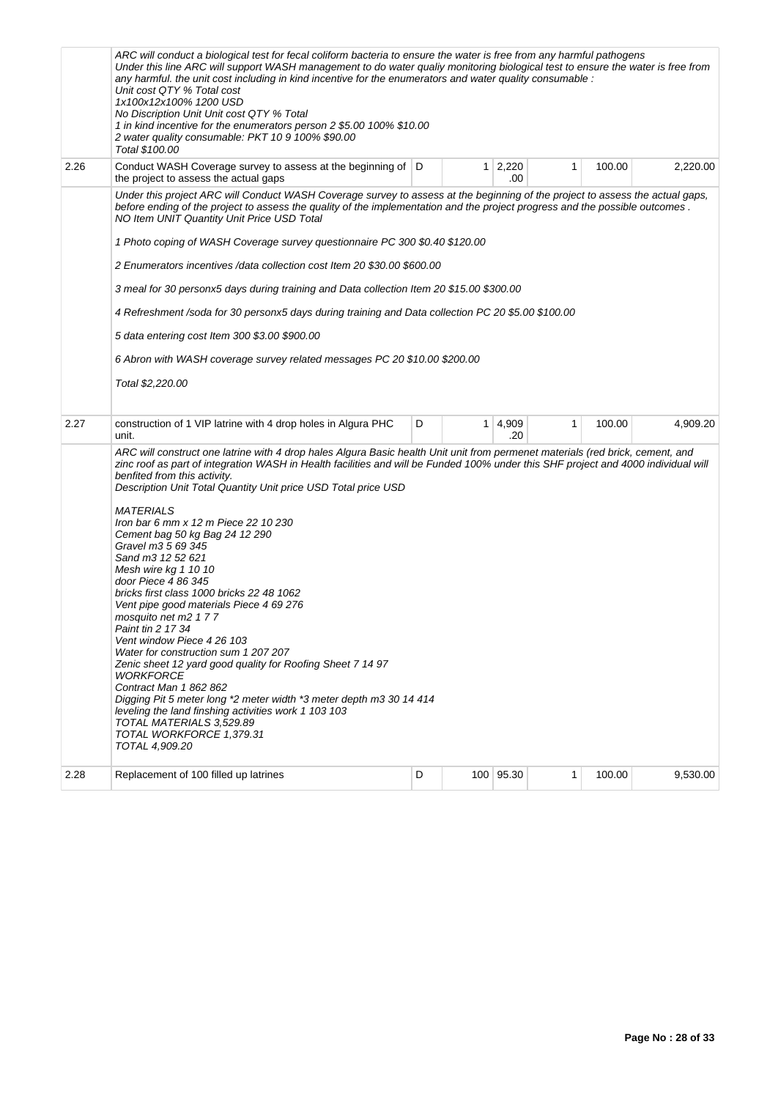|      | ARC will conduct a biological test for fecal coliform bacteria to ensure the water is free from any harmful pathogens<br>Under this line ARC will support WASH management to do water qualiy monitoring biological test to ensure the water is free from<br>any harmful. the unit cost including in kind incentive for the enumerators and water quality consumable :<br>Unit cost QTY % Total cost<br>1x100x12x100% 1200 USD<br>No Discription Unit Unit cost QTY % Total<br>1 in kind incentive for the enumerators person 2 \$5.00 100% \$10.00<br>2 water quality consumable: PKT 10 9 100% \$90.00<br>Total \$100.00                                                                                                                                                                                                                                                                                                                                                                                                                                                                                                                                                                                                                                                                                                                                                                                                                                                                                                                                                                                                                                                                                                                                                                                                                                                                                                                                                                            |   |  |                       |              |        |          |  |  |
|------|------------------------------------------------------------------------------------------------------------------------------------------------------------------------------------------------------------------------------------------------------------------------------------------------------------------------------------------------------------------------------------------------------------------------------------------------------------------------------------------------------------------------------------------------------------------------------------------------------------------------------------------------------------------------------------------------------------------------------------------------------------------------------------------------------------------------------------------------------------------------------------------------------------------------------------------------------------------------------------------------------------------------------------------------------------------------------------------------------------------------------------------------------------------------------------------------------------------------------------------------------------------------------------------------------------------------------------------------------------------------------------------------------------------------------------------------------------------------------------------------------------------------------------------------------------------------------------------------------------------------------------------------------------------------------------------------------------------------------------------------------------------------------------------------------------------------------------------------------------------------------------------------------------------------------------------------------------------------------------------------------|---|--|-----------------------|--------------|--------|----------|--|--|
| 2.26 | Conduct WASH Coverage survey to assess at the beginning of D<br>the project to assess the actual gaps                                                                                                                                                                                                                                                                                                                                                                                                                                                                                                                                                                                                                                                                                                                                                                                                                                                                                                                                                                                                                                                                                                                                                                                                                                                                                                                                                                                                                                                                                                                                                                                                                                                                                                                                                                                                                                                                                                |   |  | $1 \mid 2,220$<br>.00 | $\mathbf{1}$ | 100.00 | 2,220.00 |  |  |
| 2.27 | Under this project ARC will Conduct WASH Coverage survey to assess at the beginning of the project to assess the actual gaps,<br>before ending of the project to assess the quality of the implementation and the project progress and the possible outcomes.<br>NO Item UNIT Quantity Unit Price USD Total<br>1 Photo coping of WASH Coverage survey questionnaire PC 300 \$0.40 \$120.00<br>2 Enumerators incentives /data collection cost Item 20 \$30.00 \$600.00<br>3 meal for 30 personx5 days during training and Data collection Item 20 \$15.00 \$300.00<br>4 Refreshment /soda for 30 personx5 days during training and Data collection PC 20 \$5.00 \$100.00<br>5 data entering cost Item 300 \$3.00 \$900.00<br>6 Abron with WASH coverage survey related messages PC 20 \$10.00 \$200.00<br>Total \$2,220.00<br>construction of 1 VIP latrine with 4 drop holes in Algura PHC<br>unit.<br>ARC will construct one latrine with 4 drop hales Algura Basic health Unit unit from permenet materials (red brick, cement, and<br>zinc roof as part of integration WASH in Health facilities and will be Funded 100% under this SHF project and 4000 individual will<br>benfited from this activity.<br>Description Unit Total Quantity Unit price USD Total price USD<br><b>MATERIALS</b><br>Iron bar 6 mm x 12 m Piece 22 10 230<br>Cement bag 50 kg Bag 24 12 290<br>Gravel m3 5 69 345<br>Sand m3 12 52 621<br>Mesh wire kg 1 10 10<br>door Piece 4 86 345<br>bricks first class 1000 bricks 22 48 1062<br>Vent pipe good materials Piece 4 69 276<br>mosquito net m2 177<br>Paint tin 2 17 34<br>Vent window Piece 4 26 103<br>Water for construction sum 1 207 207<br>Zenic sheet 12 yard good quality for Roofing Sheet 7 14 97<br><b>WORKFORCE</b><br>Contract Man 1 862 862<br>Digging Pit 5 meter long *2 meter width *3 meter depth m3 30 14 414<br>leveling the land finshing activities work 1 103 103<br>TOTAL MATERIALS 3,529.89<br>TOTAL WORKFORCE 1,379.31<br>TOTAL 4,909.20 | D |  | $1 \mid 4,909$<br>.20 | $\mathbf{1}$ | 100.00 | 4,909.20 |  |  |
| 2.28 | Replacement of 100 filled up latrines                                                                                                                                                                                                                                                                                                                                                                                                                                                                                                                                                                                                                                                                                                                                                                                                                                                                                                                                                                                                                                                                                                                                                                                                                                                                                                                                                                                                                                                                                                                                                                                                                                                                                                                                                                                                                                                                                                                                                                | D |  | 100 95.30             | 1            | 100.00 | 9,530.00 |  |  |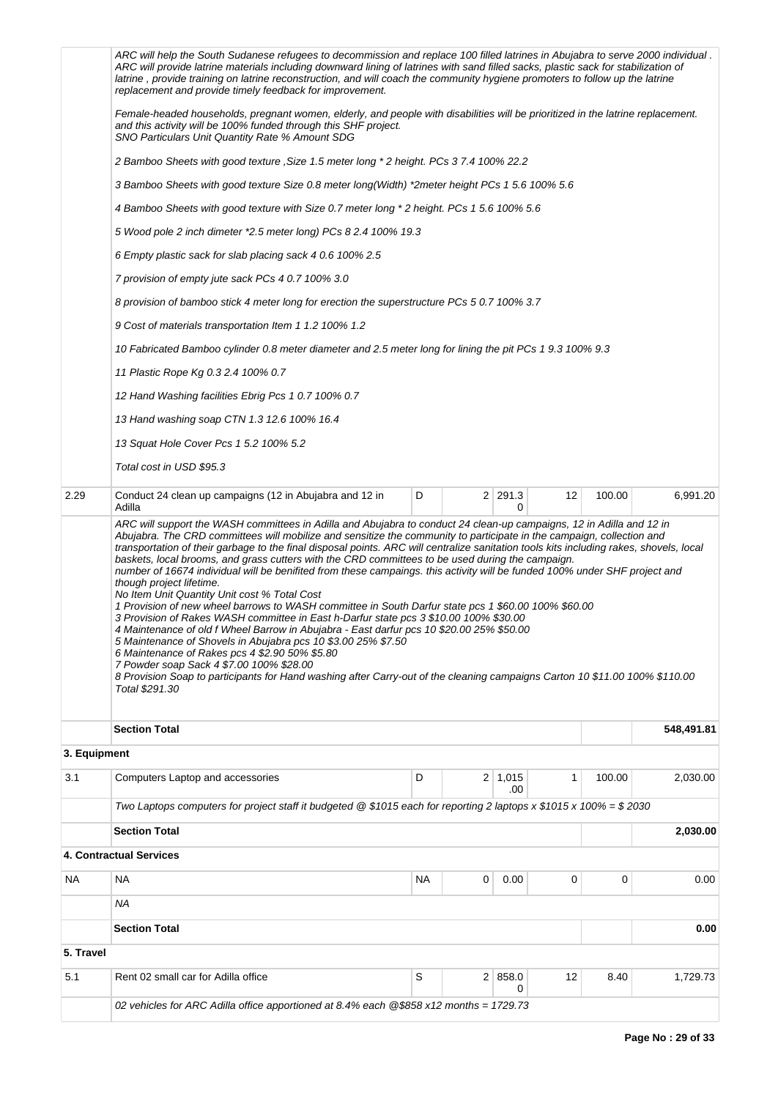|              | 02 vehicles for ARC Adilla office apportioned at 8.4% each @\$858 x12 months = 1729.73                                                                                                                                                                                                                                                                                                                                                                                                                                                                                                                                                                                                                                                                                                                                                                                                                                                                                                                                                                                                                                                                                                                                                                                                           |           |   | 0              |    |        |            |  |  |  |
|--------------|--------------------------------------------------------------------------------------------------------------------------------------------------------------------------------------------------------------------------------------------------------------------------------------------------------------------------------------------------------------------------------------------------------------------------------------------------------------------------------------------------------------------------------------------------------------------------------------------------------------------------------------------------------------------------------------------------------------------------------------------------------------------------------------------------------------------------------------------------------------------------------------------------------------------------------------------------------------------------------------------------------------------------------------------------------------------------------------------------------------------------------------------------------------------------------------------------------------------------------------------------------------------------------------------------|-----------|---|----------------|----|--------|------------|--|--|--|
| 5.1          | Rent 02 small car for Adilla office                                                                                                                                                                                                                                                                                                                                                                                                                                                                                                                                                                                                                                                                                                                                                                                                                                                                                                                                                                                                                                                                                                                                                                                                                                                              | S         |   | 2   858.0      | 12 | 8.40   | 1,729.73   |  |  |  |
| 5. Travel    |                                                                                                                                                                                                                                                                                                                                                                                                                                                                                                                                                                                                                                                                                                                                                                                                                                                                                                                                                                                                                                                                                                                                                                                                                                                                                                  |           |   |                |    |        |            |  |  |  |
|              | <b>Section Total</b>                                                                                                                                                                                                                                                                                                                                                                                                                                                                                                                                                                                                                                                                                                                                                                                                                                                                                                                                                                                                                                                                                                                                                                                                                                                                             |           |   |                |    |        | 0.00       |  |  |  |
|              | ΝA                                                                                                                                                                                                                                                                                                                                                                                                                                                                                                                                                                                                                                                                                                                                                                                                                                                                                                                                                                                                                                                                                                                                                                                                                                                                                               |           |   |                |    |        |            |  |  |  |
| ΝA           | <b>NA</b>                                                                                                                                                                                                                                                                                                                                                                                                                                                                                                                                                                                                                                                                                                                                                                                                                                                                                                                                                                                                                                                                                                                                                                                                                                                                                        | <b>NA</b> | 0 | 0.00           | 0  | 0      | 0.00       |  |  |  |
|              | 4. Contractual Services                                                                                                                                                                                                                                                                                                                                                                                                                                                                                                                                                                                                                                                                                                                                                                                                                                                                                                                                                                                                                                                                                                                                                                                                                                                                          |           |   |                |    |        |            |  |  |  |
|              | <b>Section Total</b>                                                                                                                                                                                                                                                                                                                                                                                                                                                                                                                                                                                                                                                                                                                                                                                                                                                                                                                                                                                                                                                                                                                                                                                                                                                                             |           |   |                |    |        | 2,030.00   |  |  |  |
|              | Two Laptops computers for project staff it budgeted @ \$1015 each for reporting 2 laptops x \$1015 x 100% = \$2030                                                                                                                                                                                                                                                                                                                                                                                                                                                                                                                                                                                                                                                                                                                                                                                                                                                                                                                                                                                                                                                                                                                                                                               |           |   | .00            |    |        |            |  |  |  |
| 3.1          | Computers Laptop and accessories                                                                                                                                                                                                                                                                                                                                                                                                                                                                                                                                                                                                                                                                                                                                                                                                                                                                                                                                                                                                                                                                                                                                                                                                                                                                 | D         |   | $2 \mid 1,015$ | 1  | 100.00 | 2,030.00   |  |  |  |
| 3. Equipment |                                                                                                                                                                                                                                                                                                                                                                                                                                                                                                                                                                                                                                                                                                                                                                                                                                                                                                                                                                                                                                                                                                                                                                                                                                                                                                  |           |   |                |    |        |            |  |  |  |
|              | <b>Section Total</b>                                                                                                                                                                                                                                                                                                                                                                                                                                                                                                                                                                                                                                                                                                                                                                                                                                                                                                                                                                                                                                                                                                                                                                                                                                                                             |           |   |                |    |        | 548,491.81 |  |  |  |
|              | ARC will support the WASH committees in Adilla and Abujabra to conduct 24 clean-up campaigns, 12 in Adilla and 12 in<br>Abujabra. The CRD committees will mobilize and sensitize the community to participate in the campaign, collection and<br>transportation of their garbage to the final disposal points. ARC will centralize sanitation tools kits including rakes, shovels, local<br>baskets, local brooms, and grass cutters with the CRD committees to be used during the campaign.<br>number of 16674 individual will be benifited from these campaings. this activity will be funded 100% under SHF project and<br>though project lifetime.<br>No Item Unit Quantity Unit cost % Total Cost<br>1 Provision of new wheel barrows to WASH committee in South Darfur state pcs 1 \$60.00 100% \$60.00<br>3 Provision of Rakes WASH committee in East h-Darfur state pcs 3 \$10.00 100% \$30.00<br>4 Maintenance of old f Wheel Barrow in Abujabra - East darfur pcs 10 \$20.00 25% \$50.00<br>5 Maintenance of Shovels in Abujabra pcs 10 \$3.00 25% \$7.50<br>6 Maintenance of Rakes pcs 4 \$2.90 50% \$5.80<br>7 Powder soap Sack 4 \$7.00 100% \$28.00<br>8 Provision Soap to participants for Hand washing after Carry-out of the cleaning campaigns Carton 10 \$11.00 100% \$110.00 |           |   |                |    |        |            |  |  |  |
| 2.29         | Conduct 24 clean up campaigns (12 in Abujabra and 12 in<br>Adilla                                                                                                                                                                                                                                                                                                                                                                                                                                                                                                                                                                                                                                                                                                                                                                                                                                                                                                                                                                                                                                                                                                                                                                                                                                |           |   | 2 291.3<br>0   | 12 | 100.00 | 6,991.20   |  |  |  |
|              | Total cost in USD \$95.3                                                                                                                                                                                                                                                                                                                                                                                                                                                                                                                                                                                                                                                                                                                                                                                                                                                                                                                                                                                                                                                                                                                                                                                                                                                                         | D         |   |                |    |        |            |  |  |  |
|              | 13 Squat Hole Cover Pcs 1 5.2 100% 5.2                                                                                                                                                                                                                                                                                                                                                                                                                                                                                                                                                                                                                                                                                                                                                                                                                                                                                                                                                                                                                                                                                                                                                                                                                                                           |           |   |                |    |        |            |  |  |  |
|              | 13 Hand washing soap CTN 1.3 12.6 100% 16.4                                                                                                                                                                                                                                                                                                                                                                                                                                                                                                                                                                                                                                                                                                                                                                                                                                                                                                                                                                                                                                                                                                                                                                                                                                                      |           |   |                |    |        |            |  |  |  |
|              | 12 Hand Washing facilities Ebrig Pcs 1 0.7 100% 0.7                                                                                                                                                                                                                                                                                                                                                                                                                                                                                                                                                                                                                                                                                                                                                                                                                                                                                                                                                                                                                                                                                                                                                                                                                                              |           |   |                |    |        |            |  |  |  |
|              | 11 Plastic Rope Kg 0.3 2.4 100% 0.7                                                                                                                                                                                                                                                                                                                                                                                                                                                                                                                                                                                                                                                                                                                                                                                                                                                                                                                                                                                                                                                                                                                                                                                                                                                              |           |   |                |    |        |            |  |  |  |
|              | 10 Fabricated Bamboo cylinder 0.8 meter diameter and 2.5 meter long for lining the pit PCs 1 9.3 100% 9.3                                                                                                                                                                                                                                                                                                                                                                                                                                                                                                                                                                                                                                                                                                                                                                                                                                                                                                                                                                                                                                                                                                                                                                                        |           |   |                |    |        |            |  |  |  |
|              | 9 Cost of materials transportation Item 1 1.2 100% 1.2                                                                                                                                                                                                                                                                                                                                                                                                                                                                                                                                                                                                                                                                                                                                                                                                                                                                                                                                                                                                                                                                                                                                                                                                                                           |           |   |                |    |        |            |  |  |  |
|              | 8 provision of bamboo stick 4 meter long for erection the superstructure PCs 5 0.7 100% 3.7                                                                                                                                                                                                                                                                                                                                                                                                                                                                                                                                                                                                                                                                                                                                                                                                                                                                                                                                                                                                                                                                                                                                                                                                      |           |   |                |    |        |            |  |  |  |
|              | 7 provision of empty jute sack PCs 4 0.7 100% 3.0                                                                                                                                                                                                                                                                                                                                                                                                                                                                                                                                                                                                                                                                                                                                                                                                                                                                                                                                                                                                                                                                                                                                                                                                                                                |           |   |                |    |        |            |  |  |  |
|              | 6 Empty plastic sack for slab placing sack 4 0.6 100% 2.5                                                                                                                                                                                                                                                                                                                                                                                                                                                                                                                                                                                                                                                                                                                                                                                                                                                                                                                                                                                                                                                                                                                                                                                                                                        |           |   |                |    |        |            |  |  |  |
|              | 5 Wood pole 2 inch dimeter *2.5 meter long) PCs 8 2.4 100% 19.3                                                                                                                                                                                                                                                                                                                                                                                                                                                                                                                                                                                                                                                                                                                                                                                                                                                                                                                                                                                                                                                                                                                                                                                                                                  |           |   |                |    |        |            |  |  |  |
|              | 4 Bamboo Sheets with good texture with Size 0.7 meter long * 2 height. PCs 1 5.6 100% 5.6                                                                                                                                                                                                                                                                                                                                                                                                                                                                                                                                                                                                                                                                                                                                                                                                                                                                                                                                                                                                                                                                                                                                                                                                        |           |   |                |    |        |            |  |  |  |
|              | 3 Bamboo Sheets with good texture Size 0.8 meter long(Width) *2meter height PCs 1 5.6 100% 5.6                                                                                                                                                                                                                                                                                                                                                                                                                                                                                                                                                                                                                                                                                                                                                                                                                                                                                                                                                                                                                                                                                                                                                                                                   |           |   |                |    |        |            |  |  |  |
|              | 2 Bamboo Sheets with good texture , Size 1.5 meter long * 2 height. PCs 3 7.4 100% 22.2                                                                                                                                                                                                                                                                                                                                                                                                                                                                                                                                                                                                                                                                                                                                                                                                                                                                                                                                                                                                                                                                                                                                                                                                          |           |   |                |    |        |            |  |  |  |
|              | Female-headed households, pregnant women, elderly, and people with disabilities will be prioritized in the latrine replacement.<br>and this activity will be 100% funded through this SHF project.<br>SNO Particulars Unit Quantity Rate % Amount SDG                                                                                                                                                                                                                                                                                                                                                                                                                                                                                                                                                                                                                                                                                                                                                                                                                                                                                                                                                                                                                                            |           |   |                |    |        |            |  |  |  |
|              | ARC will help the South Sudanese refugees to decommission and replace 100 filled latrines in Abujabra to serve 2000 individual.<br>ARC will provide latrine materials including downward lining of latrines with sand filled sacks, plastic sack for stabilization of<br>latrine, provide training on latrine reconstruction, and will coach the community hygiene promoters to follow up the latrine<br>replacement and provide timely feedback for improvement.                                                                                                                                                                                                                                                                                                                                                                                                                                                                                                                                                                                                                                                                                                                                                                                                                                |           |   |                |    |        |            |  |  |  |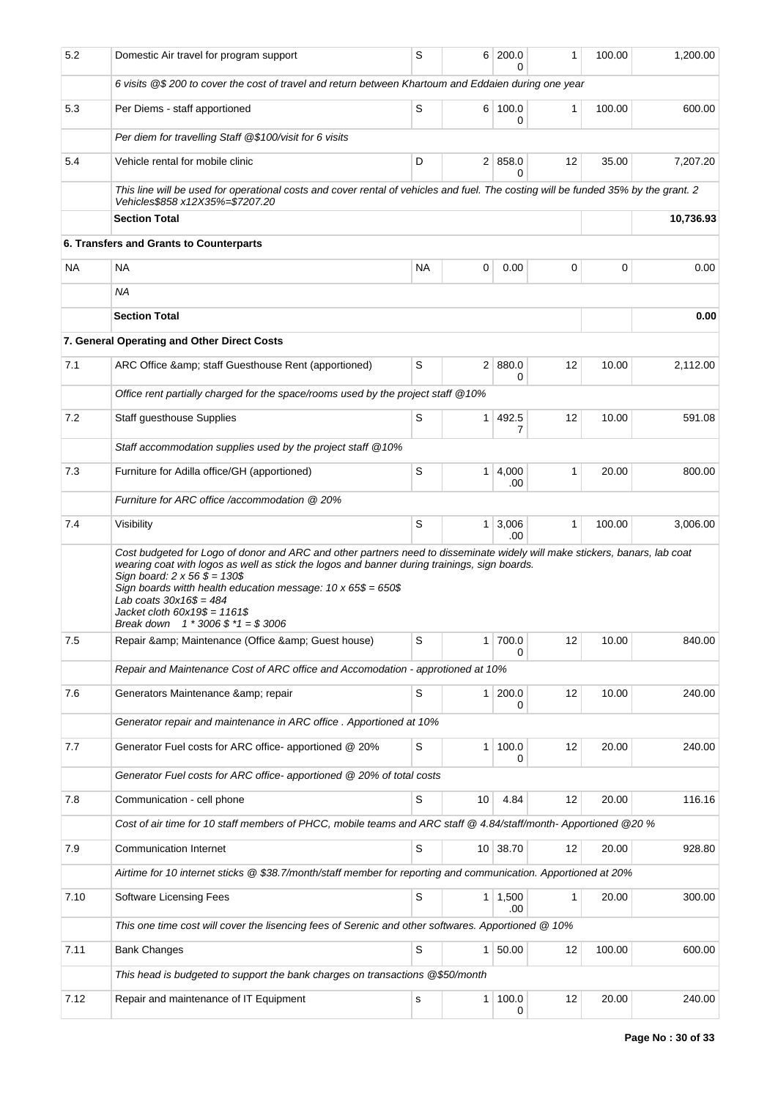| 5.2       | Domestic Air travel for program support                                                                                                                                                                                                                                                                                                                                      | S           | 6 <sup>1</sup> | 200.0                 | 1  | 100.00 | 1,200.00  |
|-----------|------------------------------------------------------------------------------------------------------------------------------------------------------------------------------------------------------------------------------------------------------------------------------------------------------------------------------------------------------------------------------|-------------|----------------|-----------------------|----|--------|-----------|
|           | 6 visits @\$ 200 to cover the cost of travel and return between Khartoum and Eddaien during one year                                                                                                                                                                                                                                                                         |             |                |                       |    |        |           |
| 5.3       | Per Diems - staff apportioned                                                                                                                                                                                                                                                                                                                                                | S           |                | 6 100.0<br>0          | 1  | 100.00 | 600.00    |
|           | Per diem for travelling Staff @\$100/visit for 6 visits                                                                                                                                                                                                                                                                                                                      |             |                |                       |    |        |           |
| 5.4       | Vehicle rental for mobile clinic                                                                                                                                                                                                                                                                                                                                             | D           |                | 2   858.0<br>0        | 12 | 35.00  | 7,207.20  |
|           | This line will be used for operational costs and cover rental of vehicles and fuel. The costing will be funded 35% by the grant. 2<br>Vehicles\$858 x12X35%=\$7207.20                                                                                                                                                                                                        |             |                |                       |    |        |           |
|           | <b>Section Total</b>                                                                                                                                                                                                                                                                                                                                                         |             |                |                       |    |        | 10,736.93 |
|           | 6. Transfers and Grants to Counterparts                                                                                                                                                                                                                                                                                                                                      |             |                |                       |    |        |           |
| <b>NA</b> | NA                                                                                                                                                                                                                                                                                                                                                                           | NA          | 0              | 0.00                  | 0  | 0      | 0.00      |
|           | <b>NA</b>                                                                                                                                                                                                                                                                                                                                                                    |             |                |                       |    |        |           |
|           | <b>Section Total</b>                                                                                                                                                                                                                                                                                                                                                         |             |                |                       |    |        | 0.00      |
|           | 7. General Operating and Other Direct Costs                                                                                                                                                                                                                                                                                                                                  |             |                |                       |    |        |           |
| 7.1       | ARC Office & amp; staff Guesthouse Rent (apportioned)                                                                                                                                                                                                                                                                                                                        | S           | 2 <sup>1</sup> | 880.0<br>0            | 12 | 10.00  | 2,112.00  |
|           | Office rent partially charged for the space/rooms used by the project staff @10%                                                                                                                                                                                                                                                                                             |             |                |                       |    |        |           |
| 7.2       | Staff guesthouse Supplies                                                                                                                                                                                                                                                                                                                                                    | S           | $\mathbf{1}$   | 492.5                 | 12 | 10.00  | 591.08    |
|           | Staff accommodation supplies used by the project staff @10%                                                                                                                                                                                                                                                                                                                  |             |                | 7                     |    |        |           |
| 7.3       | Furniture for Adilla office/GH (apportioned)                                                                                                                                                                                                                                                                                                                                 | S           | 1 <sup>1</sup> | 4,000                 | 1  | 20.00  | 800.00    |
|           | Furniture for ARC office /accommodation @ 20%                                                                                                                                                                                                                                                                                                                                |             |                | .00                   |    |        |           |
| 7.4       | Visibility                                                                                                                                                                                                                                                                                                                                                                   | S           |                | $1 \mid 3,006$        | 1  | 100.00 | 3,006.00  |
|           | Cost budgeted for Logo of donor and ARC and other partners need to disseminate widely will make stickers, banars, lab coat                                                                                                                                                                                                                                                   |             |                | .00                   |    |        |           |
| 7.5       | wearing coat with logos as well as stick the logos and banner during trainings, sign boards.<br>Sign board: $2 \times 56 \, \$ = 130\$<br>Sign boards witth health education message: $10 \times 65\$ = 650\$<br>Lab coats $30x16\$ = 484<br>Jacket cloth $60x19$$ = 1161\$<br>Break down $1 * 3006 \text{ }$ \$ $*1 = $3006$<br>Repair & Maintenance (Office & Guest house) | S           | 1              | 700.0                 | 12 | 10.00  | 840.00    |
|           |                                                                                                                                                                                                                                                                                                                                                                              |             |                | 0                     |    |        |           |
|           | Repair and Maintenance Cost of ARC office and Accomodation - approtioned at 10%                                                                                                                                                                                                                                                                                              |             |                |                       |    |        |           |
| 7.6       | Generators Maintenance & repair                                                                                                                                                                                                                                                                                                                                              | $\mathbb S$ | 1 <sup>1</sup> | 200.0<br>0            | 12 | 10.00  | 240.00    |
|           | Generator repair and maintenance in ARC office . Apportioned at 10%                                                                                                                                                                                                                                                                                                          |             |                |                       |    |        |           |
| 7.7       | Generator Fuel costs for ARC office- apportioned @ 20%                                                                                                                                                                                                                                                                                                                       | $\mathbb S$ | $\mathbf{1}$   | 100.0<br>0            | 12 | 20.00  | 240.00    |
|           | Generator Fuel costs for ARC office- apportioned @ 20% of total costs                                                                                                                                                                                                                                                                                                        |             |                |                       |    |        |           |
| 7.8       | Communication - cell phone                                                                                                                                                                                                                                                                                                                                                   | S           | 10             | 4.84                  | 12 | 20.00  | 116.16    |
|           | Cost of air time for 10 staff members of PHCC, mobile teams and ARC staff @ 4.84/staff/month- Apportioned @20 %                                                                                                                                                                                                                                                              |             |                |                       |    |        |           |
| 7.9       | Communication Internet                                                                                                                                                                                                                                                                                                                                                       | S           |                | 10 38.70              | 12 | 20.00  | 928.80    |
|           | Airtime for 10 internet sticks @ \$38.7/month/staff member for reporting and communication. Apportioned at 20%                                                                                                                                                                                                                                                               |             |                |                       |    |        |           |
| 7.10      | Software Licensing Fees                                                                                                                                                                                                                                                                                                                                                      | $\mathbb S$ |                | $1 \mid 1,500$<br>.00 | 1  | 20.00  | 300.00    |
|           | This one time cost will cover the lisencing fees of Serenic and other softwares. Apportioned @ 10%                                                                                                                                                                                                                                                                           |             |                |                       |    |        |           |
| 7.11      | <b>Bank Changes</b>                                                                                                                                                                                                                                                                                                                                                          | S           | 1              | 50.00                 | 12 | 100.00 | 600.00    |
|           | This head is budgeted to support the bank charges on transactions @\$50/month                                                                                                                                                                                                                                                                                                |             |                |                       |    |        |           |
| 7.12      | Repair and maintenance of IT Equipment                                                                                                                                                                                                                                                                                                                                       | $\mathbf s$ | $\mathbf{1}$   | 100.0<br>0            | 12 | 20.00  | 240.00    |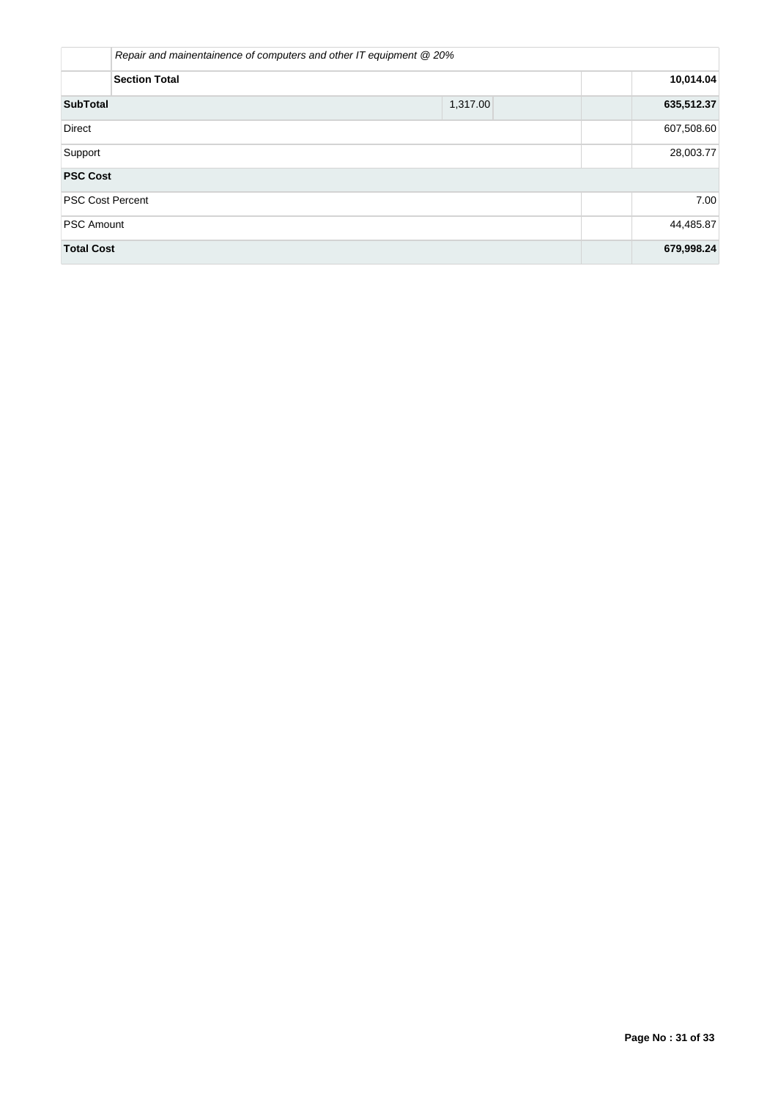|                         | Repair and mainentainence of computers and other IT equipment @ 20% |            |  |  |  |  |  |  |
|-------------------------|---------------------------------------------------------------------|------------|--|--|--|--|--|--|
| <b>Section Total</b>    |                                                                     |            |  |  |  |  |  |  |
| <b>SubTotal</b>         | 1,317.00                                                            |            |  |  |  |  |  |  |
| Direct                  | 607,508.60                                                          |            |  |  |  |  |  |  |
| Support                 | 28,003.77                                                           |            |  |  |  |  |  |  |
| <b>PSC Cost</b>         |                                                                     |            |  |  |  |  |  |  |
| <b>PSC Cost Percent</b> |                                                                     | 7.00       |  |  |  |  |  |  |
| <b>PSC Amount</b>       | 44,485.87                                                           |            |  |  |  |  |  |  |
| <b>Total Cost</b>       |                                                                     | 679,998.24 |  |  |  |  |  |  |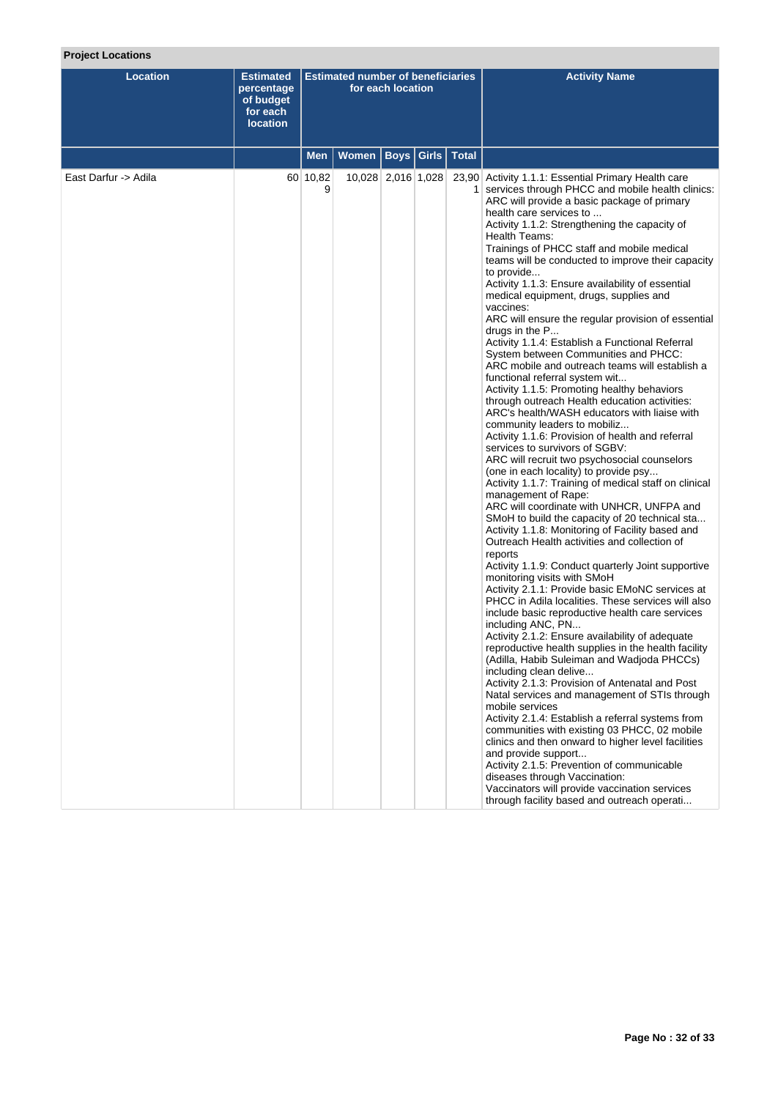# **Project Locations**

| <b>Location</b>      | <b>Estimated</b><br>percentage<br>of budget<br>for each<br><b>location</b> | <b>Estimated number of beneficiaries</b><br>for each location<br><b>Boys Girls Total</b><br>Women<br><b>Men</b> |                    |  |  |  | <b>Activity Name</b>                                                                                                                                                                                                                                                                                                                                                                                                                                                                                                                                                                                                                                                                                                                                                                                                                                                                                                                                                                                                                                                                                                                                                                                                                                                                                                                                                                                                                                                                                                                                                                                                                                                                                                                                                                                                                                                                                                                                                                                                                                                                                                                                                                                                                                                                                                                                |
|----------------------|----------------------------------------------------------------------------|-----------------------------------------------------------------------------------------------------------------|--------------------|--|--|--|-----------------------------------------------------------------------------------------------------------------------------------------------------------------------------------------------------------------------------------------------------------------------------------------------------------------------------------------------------------------------------------------------------------------------------------------------------------------------------------------------------------------------------------------------------------------------------------------------------------------------------------------------------------------------------------------------------------------------------------------------------------------------------------------------------------------------------------------------------------------------------------------------------------------------------------------------------------------------------------------------------------------------------------------------------------------------------------------------------------------------------------------------------------------------------------------------------------------------------------------------------------------------------------------------------------------------------------------------------------------------------------------------------------------------------------------------------------------------------------------------------------------------------------------------------------------------------------------------------------------------------------------------------------------------------------------------------------------------------------------------------------------------------------------------------------------------------------------------------------------------------------------------------------------------------------------------------------------------------------------------------------------------------------------------------------------------------------------------------------------------------------------------------------------------------------------------------------------------------------------------------------------------------------------------------------------------------------------------------|
|                      |                                                                            |                                                                                                                 |                    |  |  |  |                                                                                                                                                                                                                                                                                                                                                                                                                                                                                                                                                                                                                                                                                                                                                                                                                                                                                                                                                                                                                                                                                                                                                                                                                                                                                                                                                                                                                                                                                                                                                                                                                                                                                                                                                                                                                                                                                                                                                                                                                                                                                                                                                                                                                                                                                                                                                     |
| East Darfur -> Adila |                                                                            | 60 10,82<br>9                                                                                                   | 10,028 2,016 1,028 |  |  |  | 23,90 Activity 1.1.1: Essential Primary Health care<br>services through PHCC and mobile health clinics:<br>ARC will provide a basic package of primary<br>health care services to<br>Activity 1.1.2: Strengthening the capacity of<br>Health Teams:<br>Trainings of PHCC staff and mobile medical<br>teams will be conducted to improve their capacity<br>to provide<br>Activity 1.1.3: Ensure availability of essential<br>medical equipment, drugs, supplies and<br>vaccines:<br>ARC will ensure the regular provision of essential<br>drugs in the P<br>Activity 1.1.4: Establish a Functional Referral<br>System between Communities and PHCC:<br>ARC mobile and outreach teams will establish a<br>functional referral system wit<br>Activity 1.1.5: Promoting healthy behaviors<br>through outreach Health education activities:<br>ARC's health/WASH educators with liaise with<br>community leaders to mobiliz<br>Activity 1.1.6: Provision of health and referral<br>services to survivors of SGBV:<br>ARC will recruit two psychosocial counselors<br>(one in each locality) to provide psy<br>Activity 1.1.7: Training of medical staff on clinical<br>management of Rape:<br>ARC will coordinate with UNHCR, UNFPA and<br>SMoH to build the capacity of 20 technical sta<br>Activity 1.1.8: Monitoring of Facility based and<br>Outreach Health activities and collection of<br>reports<br>Activity 1.1.9: Conduct quarterly Joint supportive<br>monitoring visits with SMoH<br>Activity 2.1.1: Provide basic EMoNC services at<br>PHCC in Adila localities. These services will also<br>include basic reproductive health care services<br>including ANC, PN<br>Activity 2.1.2: Ensure availability of adequate<br>reproductive health supplies in the health facility<br>(Adilla, Habib Suleiman and Wadjoda PHCCs)<br>including clean delive<br>Activity 2.1.3: Provision of Antenatal and Post<br>Natal services and management of STIs through<br>mobile services<br>Activity 2.1.4: Establish a referral systems from<br>communities with existing 03 PHCC, 02 mobile<br>clinics and then onward to higher level facilities<br>and provide support<br>Activity 2.1.5: Prevention of communicable<br>diseases through Vaccination:<br>Vaccinators will provide vaccination services<br>through facility based and outreach operati |